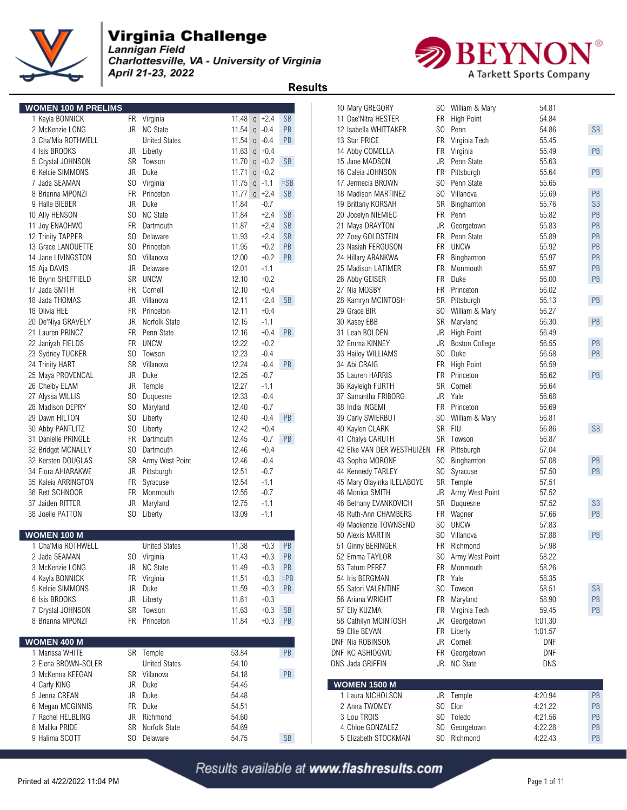

Charlottesville, VA - University of Virginia April 21-23, 2022



 **Results** 

| <b>WOMEN 100 M PRELIMS</b> |           |                      |       |                 |                      | 10 Mary GREGORY                     | SO William & Mary       | 54.81      |           |
|----------------------------|-----------|----------------------|-------|-----------------|----------------------|-------------------------------------|-------------------------|------------|-----------|
| 1 Kayla BONNICK            |           | FR Virginia          |       | 11.48 $q$ +2.4  | <b>SB</b>            | 11 Dae'Nitra HESTER                 | FR High Point           | 54.84      |           |
| 2 McKenzie LONG            |           | JR NC State          |       | 11.54 $q -0.4$  | PB                   | SO<br>12 Isabella WHITTAKER         | Penn                    | 54.86      | <b>SB</b> |
| 3 Cha'Mia ROTHWELL         |           | <b>United States</b> |       | 11.54 $q - 0.4$ | <b>PB</b>            | 13 Star PRICE                       | FR<br>Virginia Tech     | 55.45      |           |
| 4 Isis BROOKS              |           | JR Liberty           |       | 11.63 $q + 0.4$ |                      | 14 Abby COMELLA                     | FR Virginia             | 55.49      | PB        |
| 5 Crystal JOHNSON          | SR        | Towson               |       | 11.70 $q$ +0.2  | <b>SB</b>            | JR<br>15 Jane MADSON                | Penn State              | 55.63      |           |
| 6 Kelcie SIMMONS           | JR        | Duke                 |       | 11.71 $q$ +0.2  |                      | <b>FR</b><br>16 Caleia JOHNSON      | Pittsburgh              | 55.64      | PB        |
| 7 Jada SEAMAN              | SO.       | Virginia             |       | 11.75 $q -1.1$  | $=SB$                | 17 Jermecia BROWN<br>SO.            | Penn State              | 55.65      |           |
| 8 Brianna MPONZI           | FR        | Princeton            |       | 11.77 $q$ +2.4  | <b>SB</b>            | 18 Madison MARTINEZ                 | SO Villanova            | 55.69      | PB        |
| 9 Halle BIEBER             | <b>JR</b> | Duke                 | 11.84 | $-0.7$          |                      | 19 Brittany KORSAH                  | SR<br>Binghamton        | 55.76      | <b>SB</b> |
| 10 Ally HENSON             | SO.       | <b>NC State</b>      | 11.84 | $+2.4$          | <b>SB</b>            | FR<br>20 Jocelyn NIEMIEC            | Penn                    | 55.82      | PB        |
| 11 Joy ENAOHWO             | FR        | Dartmouth            | 11.87 | $+2.4$          | <b>SB</b>            | JR<br>21 Maya DRAYTON               | Georgetown              | 55.83      | PB        |
| 12 Trinity TAPPER          | SO.       | Delaware             | 11.93 | $+2.4$          | <b>SB</b>            | 22 Zoey GOLDSTEIN                   | FR.<br>Penn State       | 55.89      | PB        |
| 13 Grace LANOUETTE         | SO.       | Princeton            | 11.95 | $+0.2$          | PB                   | 23 Nasiah FERGUSON                  | FR.<br><b>UNCW</b>      | 55.92      | PB        |
| 14 Jane LIVINGSTON         | SO.       | Villanova            | 12.00 | $+0.2$          | PB                   | 24 Hillary ABANKWA                  | FR<br>Binghamton        | 55.97      | PB        |
| 15 Aja DAVIS               | JR        | Delaware             | 12.01 | $-1.1$          |                      | 25 Madison LATIMER                  | FR Monmouth             | 55.97      | PB        |
| 16 Brynn SHEFFIELD         | SR        | UNCW                 | 12.10 | $+0.2$          |                      | 26 Abby GEISER                      | FR Duke                 | 56.00      | PB        |
| 17 Jada SMITH              | FR        | Cornell              | 12.10 | $+0.4$          |                      | 27 Nia MOSBY                        | FR<br>Princeton         | 56.02      |           |
| 18 Jada THOMAS             | JR        | Villanova            | 12.11 | $+2.4$          | <b>SB</b>            | 28 Kamryn MCINTOSH<br>SR            | Pittsburgh              | 56.13      | PB        |
| 18 Olivia HEE              |           | FR Princeton         | 12.11 | $+0.4$          |                      | 29 Grace BIR<br>SO.                 | William & Mary          | 56.27      |           |
| 20 De'Niya GRAVELY         | JR        | Norfolk State        | 12.15 | $-1.1$          |                      | 30 Kasey EBB                        | SR Maryland             | 56.30      | PB        |
| 21 Lauren PRINCZ           | FR.       | Penn State           | 12.16 | $+0.4$          | <b>PB</b>            | 31 Leah BOLDEN                      | JR<br><b>High Point</b> | 56.49      |           |
| 22 Janiyah FIELDS          | FR        | <b>UNCW</b>          | 12.22 | $+0.2$          |                      | 32 Emma KINNEY<br>JR                | <b>Boston College</b>   | 56.55      | PB        |
| 23 Sydney TUCKER           |           | SO Towson            | 12.23 | $-0.4$          |                      | 33 Hailey WILLIAMS                  | SO Duke                 | 56.58      | PB        |
| 24 Trinity HART            | SR        | Villanova            | 12.24 | $-0.4$          | <b>PB</b>            | 34 Abi CRAIG                        | FR High Point           | 56.59      |           |
| 25 Maya PROVENCAL          | JR        | Duke                 | 12.25 | $-0.7$          |                      | 35 Lauren HARRIS                    | <b>FR</b><br>Princeton  | 56.62      | PB        |
| 26 Chelby ELAM             | JR        | Temple               | 12.27 | -1.1            |                      | 36 Kayleigh FURTH                   | SR Cornell              | 56.64      |           |
| 27 Alyssa WILLIS           | SO.       | Duguesne             | 12.33 | $-0.4$          |                      | 37 Samantha FRIBORG                 | JR Yale                 | 56.68      |           |
| 28 Madison DEPRY           | SO.       | Maryland             | 12.40 | $-0.7$          |                      | <b>FR</b><br>38 India INGEMI        | Princeton               | 56.69      |           |
| 29 Dawn HILTON             | SO.       | Liberty              | 12.40 | $-0.4$          | <b>PB</b>            | S <sub>0</sub><br>39 Carly SWIERBUT | William & Mary          | 56.81      |           |
| 30 Abby PANTLITZ           | SO.       | Liberty              | 12.42 | $+0.4$          |                      | 40 Kaylen CLARK                     | SR FIU                  | 56.86      | <b>SB</b> |
| 31 Danielle PRINGLE        | FR        | Dartmouth            | 12.45 | $-0.7$          | <b>PB</b>            | 41 Chalys CARUTH                    | SR Towson               | 56.87      |           |
| 32 Bridget MCNALLY         | SO.       | Dartmouth            | 12.46 | $+0.4$          |                      | 42 Elke VAN DER WESTHUIZEN<br>FR    | Pittsburgh              | 57.04      |           |
| 32 Kersten DOUGLAS         | SR        | Army West Point      | 12.46 | $-0.4$          |                      | 43 Sophia MORONE                    | SO Binghamton           | 57.08      | PB        |
| 34 Flora AHIARAKWE         | JR        | Pittsburgh           | 12.51 | $-0.7$          |                      | 44 Kennedy TARLEY                   | SO Syracuse             | 57.50      | PB        |
| 35 Kaleia ARRINGTON        |           | FR Syracuse          | 12.54 | $-1.1$          |                      | 45 Mary Olayinka ILELABOYE          | SR Temple               | 57.51      |           |
| 36 Rett SCHNOOR            | FR.       | Monmouth             | 12.55 | $-0.7$          |                      | 46 Monica SMITH                     | JR<br>Army West Point   | 57.52      |           |
| 37 Jaiden RITTER           | JR        | Maryland             | 12.75 | $-1.1$          |                      | 46 Bethany EVANKOVICH               | SR<br>Duguesne          | 57.52      | <b>SB</b> |
| 38 Joelle PATTON           |           | SO Liberty           | 13.09 | $-1.1$          |                      | 48 Ruth-Ann CHAMBERS                | FR Wagner               | 57.66      | PB        |
|                            |           |                      |       |                 |                      | 49 Mackenzie TOWNSEND               | SO UNCW                 | 57.83      |           |
| <b>WOMEN 100 M</b>         |           |                      |       |                 |                      | 50 Alexis MARTIN<br>SO.             | Villanova               | 57.88      | PB        |
| 1 Cha'Mia ROTHWELL         |           | <b>United States</b> | 11.38 | $+0.3$          | PB                   | 51 Ginny BERINGER                   | FR Richmond             | 57.98      |           |
| 2 Jada SEAMAN              |           | SO Virginia          | 11.43 | $+0.3$          | PB                   | 52 Emma TAYLOR                      | SO Army West Point      | 58.22      |           |
| 3 McKenzie LONG            |           | JR NC State          | 11.49 | $+0.3$          | PB                   | 53 Tatum PEREZ                      | FR Monmouth             | 58.26      |           |
| 4 Kayla BONNICK            |           | FR Virginia          | 11.51 | $+0.3$          | $=$ PB               | 54 Iris BERGMAN                     | FR Yale                 | 58.35      |           |
| 5 Kelcie SIMMONS           |           | JR Duke              | 11.59 | $+0.3$          | PB                   | 55 Satori VALENTINE                 | SO Towson               | 58.51      | <b>SB</b> |
| 6 Isis BROOKS              |           | JR Liberty           | 11.61 | $+0.3$          |                      | 56 Ariana WRIGHT                    | FR Maryland             | 58.90      | PB        |
| 7 Crystal JOHNSON          |           | SR Towson            | 11.63 | $+0.3$          | <b>SB</b>            | 57 Elly KUZMA                       | FR Virginia Tech        | 59.45      | PB        |
| 8 Brianna MPONZI           |           | FR Princeton         | 11.84 | $+0.3$          | PB                   | 58 Cathilyn MCINTOSH                | JR Georgetown           | 1:01.30    |           |
|                            |           |                      |       |                 |                      | 59 Ellie BEVAN                      | FR Liberty              | 1:01.57    |           |
| <b>WOMEN 400 M</b>         |           |                      |       |                 |                      | DNF Nia ROBINSON                    | JR Cornell              | DNF        |           |
| 1 Marissa WHITE            |           | SR Temple            | 53.84 |                 | PB                   | DNF KC ASHIOGWU                     | FR Georgetown           | <b>DNF</b> |           |
| 2 Elena BROWN-SOLER        |           | <b>United States</b> | 54.10 |                 |                      | DNS Jada GRIFFIN                    | JR NC State             | DNS        |           |
| 3 McKenna KEEGAN           |           | SR Villanova         | 54.18 |                 | PB                   |                                     |                         |            |           |
| 4 Carly KING               |           | JR Duke              | 54.45 |                 |                      | <b>WOMEN 1500 M</b>                 |                         |            |           |
| 5 Jenna CREAN              | JR        | Duke                 | 54.48 |                 |                      | 1 Laura NICHOLSON                   | JR Temple               | 4:20.94    | PB        |
| 6 Megan MCGINNIS           | <b>FR</b> | Duke                 | 54.51 |                 |                      | 2 Anna TWOMEY                       | SO Elon                 | 4:21.22    | PB        |
| 7 Rachel HELBLING          | JR        | Richmond             | 54.60 |                 |                      | 3 Lou TROIS                         | SO Toledo               | 4:21.56    | PB        |
| 8 Malika PRIDE             |           | SR Norfolk State     | 54.69 |                 |                      | 4 Chloe GONZALEZ                    | SO Georgetown           | 4:22.28    | PB        |
| 9 Halima SCOTT             |           | SO Delaware          | 54.75 |                 | $\mathsf{SB}\xspace$ | 5 Elizabeth STOCKMAN                | SO Richmond             | 4:22.43    | PB        |
|                            |           |                      |       |                 |                      |                                     |                         |            |           |

| 10 Mary GREGORY               | SO  | William & Mary        | 54.81   |           |
|-------------------------------|-----|-----------------------|---------|-----------|
| 11 Dae'Nitra HESTER           | FR  | <b>High Point</b>     | 54.84   |           |
| 12 Isabella WHITTAKER         | SO. | Penn                  | 54.86   | SB        |
| 13 Star PRICE                 | FR  | Virginia Tech         | 55.45   |           |
| 14 Abby COMELLA               | FR  | Virginia              | 55.49   | PB        |
| 15 Jane MADSON                | JR  | Penn State            | 55.63   |           |
| 16 Caleia JOHNSON             | FR. | Pittsburgh            | 55.64   | PB        |
| 17 Jermecia BROWN             | SO. | Penn State            | 55.65   |           |
| 18 Madison MARTINEZ           | SO. | Villanova             | 55.69   | PB        |
| 19 Brittany KORSAH            | SR  | Binghamton            | 55.76   | <b>SB</b> |
| 20 Jocelyn NIEMIEC            | FR. | Penn                  | 55.82   | PB        |
| 21 Maya DRAYTON               | JR  | Georgetown            | 55.83   | PB        |
| 22 Zoey GOLDSTEIN             | FR. | Penn State            | 55.89   | PB        |
| 23 Nasiah FERGUSON            | FR. | <b>UNCW</b>           | 55.92   | PB        |
| 24 Hillary ABANKWA            | FR  | Binghamton            | 55.97   | PB        |
| 25 Madison LATIMER            | FR. | Monmouth              | 55.97   | PB        |
| 26 Abby GEISER                | FR. | Duke                  | 56.00   | PB        |
| 27 Nia MOSBY                  | FR. | Princeton             | 56.02   |           |
| 28 Kamryn MCINTOSH            | SR  | Pittsburgh            | 56.13   | PB        |
| 29 Grace BIR                  | SO. | William & Mary        | 56.27   |           |
| 30 Kasey EBB                  | SR  | Maryland              | 56.30   | PB        |
| 31 Leah BOLDEN                | JR  | <b>High Point</b>     | 56.49   |           |
| 32 Emma KINNEY                | JR  | <b>Boston College</b> | 56.55   | PB        |
| 33 Hailey WILLIAMS            | SO. | Duke                  | 56.58   | PB        |
| 34 Abi CRAIG                  | FR  | <b>High Point</b>     | 56.59   |           |
| 35 Lauren HARRIS              | FR. | Princeton             | 56.62   | PB        |
| 36 Kayleigh FURTH             | SR  | Cornell               | 56.64   |           |
| 37 Samantha FRIBORG           | JR  | Yale                  | 56.68   |           |
| 38 India INGEMI               | FR. | Princeton             | 56.69   |           |
| 39 Carly SWIERBUT             | SO. | William & Mary        | 56.81   |           |
| 40 Kaylen CLARK               | SR  | FIU                   | 56.86   | <b>SB</b> |
| 41 Chalys CARUTH              | SR  | Towson                | 56.87   |           |
| 42 Elke VAN DER WESTHUIZEN    | FR  | Pittsburgh            | 57.04   |           |
| 43 Sophia MORONE              | SO  | Binghamton            | 57.08   | PB        |
| 44 Kennedy TARLEY             | SO  | Syracuse              | 57.50   | PB        |
| 45 Mary Olayinka ILELABOYE    | SR  | Temple                | 57.51   |           |
| 46 Monica SMITH               | JR  | Army West Point       | 57.52   |           |
| 46 Bethany EVANKOVICH         | SR  | Duquesne              | 57.52   | <b>SB</b> |
| 48 Ruth-Ann CHAMBERS          | FR  | Wagner                | 57.66   | PB        |
| 49 Mackenzie TOWNSEND         | SO. | <b>UNCW</b>           | 57.83   |           |
| 50 Alexis MARTIN              | SO. | Villanova             | 57.88   | PB        |
| 51 Ginny BERINGER             | FR. | Richmond              | 57.98   |           |
| 52 Emma TAYLOR                |     | SO Army West Point    | 58.22   |           |
| 53 Tatum PEREZ                | FR  | Monmouth              | 58.26   |           |
| 54 Iris BERGMAN               | FR. | Yale                  | 58.35   |           |
| 55 Satori VALENTINE           | SO. | Towson                | 58.51   | <b>SB</b> |
| 56 Ariana WRIGHT              | FR  | Maryland              | 58.90   | PB        |
| 57 Elly KUZMA                 | FR  | Virginia Tech         | 59.45   | PB        |
| 58 Cathilyn MCINTOSH          | JR  | Georgetown            | 1:01.30 |           |
| 59 Ellie BEVAN                | FR  | Liberty               | 1:01.57 |           |
| DNF Nia ROBINSON              | JR  | Cornell               | DNF     |           |
| <b><i>ONF KC ASHIOGWU</i></b> | FR  | Georgetown            | DNF     |           |
| DNS Jada GRIFFIN              | JR  | <b>NC State</b>       | DNS     |           |
| <b>WOMEN 1500 M</b>           |     |                       |         |           |
| 1 Laura NICHOLSON             | JR  | Temple                | 4:20.94 | PB        |
| 2 Anna TWOMEY                 | SO. | Elon                  | 4:21.22 | PB        |
| 3 Lou TROIS                   | SO  | Toledo                | 4:21.56 | PB        |
| 4 Chloe GONZALEZ              | SO  | Georgetown            | 4:22.28 | PB        |
| 5 Elizabeth STOCKMAN          | SO  | Richmond              | 4:22.43 | PB        |
|                               |     |                       |         |           |
|                               |     |                       |         |           |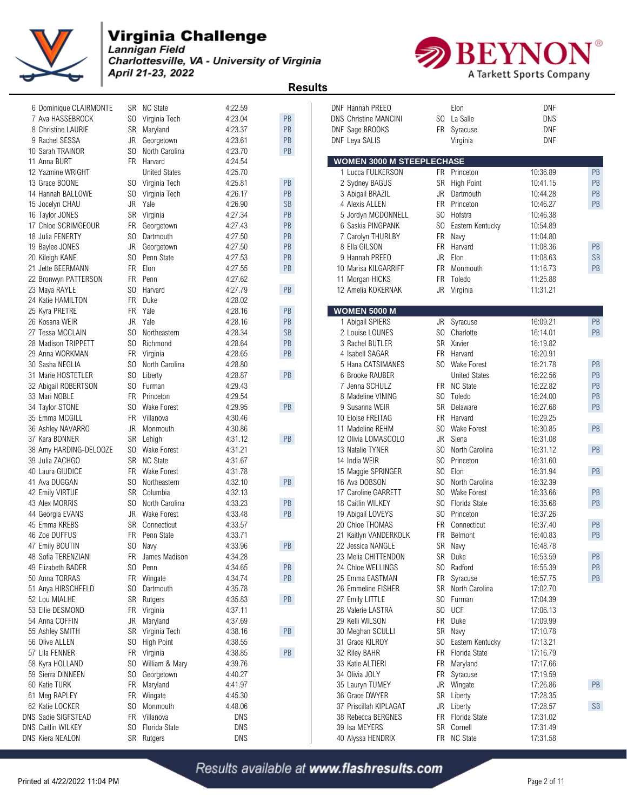

Charlottesville, VA - University of Virginia April 21-23, 2022



 **Results** 

| 6 Dominique CLAIRMONTE    |           | SR NC State           | 4:22.59 |           | <b>DNF Hannah PREEO</b>          |           | Elon                 | <b>DNF</b> |           |
|---------------------------|-----------|-----------------------|---------|-----------|----------------------------------|-----------|----------------------|------------|-----------|
| 7 Ava HASSEBROCK          |           | SO Virginia Tech      | 4:23.04 | PB        | <b>DNS Christine MANCINI</b>     |           | SO La Salle          | <b>DNS</b> |           |
| 8 Christine LAURIE        | SR        | Maryland              | 4:23.37 | PB        | DNF Sage BROOKS                  |           | FR Syracuse          | <b>DNF</b> |           |
| 9 Rachel SESSA            | JR        | Georgetown            | 4:23.61 | PB        | DNF Leya SALIS                   |           | Virginia             | <b>DNF</b> |           |
| 10 Sarah TRAINOR          | SO.       | North Carolina        | 4:23.70 | PB        |                                  |           |                      |            |           |
| 11 Anna BURT              |           | FR Harvard            | 4:24.54 |           | <b>WOMEN 3000 M STEEPLECHASE</b> |           |                      |            |           |
| 12 Yazmine WRIGHT         |           | <b>United States</b>  | 4:25.70 |           | 1 Lucca FULKERSON                |           | FR Princeton         | 10:36.89   | PB        |
| 13 Grace BOONE            |           | SO Virginia Tech      | 4:25.81 | PB        | 2 Sydney BAGUS                   |           | SR High Point        | 10:41.15   | PB        |
| 14 Hannah BALLOWE         |           | SO Virginia Tech      | 4:26.17 | PB        | 3 Abigail BRAZIL                 |           | JR Dartmouth         | 10:44.28   | PB        |
| 15 Jocelyn CHAU           |           | JR Yale               | 4:26.90 | <b>SB</b> | 4 Alexis ALLEN                   |           | FR Princeton         | 10:46.27   | PB        |
| 16 Taylor JONES           |           | SR Virginia           | 4:27.34 | PB        | 5 Jordyn MCDONNELL               |           | SO Hofstra           | 10:46.38   |           |
| 17 Chloe SCRIMGEOUR       |           | FR Georgetown         | 4:27.43 | PB        | 6 Saskia PINGPANK                | SO        | Eastern Kentucky     | 10:54.89   |           |
| 18 Julia FENERTY          |           | SO Dartmouth          | 4:27.50 | PB        | 7 Carolyn THURLBY                | FR        | Navy                 | 11:04.80   |           |
| 19 Baylee JONES           | JR        | Georgetown            | 4:27.50 | PB        | 8 Ella GILSON                    |           | FR Harvard           | 11:08.36   | PB        |
| 20 Kileigh KANE           | SO.       | Penn State            | 4:27.53 | PB        | 9 Hannah PREEO                   |           | JR Elon              | 11:08.63   | <b>SB</b> |
| 21 Jette BEERMANN         | <b>FR</b> | Elon                  | 4:27.55 | PB        | 10 Marisa KILGARRIFF             |           | FR Monmouth          | 11:16.73   | PB        |
| 22 Bronwyn PATTERSON      | FR        | Penn                  | 4:27.62 |           | 11 Morgan HICKS                  |           | FR Toledo            | 11:25.88   |           |
| 23 Maya RAYLE             | SO.       | Harvard               | 4:27.79 | PB        | 12 Amelia KOKERNAK               |           | JR Virginia          | 11:31.21   |           |
| 24 Katie HAMILTON         | <b>FR</b> | Duke                  | 4:28.02 |           |                                  |           |                      |            |           |
| 25 Kyra PRETRE            |           | FR Yale               | 4:28.16 | PB        | <b>WOMEN 5000 M</b>              |           |                      |            |           |
| 26 Kosana WEIR            | JR        | Yale                  | 4:28.16 | PB        | 1 Abigail SPIERS                 |           | JR Syracuse          | 16:09.21   | PB        |
| 27 Tessa MCCLAIN          | SO.       | Northeastern          | 4:28.34 | <b>SB</b> | 2 Louise LOUNES                  |           | SO Charlotte         | 16:14.01   | PB        |
| 28 Madison TRIPPETT       | SO.       | Richmond              | 4:28.64 | PB        | 3 Rachel BUTLER                  |           | SR Xavier            | 16:19.82   |           |
| 29 Anna WORKMAN           |           | FR Virginia           | 4:28.65 | PB        | 4 Isabell SAGAR                  | <b>FR</b> | Harvard              | 16:20.91   |           |
| 30 Sasha NEGLIA           |           | SO North Carolina     | 4:28.80 |           | 5 Hana CATSIMANES                |           | SO Wake Forest       | 16:21.78   | PB        |
| 31 Marie HOSTETLER        | SO.       | Liberty               | 4:28.87 | PB        | 6 Brooke RAUBER                  |           | <b>United States</b> | 16:22.56   | PB        |
| 32 Abigail ROBERTSON      | SO.       | Furman                | 4:29.43 |           | 7 Jenna SCHULZ                   |           | FR NC State          | 16:22.82   | PB        |
| 33 Mari NOBLE             | <b>FR</b> | Princeton             | 4:29.54 |           | 8 Madeline VINING                | SO        | Toledo               | 16:24.00   | PB        |
| 34 Taylor STONE           |           | SO Wake Forest        | 4:29.95 | PB        | 9 Susanna WEIR                   |           | SR Delaware          | 16:27.68   | PB        |
| 35 Emma MCGILL            |           | FR Villanova          | 4:30.46 |           | 10 Eloise FREITAG                |           | FR Harvard           | 16:29.25   |           |
| 36 Ashley NAVARRO         | JR        | Monmouth              | 4:30.86 |           | 11 Madeline REHM                 | SO.       | Wake Forest          | 16:30.85   | PB        |
| 37 Kara BONNER            |           | SR Lehigh             | 4:31.12 | PB        | 12 Olivia LOMASCOLO              | JR        | Siena                | 16:31.08   |           |
| 38 Amy HARDING-DELOOZE    |           | SO Wake Forest        | 4:31.21 |           | 13 Natalie TYNER                 |           | SO North Carolina    | 16:31.12   | PB        |
| 39 Julia ZACHGO           |           | SR NC State           | 4:31.67 |           | 14 India WEIR                    |           | SO Princeton         | 16:31.60   |           |
| 40 Laura GIUDICE          |           | FR Wake Forest        | 4:31.78 |           | 15 Maggie SPRINGER               |           | SO Elon              | 16:31.94   | PB        |
| 41 Ava DUGGAN             | SO.       | Northeastern          | 4:32.10 | PB        | 16 Ava DOBSON                    | SO        | North Carolina       | 16:32.39   |           |
| 42 Emily VIRTUE           | SR        | Columbia              | 4:32.13 |           | 17 Caroline GARRETT              |           | SO Wake Forest       | 16:33.66   | PB        |
| 43 Alex MORRIS            | SO.       | North Carolina        | 4:33.23 | PB        | 18 Caitlin WILKEY                |           | SO Florida State     | 16:35.68   | PB        |
| 44 Georgia EVANS          | JR        | Wake Forest           | 4:33.48 | PB        | 19 Abigail LOVEYS                | SO.       | Princeton            | 16:37.26   |           |
| 45 Emma KREBS             |           | <b>SR</b> Connecticut | 4:33.57 |           | 20 Chloe THOMAS                  |           | FR Connecticut       | 16:37.40   | PB        |
| 46 Zoe DUFFUS             |           | FR Penn State         | 4:33.71 |           | 21 Kaitlyn VANDERKOLK            |           | FR Belmont           | 16:40.83   | PB        |
| 47 Emily BOUTIN           |           | SO Navy               | 4:33.96 | PB        | 22 Jessica NANGLE                |           | SR Navy              | 16:48.78   |           |
| 48 Sofia TERENZIANI       |           | FR James Madison      | 4:34.28 |           | 23 Melia CHITTENDON              |           | SR Duke              | 16:53.59   | PB        |
| 49 Elizabeth BADER        |           | SO Penn               | 4:34.65 | PB        | 24 Chloe WELLINGS                |           | SO Radford           | 16:55.39   | PB        |
| 50 Anna TORRAS            |           | FR Wingate            | 4:34.74 | PB        | 25 Emma EASTMAN                  |           | FR Syracuse          | 16:57.75   | PB        |
| 51 Anya HIRSCHFELD        | SO.       | Dartmouth             | 4:35.78 |           | 26 Emmeline FISHER               |           | SR North Carolina    | 17:02.70   |           |
| 52 Lou MIALHE             |           | SR Rutgers            | 4:35.83 | PB        | 27 Emily LITTLE                  |           | SO Furman            | 17:04.39   |           |
| 53 Ellie DESMOND          |           | FR Virginia           | 4:37.11 |           | 28 Valerie LASTRA                |           | SO UCF               | 17:06.13   |           |
| 54 Anna COFFIN            |           | JR Maryland           | 4:37.69 |           | 29 Kelli WILSON                  |           | FR Duke              | 17:09.99   |           |
| 55 Ashley SMITH           |           | SR Virginia Tech      | 4:38.16 | PB        | 30 Meghan SCULLI                 |           | SR Navy              | 17:10.78   |           |
| 56 Olive ALLEN            |           | SO High Point         | 4:38.55 |           | 31 Grace KILROY                  |           | SO Eastern Kentucky  | 17:13.21   |           |
| 57 Lila FENNER            |           | FR Virginia           | 4:38.85 | PB        | 32 Riley BAHR                    |           | FR Florida State     | 17:16.79   |           |
| 58 Kyra HOLLAND           |           | SO William & Mary     | 4:39.76 |           | 33 Katie ALTIERI                 |           | FR Maryland          | 17:17.66   |           |
| 59 Sierra DINNEEN         |           | SO Georgetown         | 4:40.27 |           | 34 Olivia JOLY                   |           | FR Syracuse          | 17:19.59   |           |
| 60 Katie TURK             |           | FR Maryland           | 4:41.97 |           | 35 Lauryn TUMEY                  |           | JR Wingate           | 17:26.86   | PB        |
| 61 Meg RAPLEY             |           | FR Wingate            | 4:45.30 |           | 36 Grace DWYER                   |           | SR Liberty           | 17:28.35   |           |
| 62 Katie LOCKER           | SO.       | Monmouth              | 4:48.06 |           | 37 Priscillah KIPLAGAT           |           | JR Liberty           | 17:28.57   | <b>SB</b> |
| DNS Sadie SIGFSTEAD       |           | FR Villanova          | DNS     |           | 38 Rebecca BERGNES               |           | FR Florida State     | 17:31.02   |           |
| <b>DNS Caitlin WILKEY</b> |           | SO Florida State      | DNS     |           | 39 Isa MEYERS                    |           | SR Cornell           | 17:31.49   |           |
| DNS Kiera NEALON          |           | SR Rutgers            | DNS     |           | 40 Alyssa HENDRIX                |           | FR NC State          | 17:31.58   |           |
|                           |           |                       |         |           |                                  |           |                      |            |           |

| F Hannah PREEO                              |                | Elon                 | DNF        |           |
|---------------------------------------------|----------------|----------------------|------------|-----------|
| <b>Christine MANCINI</b>                    | SO.            | La Salle             | DNS        |           |
| Sage BROOKS                                 | FR             | Syracuse             | DNF<br>DNF |           |
| E Leya SALIS                                |                | Virginia             |            |           |
| <b>OMEN 3000 M STEEPLECHASE</b>             |                |                      |            |           |
| 1 Lucca FULKERSON                           | FR             | Princeton            | 10:36.89   | PB        |
| 2 Sydney BAGUS                              | SR             | High Point           | 10:41.15   | PB        |
| 3 Abigail BRAZIL                            | JR             | Dartmouth            | 10:44.28   | PB        |
| 4 Alexis ALLEN                              | <b>FR</b>      | Princeton            | 10:46.27   | PB        |
| 5 Jordyn MCDONNELL                          | S <sub>0</sub> | Hofstra              | 10:46.38   |           |
| ה Saskia PINGPANK                           | SO.            | Eastern Kentucky     | 10:54.89   |           |
| Carolyn THURLBY                             | FR.            | Navy                 | 11:04.80   |           |
| <b>B</b> Ella GILSON                        | <b>FR</b>      | Harvard              | 11:08.36   | PB        |
| Hannah PREEO                                | JR             | Elon                 | 11:08.63   | <b>SB</b> |
| Marisa KILGARRIFF                           | FR.            | Monmouth             | 11:16.73   | PB        |
| 1 Morgan HICKS                              | FR.            | Toledo               | 11:25.88   |           |
| 2 Amelia KOKERNAK                           | <b>JR</b>      | Virginia             | 11:31.21   |           |
|                                             |                |                      |            |           |
| <u>OMEN 5000 M</u><br><b>Abigail SPIERS</b> | JR             | Syracuse             | 16:09.21   | PB        |
| 2 Louise LOUNES                             | SO.            | Charlotte            | 16:14.01   | PB        |
| <b>B</b> Rachel BUTLER                      | SR.            | Xavier               | 16:19.82   |           |
| 1 Isabell SAGAR                             | FR.            | Harvard              | 16:20.91   |           |
| 5 Hana CATSIMANES                           |                | SO Wake Forest       | 16:21.78   | PB        |
| <b>Brooke RAUBER</b>                        |                | <b>United States</b> | 16:22.56   | PB        |
| Jenna SCHULZ                                | FR.            | <b>NC State</b>      | 16:22.82   | PB        |
| 3 Madeline VINING                           | SO.            | Toledo               | 16:24.00   | PB        |
| <b>Susanna WEIR</b>                         | <b>SR</b>      | Delaware             | 16:27.68   | PB        |
| Eloise FREITAG                              | FR.            | Harvard              | 16:29.25   |           |
| 1 Madeline REHM                             | SO.            | Wake Forest          | 16:30.85   | PB        |
| 2 Olivia LOMASCOLO                          | JR             | Siena                | 16:31.08   |           |
| <b>B</b> Natalie TYNER                      | S <sub>0</sub> |                      |            | <b>PB</b> |
|                                             | S <sub>0</sub> | North Carolina       | 16:31.12   |           |
| 4 India WEIR                                |                | Princeton            | 16:31.60   |           |
| Maggie SPRINGER                             | SO.            | Elon                 | 16:31.94   | PB        |
| 6 Ava DOBSON                                | SO.            | North Carolina       | 16:32.39   |           |
| <b>Caroline GARRETT</b>                     | SO.            | Wake Forest          | 16:33.66   | PB        |
| <b>B</b> Caitlin WILKEY                     | SO             | Florida State        | 16:35.68   | PB        |
| <b>Abigail LOVEYS</b>                       | SO –           | Princeton            | 16:37.26   |           |
| Chloe THOMAS                                |                | FR Connecticut       | 16:37.40   | PB        |
| 1 Kaitlyn VANDERKOLK                        | <b>FR</b>      | <b>Belmont</b>       | 16:40.83   | PB        |
| 2 Jessica NANGLE                            | <b>SR</b>      | Navy                 | 16:48.78   | PB        |
| 3 Melia CHITTENDON                          | SК             | Duke                 | 16:53.59   |           |
| 1 Chloe WELLINGS                            | SO.            | Radford              | 16:55.39   | PB        |
| <b>Emma EASTMAN</b>                         | FR             | Syracuse             | 16:57.75   | PB        |
| <b>Emmeline FISHER</b>                      | SR             | North Carolina       | 17:02.70   |           |
| <sup>7</sup> Emily LITTLE                   | SO.            | Furman               | 17:04.39   |           |
| 3 Valerie LASTRA                            | SO.            | <b>UCF</b>           | 17:06.13   |           |
| <b>Kelli WILSON</b>                         | FR             | Duke                 | 17:09.99   |           |
| ) Meghan SCULLI                             | SR             | Navy                 | 17:10.78   |           |
| 1 Grace KILROY                              | SO.            | Eastern Kentucky     | 17:13.21   |           |
| <b>Riley BAHR</b>                           | FR             | Florida State        | 17:16.79   |           |
| <b>Katie ALTIERI</b>                        | FR             | Maryland             | 17:17.66   |           |
| 1 Olivia JOLY                               | FR             | Syracuse             | 17:19.59   |           |
| <b>Lauryn TUMEY</b>                         | JR             | Wingate              | 17:26.86   | PB        |
| Grace DWYER                                 | SR             | Liberty              | 17:28.35   |           |
| Priscillah KIPLAGAT                         | JR             | Liberty              | 17:28.57   | <b>SB</b> |
| <b>B Rebecca BERGNES</b>                    | FR             | Florida State        | 17:31.02   |           |
| } Isa MEYERS                                | SR             | Cornell              | 17:31.49   |           |
| ) Alvesa HENDRIX                            |                | FR NC State          | 17.31.58   |           |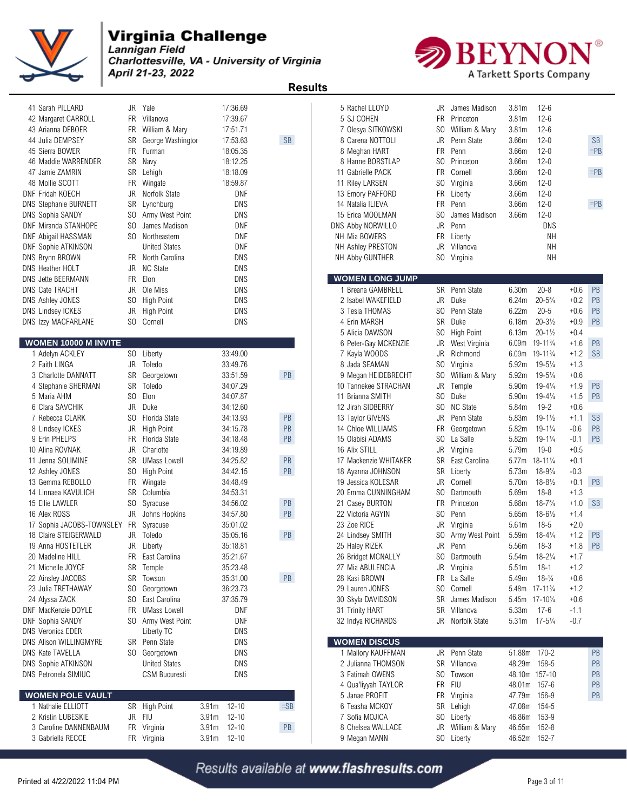

Charlottesville, VA - University of Virginia April 21-23, 2022



 **Results** 

| 41 Sarah PILLARD<br>42 Margaret CARROLL<br>43 Arianna DEBOER<br>44 Julia DEMPSEY<br>45 Sierra BOWER<br>46 Maddie WARRENDER<br>47 Jamie ZAMRIN<br>48 Mollie SCOTT<br>DNF Fridah KOECH<br>DNS Stephanie BURNETT<br><b>DNS Sophia SANDY</b><br>DNF Miranda STANHOPE<br><b>DNF Abigail HASSMAN</b><br>DNF Sophie ATKINSON<br>DNS Brynn BROWN<br>DNS Heather HOLT | FR.<br>SR<br>FR<br>SR<br><b>FR</b><br>JR<br>SR<br>SO.<br>SO.<br>JR | JR Yale<br>FR Villanova<br>William & Mary<br>George Washingtor<br>Furman<br>SR Navy<br>Lehigh<br>Wingate<br>Norfolk State<br>Lynchburg<br>Army West Point<br>James Madison<br>SO Northeastern<br><b>United States</b><br>FR North Carolina<br><b>NC State</b> |                   | 17:36.69<br>17:39.67<br>17:51.71<br>17:53.63<br>18:05.35<br>18:12.25<br>18:18.09<br>18:59.87<br>DNF<br>DNS<br>DNS<br>DNF<br>DNF<br>DNF<br>DNS<br>DNS | <b>SB</b>     | 5 Rachel LLOYD<br>5 SJ COHEN<br>8 Carena NOTTOLI<br>8 Meghan HART<br>11 Gabrielle PACK<br>11 Riley LARSEN<br>13 Emory PAFFORD<br>14 Natalia ILIEVA<br>15 Erica MOOLMAN<br>DNS Abby NORWILLO<br>NH Mia BOWERS<br>NH Ashley PRESTON<br>NH Abby GUNTHER | 7 Olesya SITKOWSKI<br>8 Hanne BORSTLAP | JR<br>FR.<br>SO.<br>JR<br>FR<br>SO<br><b>FR</b><br>SO<br>FR<br>SO.<br>JR<br>FR<br>JR<br>SO. | James Madison<br>Princeton<br>William & Marv<br>Penn State<br>Penn<br>Princeton<br>Cornell<br>Virginia<br>FR Liberty<br>Penn<br>James Madison<br>Penn<br>Liberty<br>Villanova<br>Virginia | 3.81 <sub>m</sub><br>3.81m<br>3.81m<br>3.66m<br>3.66m<br>3.66m<br>3.66m<br>3.66m<br>3.66m<br>3.66m<br>3.66m | $12 - 6$<br>$12 - 6$<br>$12 - 6$<br>$12 - 0$<br>$12 - 0$<br>$12 - 0$<br>$12 - 0$<br>$12 - 0$<br>$12 - 0$<br>$12 - 0$<br>$12 - 0$<br>DNS<br><b>NH</b><br><b>NH</b><br><b>NH</b> |                  | <b>SB</b><br>$=$ PB<br>$=$ PB<br>$=$ PB |
|--------------------------------------------------------------------------------------------------------------------------------------------------------------------------------------------------------------------------------------------------------------------------------------------------------------------------------------------------------------|--------------------------------------------------------------------|---------------------------------------------------------------------------------------------------------------------------------------------------------------------------------------------------------------------------------------------------------------|-------------------|------------------------------------------------------------------------------------------------------------------------------------------------------|---------------|------------------------------------------------------------------------------------------------------------------------------------------------------------------------------------------------------------------------------------------------------|----------------------------------------|---------------------------------------------------------------------------------------------|-------------------------------------------------------------------------------------------------------------------------------------------------------------------------------------------|-------------------------------------------------------------------------------------------------------------|--------------------------------------------------------------------------------------------------------------------------------------------------------------------------------|------------------|-----------------------------------------|
| DNS Jette BEERMANN                                                                                                                                                                                                                                                                                                                                           |                                                                    | FR Elon                                                                                                                                                                                                                                                       |                   | DNS                                                                                                                                                  |               |                                                                                                                                                                                                                                                      | <b>WOMEN LONG JUMP</b>                 |                                                                                             |                                                                                                                                                                                           |                                                                                                             |                                                                                                                                                                                |                  |                                         |
| <b>DNS Cate TRACHT</b>                                                                                                                                                                                                                                                                                                                                       | JR                                                                 | Ole Miss                                                                                                                                                                                                                                                      |                   | DNS                                                                                                                                                  |               |                                                                                                                                                                                                                                                      | 1 Breana GAMBRELL                      |                                                                                             | SR Penn State                                                                                                                                                                             | 6.30m                                                                                                       | $20 - 8$                                                                                                                                                                       | $+0.6$           | PB                                      |
| DNS Ashley JONES                                                                                                                                                                                                                                                                                                                                             | SO.                                                                | <b>High Point</b>                                                                                                                                                                                                                                             |                   | DNS                                                                                                                                                  |               |                                                                                                                                                                                                                                                      | 2 Isabel WAKEFIELD                     | JR                                                                                          | Duke                                                                                                                                                                                      | 6.24m<br>6.22m                                                                                              | $20 - 5\frac{3}{4}$<br>$20 - 5$                                                                                                                                                | $+0.2$<br>$+0.6$ | PB<br>PB                                |
| <b>DNS Lindsey ICKES</b><br>DNS Izzy MACFARLANE                                                                                                                                                                                                                                                                                                              | JR<br>SO.                                                          | <b>High Point</b><br>Cornell                                                                                                                                                                                                                                  |                   | DNS<br>DNS                                                                                                                                           |               | 3 Tesia THOMAS<br>4 Erin MARSH                                                                                                                                                                                                                       |                                        | SO.<br><b>SR</b>                                                                            | Penn State<br>Duke                                                                                                                                                                        | 6.18m                                                                                                       | $20 - 3\frac{1}{2}$                                                                                                                                                            | $+0.9$           | PB                                      |
|                                                                                                                                                                                                                                                                                                                                                              |                                                                    |                                                                                                                                                                                                                                                               |                   |                                                                                                                                                      |               | 5 Alicia DAWSON                                                                                                                                                                                                                                      |                                        | SO.                                                                                         | <b>High Point</b>                                                                                                                                                                         | 6.13m                                                                                                       | $20 - 1\frac{1}{2}$                                                                                                                                                            | $+0.4$           |                                         |
| WOMEN 10000 M INVITE                                                                                                                                                                                                                                                                                                                                         |                                                                    |                                                                                                                                                                                                                                                               |                   |                                                                                                                                                      |               |                                                                                                                                                                                                                                                      | 6 Peter-Gay MCKENZIE                   | JR                                                                                          | West Virginia                                                                                                                                                                             |                                                                                                             | 6.09m 19-11 <sup>3</sup> / <sub>4</sub>                                                                                                                                        | $+1.6$           | PB                                      |
| 1 Adelyn ACKLEY                                                                                                                                                                                                                                                                                                                                              |                                                                    | SO Liberty                                                                                                                                                                                                                                                    |                   | 33:49.00                                                                                                                                             |               | 7 Kayla WOODS                                                                                                                                                                                                                                        |                                        | JR                                                                                          | Richmond                                                                                                                                                                                  |                                                                                                             | 6.09m 19-11 <sup>3</sup> / <sub>4</sub>                                                                                                                                        | $+1.2$ SB        |                                         |
| 2 Faith LINGA                                                                                                                                                                                                                                                                                                                                                |                                                                    | JR Toledo                                                                                                                                                                                                                                                     |                   | 33:49.76                                                                                                                                             |               | 8 Jada SEAMAN                                                                                                                                                                                                                                        |                                        | SO.                                                                                         | Virginia                                                                                                                                                                                  | 5.92m                                                                                                       | $19 - 5\frac{1}{4}$                                                                                                                                                            | $+1.3$           |                                         |
| 3 Charlotte DANNATT                                                                                                                                                                                                                                                                                                                                          |                                                                    | SR Georgetown                                                                                                                                                                                                                                                 |                   | 33:51.59                                                                                                                                             | PB            |                                                                                                                                                                                                                                                      | 9 Megan HEIDEBRECHT                    | SO.                                                                                         | William & Mary                                                                                                                                                                            | 5.92m                                                                                                       | $19 - 5\frac{1}{4}$                                                                                                                                                            | $+0.6$           |                                         |
| 4 Stephanie SHERMAN                                                                                                                                                                                                                                                                                                                                          | SR                                                                 | Toledo                                                                                                                                                                                                                                                        |                   | 34:07.29                                                                                                                                             |               |                                                                                                                                                                                                                                                      | 10 Tannekee STRACHAN                   | JR                                                                                          | Temple                                                                                                                                                                                    | 5.90m                                                                                                       | $19 - 4\frac{1}{4}$                                                                                                                                                            | $+1.9$           | PB                                      |
| 5 Maria AHM                                                                                                                                                                                                                                                                                                                                                  |                                                                    | SO Elon                                                                                                                                                                                                                                                       |                   | 34:07.87                                                                                                                                             |               | 11 Brianna SMITH                                                                                                                                                                                                                                     |                                        | SO.                                                                                         | Duke                                                                                                                                                                                      | 5.90m                                                                                                       | $19 - 4\frac{1}{4}$                                                                                                                                                            | $+1.5$           | PB                                      |
| 6 Clara SAVCHIK                                                                                                                                                                                                                                                                                                                                              | JR                                                                 | Duke                                                                                                                                                                                                                                                          |                   | 34:12.60                                                                                                                                             |               | 12 Jirah SIDBERRY                                                                                                                                                                                                                                    |                                        | SO.                                                                                         | <b>NC State</b>                                                                                                                                                                           | 5.84m                                                                                                       | $19 - 2$                                                                                                                                                                       | $+0.6$           |                                         |
| 7 Rebecca CLARK                                                                                                                                                                                                                                                                                                                                              | SO.                                                                | Florida State                                                                                                                                                                                                                                                 |                   | 34:13.93                                                                                                                                             | PB            | 13 Taylor GIVENS                                                                                                                                                                                                                                     |                                        | JR                                                                                          | Penn State                                                                                                                                                                                | 5.83m                                                                                                       | $19 - 1\frac{1}{2}$                                                                                                                                                            | $+1.1$           | <b>SB</b>                               |
| 8 Lindsey ICKES                                                                                                                                                                                                                                                                                                                                              | JR                                                                 | <b>High Point</b>                                                                                                                                                                                                                                             |                   | 34:15.78                                                                                                                                             | PB            | 14 Chloe WILLIAMS                                                                                                                                                                                                                                    |                                        | <b>FR</b>                                                                                   | Georgetown                                                                                                                                                                                | 5.82m                                                                                                       | $19 - 1\frac{1}{4}$                                                                                                                                                            | $-0.6$           | PB                                      |
| 9 Erin PHELPS                                                                                                                                                                                                                                                                                                                                                | FR                                                                 | Florida State                                                                                                                                                                                                                                                 |                   | 34:18.48                                                                                                                                             | PB            | 15 Olabisi ADAMS                                                                                                                                                                                                                                     |                                        | SO.                                                                                         | La Salle                                                                                                                                                                                  | 5.82m                                                                                                       | $19 - 1\frac{1}{4}$                                                                                                                                                            | -0.1             | PB                                      |
| 10 Alina ROVNAK                                                                                                                                                                                                                                                                                                                                              | JR                                                                 | Charlotte                                                                                                                                                                                                                                                     |                   | 34:19.89                                                                                                                                             |               | 16 Alix STILL                                                                                                                                                                                                                                        |                                        | JR                                                                                          | Virginia                                                                                                                                                                                  | 5.79m                                                                                                       | $19 - 0$                                                                                                                                                                       | $+0.5$           |                                         |
| 11 Jenna SOLIMINE                                                                                                                                                                                                                                                                                                                                            | SR                                                                 | <b>UMass Lowell</b>                                                                                                                                                                                                                                           |                   | 34:25.82                                                                                                                                             | PB            |                                                                                                                                                                                                                                                      | 17 Mackenzie WHITAKER                  | SR                                                                                          | East Carolina                                                                                                                                                                             |                                                                                                             | 5.77m 18-111/4                                                                                                                                                                 | $+0.1$           |                                         |
| 12 Ashley JONES                                                                                                                                                                                                                                                                                                                                              | S <sub>0</sub>                                                     | <b>High Point</b>                                                                                                                                                                                                                                             |                   | 34:42.15                                                                                                                                             | PB            | 18 Ayanna JOHNSON                                                                                                                                                                                                                                    |                                        | SR                                                                                          | Liberty                                                                                                                                                                                   | 5.73m                                                                                                       | $18 - 9\frac{3}{4}$                                                                                                                                                            | $-0.3$           |                                         |
| 13 Gemma REBOLLO                                                                                                                                                                                                                                                                                                                                             |                                                                    | FR Wingate                                                                                                                                                                                                                                                    |                   | 34:48.49                                                                                                                                             |               | 19 Jessica KOLESAR                                                                                                                                                                                                                                   |                                        | JR                                                                                          | Cornell                                                                                                                                                                                   | 5.70m                                                                                                       | $18 - 8\frac{1}{2}$                                                                                                                                                            | $+0.1$           | PB                                      |
| 14 Linnaea KAVULICH                                                                                                                                                                                                                                                                                                                                          | SR                                                                 | Columbia                                                                                                                                                                                                                                                      |                   | 34:53.31                                                                                                                                             |               |                                                                                                                                                                                                                                                      | 20 Emma CUNNINGHAM                     | SO.                                                                                         | Dartmouth                                                                                                                                                                                 | 5.69m                                                                                                       | $18 - 8$                                                                                                                                                                       | $+1.3$           |                                         |
| 15 Ellie LAWLER                                                                                                                                                                                                                                                                                                                                              | SO.                                                                | Syracuse                                                                                                                                                                                                                                                      |                   | 34:56.02                                                                                                                                             | PB            | 21 Casey BURTON                                                                                                                                                                                                                                      |                                        | FR.                                                                                         | Princeton                                                                                                                                                                                 | 5.68m                                                                                                       | $18 - 7\frac{3}{4}$                                                                                                                                                            | $+1.0$ SB        |                                         |
| 16 Alex ROSS                                                                                                                                                                                                                                                                                                                                                 |                                                                    | JR Johns Hopkins                                                                                                                                                                                                                                              |                   | 34:57.80                                                                                                                                             | PB            | 22 Victoria AGYIN                                                                                                                                                                                                                                    |                                        | SO.                                                                                         | Penn                                                                                                                                                                                      | 5.65m                                                                                                       | $18 - 6\frac{1}{2}$                                                                                                                                                            | $+1.4$           |                                         |
| 17 Sophia JACOBS-TOWNSLEY FR                                                                                                                                                                                                                                                                                                                                 |                                                                    | Syracuse                                                                                                                                                                                                                                                      |                   | 35:01.02                                                                                                                                             |               | 23 Zoe RICE                                                                                                                                                                                                                                          |                                        | JR                                                                                          | Virginia                                                                                                                                                                                  | 5.61m                                                                                                       | $18-5$                                                                                                                                                                         | $+2.0$           |                                         |
| 18 Claire STEIGERWALD                                                                                                                                                                                                                                                                                                                                        | JR                                                                 | Toledo                                                                                                                                                                                                                                                        |                   | 35:05.16                                                                                                                                             | PB            | 24 Lindsey SMITH                                                                                                                                                                                                                                     |                                        | SO.                                                                                         | Army West Point                                                                                                                                                                           | 5.59m                                                                                                       | $18 - 4\frac{1}{4}$                                                                                                                                                            | $+1.2$ PB        |                                         |
| 19 Anna HOSTETLER                                                                                                                                                                                                                                                                                                                                            | JR                                                                 | Liberty                                                                                                                                                                                                                                                       |                   | 35:18.81                                                                                                                                             |               | 25 Haley RIZEK                                                                                                                                                                                                                                       |                                        | JR                                                                                          | Penn                                                                                                                                                                                      | 5.56m                                                                                                       | $18 - 3$                                                                                                                                                                       | $+1.8$ PB        |                                         |
| 20 Madeline HILL                                                                                                                                                                                                                                                                                                                                             |                                                                    | FR East Carolina                                                                                                                                                                                                                                              |                   | 35:21.67                                                                                                                                             |               | 26 Bridget MCNALLY                                                                                                                                                                                                                                   |                                        |                                                                                             | SO Dartmouth                                                                                                                                                                              |                                                                                                             | 5.54m 18-21/4                                                                                                                                                                  | $+1.7$           |                                         |
| 21 Michelle JOYCE<br>22 Ainsley JACOBS                                                                                                                                                                                                                                                                                                                       |                                                                    | SR Temple<br>SR Towson                                                                                                                                                                                                                                        |                   | 35:23.48<br>35:31.00                                                                                                                                 | PB            | 27 Mia ABULENCIA<br>28 Kasi BROWN                                                                                                                                                                                                                    |                                        |                                                                                             | JR Virginia<br>FR La Salle                                                                                                                                                                | 5.51m<br>5.49m                                                                                              | - 18-1<br>$18-1/4$                                                                                                                                                             | $+1.2$<br>$+0.6$ |                                         |
| 23 Julia TRETHAWAY                                                                                                                                                                                                                                                                                                                                           |                                                                    | SO Georgetown                                                                                                                                                                                                                                                 |                   | 36:23.73                                                                                                                                             |               | 29 Lauren JONES                                                                                                                                                                                                                                      |                                        |                                                                                             | SO Cornell                                                                                                                                                                                |                                                                                                             | 5.48m 17-11 <sup>3</sup> / <sub>4</sub>                                                                                                                                        | $+1.2$           |                                         |
| 24 Alyssa ZACK                                                                                                                                                                                                                                                                                                                                               |                                                                    | SO East Carolina                                                                                                                                                                                                                                              |                   | 37:35.79                                                                                                                                             |               | 30 Skyla DAVIDSON                                                                                                                                                                                                                                    |                                        |                                                                                             | SR James Madison                                                                                                                                                                          |                                                                                                             | 5.45m 17-10 <sup>3</sup> / <sub>4</sub>                                                                                                                                        | $+0.6$           |                                         |
| DNF MacKenzie DOYLE                                                                                                                                                                                                                                                                                                                                          |                                                                    | FR UMass Lowell                                                                                                                                                                                                                                               |                   | DNF                                                                                                                                                  |               | 31 Trinity HART                                                                                                                                                                                                                                      |                                        |                                                                                             | SR Villanova                                                                                                                                                                              | 5.33m                                                                                                       | 17-6                                                                                                                                                                           | $-1.1$           |                                         |
| DNF Sophia SANDY                                                                                                                                                                                                                                                                                                                                             |                                                                    | SO Army West Point                                                                                                                                                                                                                                            |                   | <b>DNF</b>                                                                                                                                           |               | 32 Indya RICHARDS                                                                                                                                                                                                                                    |                                        |                                                                                             | JR Norfolk State                                                                                                                                                                          | 5.31 <sub>m</sub>                                                                                           | 17-5¼                                                                                                                                                                          | $-0.7$           |                                         |
| <b>DNS Veronica EDER</b>                                                                                                                                                                                                                                                                                                                                     |                                                                    | Liberty TC                                                                                                                                                                                                                                                    |                   | <b>DNS</b>                                                                                                                                           |               |                                                                                                                                                                                                                                                      |                                        |                                                                                             |                                                                                                                                                                                           |                                                                                                             |                                                                                                                                                                                |                  |                                         |
| DNS Alison WILLINGMYRE                                                                                                                                                                                                                                                                                                                                       |                                                                    | SR Penn State                                                                                                                                                                                                                                                 |                   | DNS                                                                                                                                                  |               | <b>WOMEN DISCUS</b>                                                                                                                                                                                                                                  |                                        |                                                                                             |                                                                                                                                                                                           |                                                                                                             |                                                                                                                                                                                |                  |                                         |
| <b>DNS Kate TAVELLA</b>                                                                                                                                                                                                                                                                                                                                      |                                                                    | SO Georgetown                                                                                                                                                                                                                                                 |                   | DNS                                                                                                                                                  |               |                                                                                                                                                                                                                                                      | 1 Mallory KAUFFMAN                     |                                                                                             | JR Penn State                                                                                                                                                                             |                                                                                                             | 51.88m 170-2                                                                                                                                                                   |                  | PB                                      |
| DNS Sophie ATKINSON                                                                                                                                                                                                                                                                                                                                          |                                                                    | <b>United States</b>                                                                                                                                                                                                                                          |                   | <b>DNS</b>                                                                                                                                           |               |                                                                                                                                                                                                                                                      | 2 Julianna THOMSON                     |                                                                                             | SR Villanova                                                                                                                                                                              |                                                                                                             | 48.29m 158-5                                                                                                                                                                   |                  | PB                                      |
| DNS Petronela SIMIUC                                                                                                                                                                                                                                                                                                                                         |                                                                    | <b>CSM Bucuresti</b>                                                                                                                                                                                                                                          |                   | DNS                                                                                                                                                  |               | 3 Fatimah OWENS                                                                                                                                                                                                                                      |                                        | SO <sub>2</sub>                                                                             | Towson                                                                                                                                                                                    |                                                                                                             | 48.10m 157-10                                                                                                                                                                  |                  | PB                                      |
|                                                                                                                                                                                                                                                                                                                                                              |                                                                    |                                                                                                                                                                                                                                                               |                   |                                                                                                                                                      |               |                                                                                                                                                                                                                                                      | 4 Qua'liyyah TAYLOR                    |                                                                                             | FR FIU                                                                                                                                                                                    |                                                                                                             | 48.01m 157-6                                                                                                                                                                   |                  | PB                                      |
| <b>WOMEN POLE VAULT</b>                                                                                                                                                                                                                                                                                                                                      |                                                                    |                                                                                                                                                                                                                                                               |                   |                                                                                                                                                      |               | 5 Janae PROFIT                                                                                                                                                                                                                                       |                                        |                                                                                             | FR Virginia                                                                                                                                                                               |                                                                                                             | 47.79m 156-9                                                                                                                                                                   |                  | PB                                      |
| 1 Nathalie ELLIOTT                                                                                                                                                                                                                                                                                                                                           |                                                                    | SR High Point                                                                                                                                                                                                                                                 | 3.91 <sub>m</sub> | $12 - 10$                                                                                                                                            | $=SB$         | 6 Teasha MCKOY                                                                                                                                                                                                                                       |                                        |                                                                                             | SR Lehigh                                                                                                                                                                                 |                                                                                                             | 47.08m 154-5                                                                                                                                                                   |                  |                                         |
| 2 Kristin LUBESKIE                                                                                                                                                                                                                                                                                                                                           |                                                                    | JR FIU                                                                                                                                                                                                                                                        | 3.91 <sub>m</sub> | $12 - 10$                                                                                                                                            |               | 7 Sofia MOJICA                                                                                                                                                                                                                                       |                                        |                                                                                             | SO Liberty                                                                                                                                                                                |                                                                                                             | 46.86m 153-9                                                                                                                                                                   |                  |                                         |
| 3 Caroline DANNENBAUM                                                                                                                                                                                                                                                                                                                                        |                                                                    | FR Virginia                                                                                                                                                                                                                                                   | 3.91 <sub>m</sub> | $12 - 10$                                                                                                                                            | $\mathsf{PB}$ |                                                                                                                                                                                                                                                      | 8 Chelsea WALLACE                      |                                                                                             | JR William & Mary                                                                                                                                                                         |                                                                                                             | 46.55m 152-8                                                                                                                                                                   |                  |                                         |
| 3 Gabriella RECCE                                                                                                                                                                                                                                                                                                                                            |                                                                    | FR Virginia                                                                                                                                                                                                                                                   | 3.91m             | $12 - 10$                                                                                                                                            |               | 9 Megan MANN                                                                                                                                                                                                                                         |                                        |                                                                                             | SO Liberty                                                                                                                                                                                |                                                                                                             | 46.52m 152-7                                                                                                                                                                   |                  |                                         |

| 5 Rachel LLOYD                        | JR        | James Madison             | 3.81m<br>$12 - 6$                                              |                                          |
|---------------------------------------|-----------|---------------------------|----------------------------------------------------------------|------------------------------------------|
| 5 SJ COHEN                            | FR.       | Princeton                 | 3.81 <sub>m</sub><br>$12 - 6$                                  |                                          |
| 7 Olesya SITKOWSKI                    | SO.       | William & Mary            | $12-6$<br>3.81m                                                |                                          |
| 8 Carena NOTTOLI                      | JR<br>FR. | Penn State                | 3.66m<br>12-0                                                  | <b>SB</b>                                |
| 8 Meghan HART                         | SO.       | Penn                      | 3.66m<br>12-0<br>$12 - 0$                                      | $=$ PB                                   |
| 8 Hanne BORSTLAP                      | FR        | Princeton<br>Cornell      | 3.66m<br>$12 - 0$                                              | $=$ PB                                   |
| 1 Gabrielle PACK<br>1 Riley LARSEN    | SO.       | Virginia                  | 3.66m<br>3.66m<br>12-0                                         |                                          |
| 3 Emory PAFFORD                       | FR        | Liberty                   | $12 - 0$                                                       |                                          |
| 4 Natalia ILIEVA                      | FR.       | Penn                      | 3.66m<br>$12 - 0$<br>3.66m                                     | $=$ PB                                   |
| 15 Erica MOOLMAN                      | SO.       | James Madison             | $12 - 0$<br>3.66m                                              |                                          |
| IS Abby NORWILLO                      | JR        | Penn                      | DNS                                                            |                                          |
| H Mia BOWERS                          | <b>FR</b> | Liberty                   | NΗ                                                             |                                          |
| H Ashley PRESTON                      | JR        | Villanova                 | NΗ                                                             |                                          |
| H Abby GUNTHER                        | SO        | Virginia                  | NΗ                                                             |                                          |
|                                       |           |                           |                                                                |                                          |
| <b>/OMEN LONG JUMP</b>                |           |                           |                                                                |                                          |
| 1 Breana GAMBRELL                     | SR        | Penn State                | 6.30m<br>$20 - 8$                                              | +0.6<br><b>PB</b>                        |
| 2 Isabel WAKEFIELD                    | JR        | Duke                      | 6.24m<br>$20 - 5\frac{3}{4}$                                   | PB<br>+0.2                               |
| 3 Tesia THOMAS                        | SO.       | Penn State                | 6.22m<br>$20 - 5$                                              | <b>PB</b><br>$+0.6$                      |
| 4 Erin MARSH                          | <b>SR</b> | Duke                      | $20 - 3\frac{1}{2}$<br>6.18m                                   | PB<br>+0.9                               |
| 5 Alicia DAWSON                       | SO        | <b>High Point</b>         | $20 - 1\frac{1}{2}$<br>6.13m                                   | +0.4                                     |
| 6 Peter-Gay MCKENZIE<br>7 Kayla WOODS | JR<br>JR  | West Virginia<br>Richmond | 6.09m<br>$19 - 11\frac{3}{4}$<br>6.09m<br>$19 - 11\frac{3}{4}$ | <b>PB</b><br>+1.6<br>$+1.2$<br><b>SB</b> |
| 8 Jada SEAMAN                         | SO.       | Virginia                  | 5.92m<br>$19 - 5\frac{1}{4}$                                   | $+1.3$                                   |
| 9 Megan HEIDEBRECHT                   | SO.       | William & Mary            | 5.92m<br>$19 - 5\frac{1}{4}$                                   | +0.6                                     |
| 0 Tannekee STRACHAN                   | JR        | Temple                    | 5.90m<br>19-41/4                                               | <b>PB</b><br>+1.9                        |
| 1 Brianna SMITH                       | SO.       | Duke                      | $19 - 4\frac{1}{4}$<br>5.90m                                   | $+1.5$<br><b>PB</b>                      |
| 2 Jirah SIDBERRY                      | SO.       | <b>NC State</b>           | 5.84m<br>$19 - 2$                                              | $+0.6$                                   |
| 3 Taylor GIVENS                       | JR        | Penn State                | 5.83m<br>$19 - 1\frac{1}{2}$                                   | $+1.1$<br><b>SB</b>                      |
| 4 Chloe WILLIAMS                      | FR        | Georgetown                | 5.82m<br>19-1¼                                                 | PB<br>-0.6                               |
| 15 Olabisi ADAMS                      | SO.       | La Salle                  | 5.82m<br>$19 - 1\frac{1}{4}$                                   | <b>PB</b><br>-0.1                        |
| 6 Alix STILL                          | JR        | Virginia                  | $19 - 0$<br>5.79m                                              | $+0.5$                                   |
| 7 Mackenzie WHITAKER                  | SR        | East Carolina             | 5.77m<br>18-111/4                                              | $+0.1$                                   |
| 8 Ayanna JOHNSON                      | SR        | Liberty                   | 5.73m<br>$18 - 9\frac{3}{4}$                                   | $-0.3$                                   |
| 9 Jessica KOLESAR                     | JR        | Cornell                   | 5.70m<br>$18 - 8\frac{1}{2}$                                   | PB<br>$+0.1$                             |
| 20 Emma CUNNINGHAM                    | SO        | Dartmouth                 | 5.69m<br>$18 - 8$                                              | +1.3                                     |
| 21 Casey BURTON                       | FR        | Princeton                 | 5.68m<br>$18 - 7\frac{3}{4}$                                   | <b>SB</b><br>$+1.0$                      |
| 22 Victoria AGYIN                     | SO.       | Penn                      | 5.65m<br>$18 - 6\frac{1}{2}$                                   | $+1.4$                                   |
| 23 Zoe RICE                           | JR        | Virginia                  | $18 - 5$<br>5.61m                                              | $+2.0$                                   |
| 24 Lindsey SMITH                      | SO        | Army West Point           | 5.59m<br>$18 - 4\frac{1}{4}$                                   | PB<br>+1.2                               |
| 25 Haley RIZEK                        | JR        | Penn                      | 5.56m<br>18-3                                                  | PB<br>$+1.8$                             |
| 26 Bridget MCNALLY                    | SO        | Dartmouth                 | $18 - 2\frac{1}{4}$<br>5.54m                                   | $+1.7$                                   |
| 27 Mia ABULENCIA                      | JR        | Virginia                  | $18 - 1$<br>5.51m                                              | $+1.2$                                   |
| 28 Kasi BROWN                         | FR        | La Salle                  | $18-1/4$<br>5.49m                                              | $+0.6$                                   |
| 29 Lauren JONES                       | SO.       | Cornell                   | 5.48m<br>$17 - 11\frac{3}{4}$                                  | +1.2                                     |
| <b>80 Skyla DAVIDSON</b>              | SR        | James Madison             | 5.45m<br>$17 - 10\frac{3}{4}$                                  | $+0.6$                                   |
| 31 Trinity HART                       | SR        | Villanova                 | 5.33m<br>$17 - 6$                                              | $-1.1$                                   |
| 32 Indya RICHARDS                     | JR        | Norfolk State             | $17 - 5\frac{1}{4}$<br>5.31m                                   | $-0.7$                                   |
| <b>JOMEN DISCUS</b>                   |           |                           |                                                                |                                          |
| 1 Mallory KAUFFMAN                    | JR        | Penn State                | 51.88m<br>$170 - 2$                                            | PB                                       |
| 2 Julianna THOMSON                    | SR        | Villanova                 | 48.29m<br>158-5                                                | PB                                       |
| 3 Fatimah OWENS                       | SO        | Towson                    | 48.10m 157-10                                                  | <b>PB</b>                                |
| 4 Qua'liyyah TAYLOR                   | FR        | <b>FIU</b>                | 48.01m<br>$157 - 6$                                            | <b>PB</b>                                |
| 5 Janae PROFIT                        | FR        | Virginia                  | 47.79m<br>156-9                                                | PB                                       |
| 6 Teasha MCKOY                        | SR        | Lehigh                    | 47.08m<br>154-5                                                |                                          |
| 7 Sofia MOJICA                        | SO        | Liberty                   | 46.86m<br>153-9                                                |                                          |
| 8 Chelsea WALLACE                     | JR        | William & Mary            | 46.55m<br>152-8                                                |                                          |
| 9 Megan MANN                          | SO.       | Liberty                   | 46.52m<br>152-7                                                |                                          |
|                                       |           |                           |                                                                |                                          |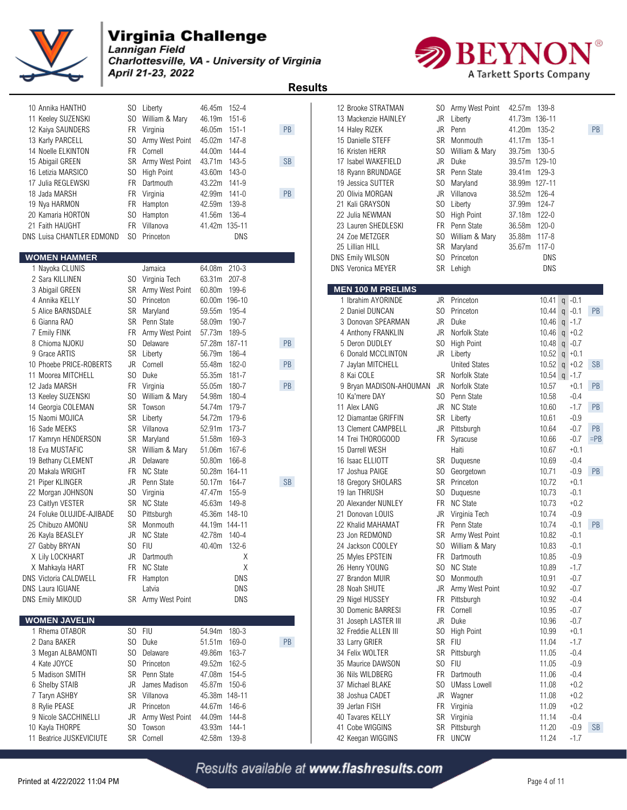

Lannigan Field Charlottesville, VA - University of Virginia April 21-23, 2022

 **Results** 



|                          |                |                    |               |            | <b>Results</b> |                           |                |                      |               |            |                |           |
|--------------------------|----------------|--------------------|---------------|------------|----------------|---------------------------|----------------|----------------------|---------------|------------|----------------|-----------|
| 0 Annika HANTHO          |                | SO Liberty         | 46.45m 152-4  |            |                | 12 Brooke STRATMAN        |                | SO Army West Point   | 42.57m 139-8  |            |                |           |
| 1 Keeley SUZENSKI        |                | SO William & Mary  | 46.19m 151-6  |            |                | 13 Mackenzie HAINLEY      | JR             | Liberty              | 41.73m 136-11 |            |                |           |
| 2 Kaiya SAUNDERS         | FR             | Virginia           | 46.05m 151-1  |            | PB             | 14 Haley RIZEK            | <b>JR</b>      | Penn                 | 41.20m        | 135-2      |                | PB        |
| 3 Karly PARCELL          | S <sub>0</sub> | Army West Point    | 45.02m 147-8  |            |                | 15 Danielle STEFF         | <b>SR</b>      | Monmouth             | 41.17m        | 135-1      |                |           |
| 4 Noelle ELKINTON        | FR.            | Cornell            | 44.00m 144-4  |            |                | 16 Kristen HERR           | SO.            | William & Mary       | 39.75m 130-5  |            |                |           |
| 5 Abigail GREEN          | <b>SR</b>      | Army West Point    | 43.71m 143-5  |            | <b>SB</b>      | 17 Isabel WAKEFIELD       | JR             | Duke                 | 39.57m 129-10 |            |                |           |
| 6 Letizia MARSICO        | S <sub>0</sub> | High Point         | 43.60m 143-0  |            |                | 18 Ryann BRUNDAGE         | SR             | Penn State           | 39.41m 129-3  |            |                |           |
| 7 Julia REGLEWSKI        | <b>FR</b>      | Dartmouth          | 43.22m 141-9  |            |                | 19 Jessica SUTTER         | SO.            | Maryland             | 38.99m 127-11 |            |                |           |
| 8 Jada MARSH             | FR             | Virginia           | 42.99m 141-0  |            | PB             | 20 Olivia MORGAN          | JR             | Villanova            | 38.52m 126-4  |            |                |           |
| 9 Nya HARMON             | FR             | Hampton            | 42.59m 139-8  |            |                | 21 Kali GRAYSON           | SO.            | Liberty              | 37.99m 124-7  |            |                |           |
| 0 Kamaria HORTON         | S <sub>0</sub> | Hampton            | 41.56m 136-4  |            |                | 22 Julia NEWMAN           | SO.            | High Point           | 37.18m        | $122 - 0$  |                |           |
| 1 Faith HAUGHT           | FR.            | Villanova          | 41.42m 135-11 |            |                | 23 Lauren SHEDLESKI       | FR             | Penn State           | 36.58m        | $120 - 0$  |                |           |
| S Luisa CHANTLER EDMOND  |                | SO Princeton       |               | DNS        |                | 24 Zoe METZGER            | SO.            | William & Mary       | 35.88m 117-8  |            |                |           |
|                          |                |                    |               |            |                | 25 Lillian HILL           | <b>SR</b>      | Maryland             | 35.67m 117-0  |            |                |           |
| <b>OMEN HAMMER</b>       |                |                    |               |            |                | DNS Emily WILSON          | SO.            | Princeton            |               | DNS        |                |           |
| 1 Nayoka CLUNIS          |                | Jamaica            | 64.08m 210-3  |            |                | <b>DNS Veronica MEYER</b> |                | SR Lehigh            |               | <b>DNS</b> |                |           |
| 2 Sara KILLINEN          |                | SO Virginia Tech   | 63.31m 207-8  |            |                |                           |                |                      |               |            |                |           |
| 3 Abigail GREEN          | SR             | Army West Point    | 60.80m 199-6  |            |                | <b>MEN 100 M PRELIMS</b>  |                |                      |               |            |                |           |
| 4 Annika KELLY           | SO.            | Princeton          | 60.00m 196-10 |            |                | 1 Ibrahim AYORINDE        | JR             | Princeton            |               |            | 10.41 $q$ -0.1 |           |
| 5 Alice BARNSDALE        | SR             | Maryland           | 59.55m 195-4  |            |                | 2 Daniel DUNCAN           | SO.            | Princeton            |               |            | 10.44 $q$ -0.1 | PB        |
| 6 Gianna RAO             | SR             | Penn State         | 58.09m 190-7  |            |                | 3 Donovan SPEARMAN        | JR             | Duke                 |               |            | 10.46 $q -1.7$ |           |
| 7 Emily FINK             | FR             | Army West Point    | 57.73m 189-5  |            |                | 4 Anthony FRANKLIN        | JR             | Norfolk State        |               | 10.46      | $q + 0.2$      |           |
| 8 Chioma NJOKU           | SO.            | Delaware           | 57.28m 187-11 |            | PB             | 5 Deron DUDLEY            | SO.            | High Point           |               |            | 10.48 $q -0.7$ |           |
| 9 Grace ARTIS            | SR             | Liberty            | 56.79m 186-4  |            |                | 6 Donald MCCLINTON        | JR             | Liberty              |               |            | 10.52 $q$ +0.1 |           |
| 0 Phoebe PRICE-ROBERTS   |                | JR Cornell         | 55.48m 182-0  |            | PB             | 7 Jaylan MITCHELL         |                | <b>United States</b> |               |            | 10.52 $q +0.2$ | <b>SB</b> |
| 1 Moorea MITCHELL        | SO.            | Duke               | 55.35m 181-7  |            |                | 8 Kai COLE                | SR             | Norfolk State        |               |            | 10.54 $q$ -1.7 |           |
| 2 Jada MARSH             | FR.            | Virginia           | 55.05m 180-7  |            | PB             | 9 Bryan MADISON-AHOUMAN   | JR.            | Norfolk State        |               | 10.57      | $+0.1$         | PB        |
| 3 Keeley SUZENSKI        | SO.            | William & Mary     | 54.98m 180-4  |            |                | 10 Ka'mere DAY            | SO.            | Penn State           |               | 10.58      | $-0.4$         |           |
| 4 Georgia COLEMAN        | SR             | Towson             | 54.74m 179-7  |            |                | 11 Alex LANG              | JR             | NC State             |               | 10.60      | $-1.7$         | PB        |
| 5 Naomi MOJICA           | <b>SR</b>      | Liberty            | 54.72m 179-6  |            |                | 12 Diamantae GRIFFIN      | SR             | Liberty              |               | 10.61      | $-0.9$         |           |
| 6 Sade MEEKS             |                | SR Villanova       | 52.91m 173-7  |            |                | 13 Clement CAMPBELL       | JR             | Pittsburgh           |               | 10.64      | $-0.7$         | PB        |
| 7 Kamryn HENDERSON       | SR             | Maryland           | 51.58m 169-3  |            |                | 14 Trei THOROGOOD         |                | FR Syracuse          |               | 10.66      | $-0.7$         | $=$ PB    |
| 8 Eva MUSTAFIC           |                | SR William & Mary  | 51.06m 167-6  |            |                | 15 Darrell WESH           |                | Haiti                |               | 10.67      | $+0.1$         |           |
| 9 Bethany CLEMENT        | JR             | Delaware           | 50.80m 166-8  |            |                | 16 Isaac ELLIOTT          | SR             | Duquesne             |               | 10.69      | $-0.4$         |           |
| 0 Makala WRIGHT          | <b>FR</b>      | <b>NC State</b>    | 50.28m 164-11 |            |                | 17 Joshua PAIGE           | SO.            | Georgetown           |               | 10.71      | $-0.9$         | PB        |
| 1 Piper KLINGER          | JR             | Penn State         | 50.17m 164-7  |            | <b>SB</b>      | 18 Gregory SHOLARS        | SR             | Princeton            |               | 10.72      | $+0.1$         |           |
| 2 Morgan JOHNSON         |                | SO Virginia        | 47.47m 155-9  |            |                | 19 Ian THRUSH             | SO.            | Duquesne             |               | 10.73      | $-0.1$         |           |
| 3 Caitlyn VESTER         |                | SR NC State        | 45.63m 149-8  |            |                | 20 Alexander NUNLEY       | FR             | <b>NC State</b>      |               | 10.73      | $+0.2$         |           |
| 4 Foluke OLUJIDE-AJIBADE | SO             | Pittsburgh         | 45.36m 148-10 |            |                | 21 Donovan LOUIS          | JR             | Virginia Tech        |               | 10.74      | $-0.9$         |           |
| 5 Chibuzo AMONU          |                | SR Monmouth        | 44.19m 144-11 |            |                | 22 Khalid MAHAMAT         | FR.            | Penn State           |               | 10.74      | $-0.1$         | PB        |
| 6 Kayla BEASLEY          |                | JR NC State        | 42.78m 140-4  |            |                | 23 Jon REDMOND            |                | SR Army West Point   |               | 10.82      | $-0.1$         |           |
| 7 Gabby BRYAN            |                | SO FIU             | 40.40m 132-6  |            |                | 24 Jackson COOLEY         |                | SO William & Mary    |               | 10.83      | $-0.1$         |           |
| X Lily LOCKHART          |                | JR Dartmouth       |               | Χ          |                | 25 Myles EPSTEIN          |                | FR Dartmouth         |               | 10.85      | $-0.9$         |           |
| X Mahkayla HART          |                | FR NC State        |               | Χ          |                | 26 Henry YOUNG            | SO.            | <b>NC State</b>      |               | 10.89      | $-1.7$         |           |
| S Victoria CALDWELL      |                | FR Hampton         |               | <b>DNS</b> |                | 27 Brandon MUIR           | SO.            | Monmouth             |               | 10.91      | $-0.7$         |           |
| S Laura IGUANE           |                | Latvia             |               | <b>DNS</b> |                | 28 Noah SHUTE             | JR             | Army West Point      |               | 10.92      | $-0.7$         |           |
| S Emily MIKOUD           |                | SR Army West Point |               | DNS        |                | 29 Nigel HUSSEY           | FR             | Pittsburgh           |               | 10.92      | $-0.4$         |           |
|                          |                |                    |               |            |                | 30 Domenic BARRESI        | FR             | Cornell              |               | 10.95      | $-0.7$         |           |
| <b>OMEN JAVELIN</b>      |                |                    |               |            |                | 31 Joseph LASTER III      | JR             | Duke                 |               | 10.96      | $-0.7$         |           |
| 1 Rhema OTABOR           |                | SO FIU             | 54.94m 180-3  |            |                | 32 Freddie ALLEN III      | S <sub>0</sub> | <b>High Point</b>    |               | 10.99      | $+0.1$         |           |
| 2 Dana BAKER             |                | SO Duke            | 51.51m 169-0  |            | PB             | 33 Larry GRIER            | SR             | FIU                  |               | 11.04      | $-1.7$         |           |
| 3 Megan ALBAMONTI        | SO.            | Delaware           | 49.86m 163-7  |            |                | 34 Felix WOLTER           |                | SR Pittsburgh        |               | 11.05      | $-0.4$         |           |
| 4 Kate JOYCE             | SO.            | Princeton          | 49.52m 162-5  |            |                | 35 Maurice DAWSON         | SO.            | <b>FIU</b>           |               | 11.05      | $-0.9$         |           |
| 5 Madison SMITH          | SR             | Penn State         | 47.08m 154-5  |            |                | 36 Nils WILDBERG          | FR             | Dartmouth            |               | 11.06      | $-0.4$         |           |
| 6 Shelby STAIB           | JR             | James Madison      | 45.87m 150-6  |            |                | 37 Michael BLAKE          | SO.            | <b>UMass Lowell</b>  |               | 11.08      | $+0.2$         |           |
| 7 Taryn ASHBY            |                | SR Villanova       | 45.38m 148-11 |            |                | 38 Joshua CADET           | JR             | Wagner               |               | 11.08      | $+0.2$         |           |
| 8 Rylie PEASE            | JR             | Princeton          | 44.67m 146-6  |            |                | 39 Jerlan FISH            | FR             | Virginia             |               | 11.09      | $+0.2$         |           |
| 9 Nicole SACCHINELLI     | JR             | Army West Point    | 44.09m 144-8  |            |                | 40 Tavares KELLY          | <b>SR</b>      | Virginia             |               | 11.14      | $-0.4$         |           |
| 0 Kayla THORPE           | SO.            | Towson             | 43.93m 144-1  |            |                | 41 Cobe WIGGINS           |                | SR Pittsburgh        |               | 11.20      |                | $-0.9$ SB |
| 1 Beatrice JUSKEVICIUTE  |                | SR Cornell         | 42.58m 139-8  |            |                | 42 Keegan WIGGINS         |                | FR UNCW              |               | 11.24      | $-1.7$         |           |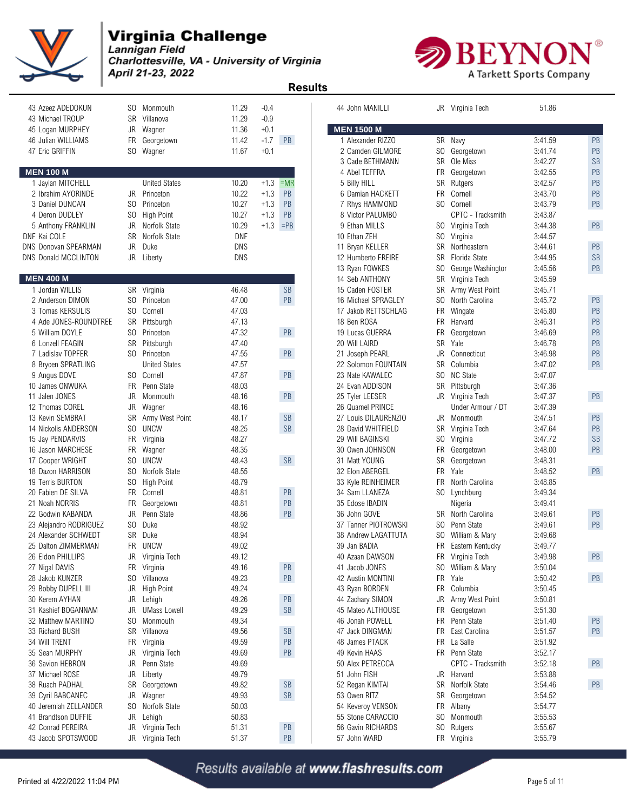

Lannigan Field Charlottesville, VA - University of Virginia April 21-23, 2022



|                                  |           |                      |            |        | ngsuna               |                      |                |                                    |         |           |
|----------------------------------|-----------|----------------------|------------|--------|----------------------|----------------------|----------------|------------------------------------|---------|-----------|
| 43 Azeez ADEDOKUN                |           | SO Monmouth          | 11.29      | $-0.4$ |                      | 44 John MANILLI      |                | JR Virginia Tech                   | 51.86   |           |
| 43 Michael TROUP                 | SR        | Villanova            | 11.29      | $-0.9$ |                      |                      |                |                                    |         |           |
| 45 Logan MURPHEY                 | JR        | Wagner               | 11.36      | $+0.1$ |                      | <b>MEN 1500 M</b>    |                |                                    |         |           |
| 46 Julian WILLIAMS               | FR        | Georgetown           | 11.42      | $-1.7$ | PB                   | 1 Alexander RIZZO    |                | SR Navy                            | 3:41.59 | PB        |
| 47 Eric GRIFFIN                  | SO.       | Wagner               | 11.67      | $+0.1$ |                      | 2 Camden GILMORE     | SO.            | Georgetown                         | 3:41.74 | PB        |
|                                  |           |                      |            |        |                      | 3 Cade BETHMANN      | <b>SR</b>      | Ole Miss                           | 3:42.27 | <b>SB</b> |
| <b><i>IEN 100 M</i></b>          |           |                      |            |        |                      | 4 Abel TEFFRA        | FR             | Georgetown                         | 3:42.55 | PB        |
| 1 Jaylan MITCHELL                |           | <b>United States</b> | 10.20      | $+1.3$ | $=MR$                | 5 Billy HILL         | SR             | Rutgers                            | 3:42.57 | PB        |
| 2 Ibrahim AYORINDE               | JR        | Princeton            | 10.22      | $+1.3$ | PB                   | 6 Damian HACKETT     | <b>FR</b>      | Cornell                            | 3:43.70 | PB        |
| 3 Daniel DUNCAN                  | SO.       | Princeton            | 10.27      | $+1.3$ | PB                   | 7 Rhys HAMMOND       | SO.            | Cornell                            | 3:43.79 | PB        |
| 4 Deron DUDLEY                   |           | SO High Point        | 10.27      | $+1.3$ | PB                   | 8 Victor PALUMBO     |                | CPTC - Tracksmith                  | 3:43.87 |           |
| 5 Anthony FRANKLIN               | JR        | Norfolk State        | 10.29      | $+1.3$ | $=$ PB               | 9 Ethan MILLS        | SO.            | Virginia Tech                      | 3:44.38 | PB        |
| NF Kai COLE                      | <b>SR</b> | Norfolk State        | <b>DNF</b> |        |                      | 10 Ethan ZEH         | SO.            | Virginia                           | 3:44.57 |           |
| <b>VS Donovan SPEARMAN</b>       | <b>JR</b> | Duke                 | <b>DNS</b> |        |                      | 11 Bryan KELLER      | SR             | Northeastern                       | 3:44.61 | PB        |
| <b>VS Donald MCCLINTON</b>       |           | JR Liberty           | <b>DNS</b> |        |                      | 12 Humberto FREIRE   | <b>SR</b>      | Florida State                      | 3:44.95 | <b>SB</b> |
|                                  |           |                      |            |        |                      | 13 Ryan FOWKES       | SO.            | George Washington                  | 3:45.56 | PB        |
| <b>JEN 400 M</b>                 |           |                      |            |        |                      | 14 Seb ANTHONY       | SR             | Virginia Tech                      | 3:45.59 |           |
| 1 Jordan WILLIS                  | SR        | Virginia             | 46.48      |        | <b>SB</b>            | 15 Caden FOSTER      | SR             | Army West Point                    | 3:45.71 |           |
| 2 Anderson DIMON                 |           | SO Princeton         | 47.00      |        | PB                   | 16 Michael SPRAGLEY  | SO.            | North Carolina                     | 3:45.72 | PB        |
| 3 Tomas KERSULIS                 |           | SO Cornell           | 47.03      |        |                      | 17 Jakob RETTSCHLAG  | FR             | Wingate                            | 3:45.80 | PB        |
| 4 Ade JONES-ROUNDTREE            |           | SR Pittsburgh        | 47.13      |        |                      | 18 Ben ROSA          | FR.            | Harvard                            | 3:46.31 | PB        |
| 5 William DOYLE                  | SO.       | Princeton            | 47.32      |        | PB                   | 19 Lucas GUERRA      | FR             | Georgetown                         | 3:46.69 | PB        |
| 6 Lonzell FEAGIN                 |           | SR Pittsburgh        | 47.40      |        |                      | 20 Will LAIRD        | SR             | Yale                               | 3:46.78 | PB        |
| 7 Ladislav TOPFER                |           | SO Princeton         | 47.55      |        | PB                   | 21 Joseph PEARL      | JR             | Connecticut                        | 3:46.98 | PB        |
| 8 Brycen SPRATLING               |           | <b>United States</b> | 47.57      |        |                      | 22 Solomon FOUNTAIN  | <b>SR</b>      | Columbia                           | 3:47.02 | <b>PB</b> |
| 9 Angus DOVE                     |           | SO Cornell           | 47.87      |        | PB                   | 23 Nate KAWALEC      | SO.            | <b>NC State</b>                    | 3:47.07 |           |
| 10 James ONWUKA                  |           | FR Penn State        | 48.03      |        |                      | 24 Evan ADDISON      | SR             | Pittsburgh                         | 3:47.36 |           |
| 11 Jalen JONES                   | JR        | Monmouth             | 48.16      |        | PB                   | 25 Tyler LEESER      | JR             | Virginia Tech                      | 3:47.37 | PB        |
| 12 Thomas COREL                  | JR        | Wagner               | 48.16      |        |                      | 26 Quamel PRINCE     |                | Under Armour / DT                  | 3:47.39 |           |
| 13 Kevin SEMBRAT                 | SR        | Army West Point      | 48.17      |        | <b>SB</b>            | 27 Louis DILAURENZIO | JR             | Monmouth                           | 3:47.51 | PB        |
| 14 Nickolis ANDERSON             |           | SO UNCW              | 48.25      |        | SB                   | 28 David WHITFIELD   | SR             | Virginia Tech                      | 3:47.64 | <b>PB</b> |
| 15 Jay PENDARVIS                 | FR        | Virginia             | 48.27      |        |                      | 29 Will BAGINSKI     | SO.            | Virginia                           | 3:47.72 | <b>SB</b> |
| 16 Jason MARCHESE                | FR        | Wagner               | 48.35      |        |                      | 30 Owen JOHNSON      | FR             | Georgetown                         | 3:48.00 | PB        |
| 17 Cooper WRIGHT                 | SO.       | <b>UNCW</b>          | 48.43      |        | SB                   | 31 Matt YOUNG        | SR             | Georgetown                         | 3:48.31 |           |
| 18 Dazon HARRISON                |           | SO Norfolk State     | 48.55      |        |                      | 32 Elon ABERGEL      | FR.            | Yale                               | 3:48.52 | PB        |
| 19 Terris BURTON                 | SO.       | <b>High Point</b>    | 48.79      |        |                      | 33 Kyle REINHEIMER   | <b>FR</b>      | North Carolina                     | 3:48.85 |           |
| 20 Fabien DE SILVA               | <b>FR</b> | Cornell              | 48.81      |        | PB                   | 34 Sam LLANEZA       | SO             | Lynchburg                          | 3:49.34 |           |
| 21 Noah NORRIS                   |           | FR Georgetown        | 48.81      |        | PB                   | 35 Edose IBADIN      |                | Nigeria                            | 3:49.41 |           |
| 22 Godwin KABANDA                | JR        | Penn State           | 48.86      |        | PB                   | 36 John GOVE         | SR             | North Carolina                     | 3:49.61 | PB        |
| 23 Alejandro RODRIGUEZ           |           | SO Duke              | 48.92      |        |                      | 37 Tanner PIOTROWSKI | SO.            | Penn State                         | 3:49.61 | PB        |
| 24 Alexander SCHWEDT             |           | SR Duke              | 48.94      |        |                      | 38 Andrew LAGATTUTA  | SO.            | William & Mary                     | 3:49.68 |           |
| 25 Dalton ZIMMERMAN              |           | FR UNCW              | 49.02      |        |                      | 39 Jan BADIA         | FR             | Eastern Kentucky                   | 3:49.77 |           |
| 26 Eldon PHILLIPS                |           | JR Virginia Tech     | 49.12      |        |                      | 40 Azaan DAWSON      |                | FR Virginia Tech                   | 3:49.98 | PB        |
| 27 Nigal DAVIS                   | FR        | Virginia             | 49.16      |        | PB                   | 41 Jacob JONES       | SO.            | William & Mary                     | 3:50.04 |           |
| 28 Jakob KUNZER                  |           | SO Villanova         | 49.23      |        | PB                   | 42 Austin MONTINI    | <b>FR</b>      | Yale                               | 3.50.42 | PB        |
| 29 Bobby DUPELL III              |           | JR High Point        | 49.24      |        |                      | 43 Ryan BORDEN       | FR             | Columbia                           | 3:50.45 |           |
| 30 Kerem AYHAN                   |           | JR Lehigh            | 49.26      |        | PB                   | 44 Zachary SIMON     | JR             | Army West Point                    | 3:50.81 |           |
| 31 Kashief BOGANNAM              | JR        | <b>UMass Lowell</b>  | 49.29      |        | <b>SB</b>            | 45 Mateo ALTHOUSE    |                |                                    | 3:51.30 |           |
| 32 Matthew MARTINO               | SO.       | Monmouth             | 49.34      |        |                      | 46 Jonah POWELL      | FR<br>FR       | Georgetown<br>Penn State           | 3.51.40 |           |
|                                  |           | SR Villanova         |            |        | $\mathsf{SB}\xspace$ | 47 Jack DINGMAN      | FR             | East Carolina                      | 3:51.57 | PB<br>PB  |
| 33 Richard BUSH<br>34 Will TRENT |           | FR Virginia          | 49.56      |        | $\mathsf{PB}$        | 48 James PTACK       |                | FR La Salle                        | 3.51.92 |           |
|                                  |           |                      | 49.59      |        |                      |                      |                |                                    |         |           |
| 35 Sean MURPHY                   | JR        | Virginia Tech        | 49.69      |        | PB                   | 49 Kevin HAAS        |                | FR Penn State<br>CPTC - Tracksmith | 3.52.17 |           |
| 36 Savion HEBRON                 | JR        | Penn State           | 49.69      |        |                      | 50 Alex PETRECCA     |                |                                    | 3.52.18 | PB        |
| 37 Michael ROSE                  |           | JR Liberty           | 49.79      |        |                      | 51 John FISH         |                | JR Harvard                         | 3.53.88 |           |
| 38 Ruach PADHAL                  | SR        | Georgetown           | 49.82      |        | $\mathsf{SB}\xspace$ | 52 Regan KIMTAI      |                | SR Norfolk State                   | 3:54.46 | PB        |
| 39 Cyril BABCANEC                | JR        | Wagner               | 49.93      |        | SB                   | 53 Owen RITZ         |                | SR Georgetown                      | 3.54.52 |           |
| 40 Jeremiah ZELLANDER            |           | SO Norfolk State     | 50.03      |        |                      | 54 Keveroy VENSON    |                | FR Albany                          | 3:54.77 |           |
| 41 Brandtson DUFFIE              |           | JR Lehigh            | 50.83      |        |                      | 55 Stone CARACCIO    | SO.            | Monmouth                           | 3.55.53 |           |
| 42 Conrad PEREIRA                | JR        | Virginia Tech        | 51.31      |        | PB                   | 56 Gavin RICHARDS    | S <sub>0</sub> | Rutgers                            | 3:55.67 |           |
| 43 Jacob SPOTSWOOD               |           | JR Virginia Tech     | 51.37      |        | PB                   | 57 John WARD         |                | FR Virginia                        | 3:55.79 |           |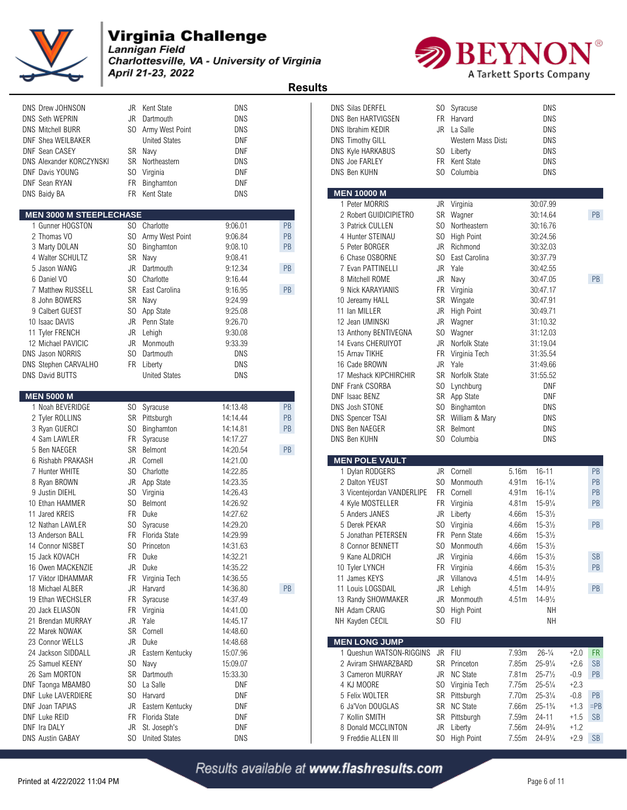

Charlottesville, VA - University of Virginia April 21-23, 2022



 **Results** 

| DNS Drew JOHNSON                      |                | JR Kent State           | DNS                |    | <b>DNS Silas DERFEL</b>          |           | SO Syracuse                |                   | DNS                  |           |           |
|---------------------------------------|----------------|-------------------------|--------------------|----|----------------------------------|-----------|----------------------------|-------------------|----------------------|-----------|-----------|
| DNS Seth WEPRIN                       | JR             | Dartmouth               | <b>DNS</b>         |    | <b>DNS Ben HARTVIGSEN</b>        |           | FR Harvard                 |                   | <b>DNS</b>           |           |           |
| <b>DNS Mitchell BURR</b>              |                | SO Army West Point      | <b>DNS</b>         |    | DNS Ibrahim KEDIR                |           | JR La Salle                |                   | <b>DNS</b>           |           |           |
| DNF Shea WEILBAKER                    |                | <b>United States</b>    | DNF                |    | <b>DNS Timothy GILL</b>          |           | Western Mass Dista         |                   | DNS                  |           |           |
| <b>DNF Sean CASEY</b>                 |                | SR Navy                 | DNF                |    | <b>DNS Kyle HARKABUS</b>         |           | SO Liberty                 |                   | DNS                  |           |           |
| DNS Alexander KORCZYNSKI              | SR             | Northeastern            | <b>DNS</b>         |    | <b>DNS Joe FARLEY</b>            | FR.       | Kent State                 |                   | <b>DNS</b>           |           |           |
| DNF Davis YOUNG                       | SO.            | Virginia                | <b>DNF</b>         |    | DNS Ben KUHN                     |           | SO Columbia                |                   | <b>DNS</b>           |           |           |
| <b>DNF Sean RYAN</b>                  | <b>FR</b>      | Binghamton              | <b>DNF</b>         |    |                                  |           |                            |                   |                      |           |           |
| DNS Baidy BA                          |                | FR Kent State           | DNS                |    | <b>MEN 10000 M</b>               |           |                            |                   |                      |           |           |
|                                       |                |                         |                    |    | 1 Peter MORRIS                   |           | JR Virginia                |                   | 30:07.99             |           |           |
| <b>MEN 3000 M STEEPLECHASE</b>        |                |                         |                    |    | 2 Robert GUIDICIPIETRO           |           | SR Wagner                  |                   | 30:14.64             |           | PB        |
| 1 Gunner HOGSTON                      |                | SO Charlotte            | 9:06.01            | PB | 3 Patrick CULLEN                 |           | SO Northeastern            |                   | 30:16.76             |           |           |
| 2 Thomas VO                           |                | SO Army West Point      | 9:06.84            | PB | 4 Hunter STEINAU                 |           | SO High Point              |                   | 30:24.56             |           |           |
| 3 Marty DOLAN                         | S <sub>0</sub> | Binghamton              | 9:08.10            | PB | 5 Peter BORGER                   | JR        | Richmond                   |                   | 30:32.03             |           |           |
| 4 Walter SCHULTZ                      | SR             | Navy                    | 9:08.41            |    | 6 Chase OSBORNE                  | SO.       | East Carolina              |                   | 30:37.79             |           |           |
| 5 Jason WANG                          | <b>JR</b>      | Dartmouth               | 9:12.34            | PB | 7 Evan PATTINELLI                | JR.       | Yale                       |                   | 30:42.55             |           |           |
| 6 Daniel VO                           | S <sub>0</sub> | Charlotte               | 9:16.44            |    | 8 Mitchell ROME                  | JR        | Navy                       |                   | 30:47.05             |           | PB        |
| 7 Matthew RUSSELL                     | SR             | East Carolina           | 9:16.95            | PB | 9 Nick KARAYIANIS                | <b>FR</b> | Virginia                   |                   | 30:47.17             |           |           |
| 8 John BOWERS                         | SR             | Navy                    | 9:24.99            |    | 10 Jereamy HALL                  | SR        | Wingate                    |                   | 30:47.91             |           |           |
| 9 Calbert GUEST                       | SO.<br>JR      | App State<br>Penn State | 9:25.08<br>9:26.70 |    | 11 Ian MILLER<br>12 Jean UMINSKI | JR        | <b>High Point</b>          |                   | 30:49.71             |           |           |
| 10 Isaac DAVIS                        | <b>JR</b>      |                         | 9:30.08            |    | 13 Anthony BENTIVEGNA            |           | JR Wagner                  |                   | 31:10.32             |           |           |
| 11 Tyler FRENCH<br>12 Michael PAVICIC | <b>JR</b>      | Lehigh<br>Monmouth      | 9:33.39            |    | 14 Evans CHERUIYOT               | JR        | SO Wagner<br>Norfolk State |                   | 31:12.03<br>31:19.04 |           |           |
| <b>DNS Jason NORRIS</b>               | SO.            | Dartmouth               | DNS                |    | 15 Arnav TIKHE                   | FR        | Virginia Tech              |                   | 31:35.54             |           |           |
| <b>DNS Stephen CARVALHO</b>           |                | FR Liberty              | <b>DNS</b>         |    | 16 Cade BROWN                    |           | JR Yale                    |                   | 31:49.66             |           |           |
| <b>DNS David BUTTS</b>                |                | <b>United States</b>    | <b>DNS</b>         |    | 17 Meshack KIPCHIRCHIR           |           | SR Norfolk State           |                   | 31:55.52             |           |           |
|                                       |                |                         |                    |    | DNF Frank CSORBA                 |           | SO Lynchburg               |                   | DNF                  |           |           |
| <b>MEN 5000 M</b>                     |                |                         |                    |    | DNF Isaac BENZ                   |           | SR App State               |                   | DNF                  |           |           |
| 1 Noah BEVERIDGE                      |                | SO Syracuse             | 14:13.48           | PB | DNS Josh STONE                   |           | SO Binghamton              |                   | <b>DNS</b>           |           |           |
| 2 Tyler ROLLINS                       |                | SR Pittsburgh           | 14:14.44           | PB | <b>DNS Spencer TSAI</b>          |           | SR William & Mary          |                   | <b>DNS</b>           |           |           |
| 3 Ryan GUERCI                         | S <sub>0</sub> | Binghamton              | 14:14.81           | PB | <b>DNS Ben NAEGER</b>            | SR        | Belmont                    |                   | <b>DNS</b>           |           |           |
| 4 Sam LAWLER                          | FR             | Syracuse                | 14:17.27           |    | DNS Ben KUHN                     |           | SO Columbia                |                   | DNS                  |           |           |
| 5 Ben NAEGER                          | SR             | Belmont                 | 14:20.54           | PB |                                  |           |                            |                   |                      |           |           |
| 6 Rishabh PRAKASH                     | JR             | Cornell                 | 14:21.00           |    | <b>MEN POLE VAULT</b>            |           |                            |                   |                      |           |           |
| 7 Hunter WHITE                        | SO.            | Charlotte               | 14:22.85           |    | 1 Dylan RODGERS                  |           | JR Cornell                 | 5.16m             | $16 - 11$            |           | PB        |
| 8 Ryan BROWN                          | JR             | App State               | 14:23.35           |    | 2 Dalton YEUST                   |           | SO Monmouth                | 4.91m             | $16 - 1\frac{1}{4}$  |           | PB        |
| 9 Justin DIEHL                        | S <sub>0</sub> | Virginia                | 14:26.43           |    | 3 Vicentejordan VANDERLIPE       |           | FR Cornell                 | 4.91m             | $16 - 1\frac{1}{4}$  |           | PB        |
| 10 Ethan HAMMER                       | SO.            | Belmont                 | 14:26.92           |    | 4 Kyle MOSTELLER                 |           | FR Virginia                | 4.81m             | $15 - 9\frac{1}{4}$  |           | PB        |
| 11 Jared KREIS                        | FR             | Duke                    | 14:27.62           |    | 5 Anders JANES                   |           | JR Liberty                 | 4.66m             | $15 - 3\frac{1}{2}$  |           |           |
| 12 Nathan LAWLER                      | SO.            | Syracuse                | 14:29.20           |    | 5 Derek PEKAR                    |           | SO Virginia                | 4.66m             | $15 - 3\frac{1}{2}$  |           | PB        |
| 13 Anderson BALL                      | <b>FR</b>      | Florida State           | 14:29.99           |    | 5 Jonathan PETERSEN              | FR.       | Penn State                 | 4.66m             | $15 - 3\frac{1}{2}$  |           |           |
| 14 Connor NISBET                      |                | SO Princeton            | 14:31.63           |    | 8 Connor BENNETT                 |           | SO Monmouth                | 4.66m             | $15 - 3\frac{1}{2}$  |           |           |
| 15 Jack KOVACH                        | FR.            | Duke                    | 14:32.21           |    | 9 Kane ALDRICH                   |           | JR Virginia                | 4.66m             | $15 - 3\frac{1}{2}$  |           | <b>SB</b> |
| 16 Owen MACKENZIE                     | JR             | Duke                    | 14:35.22           |    | 10 Tyler LYNCH                   |           | FR Virginia                | 4.66m             | $15 - 3\frac{1}{2}$  |           | PB        |
| 17 Viktor IDHAMMAR                    |                | FR Virginia Tech        | 14:36.55           |    | 11 James KEYS                    | JR        | Villanova                  | 4.51 <sub>m</sub> | $14 - 9\frac{1}{2}$  |           |           |
| 18 Michael ALBER                      | JR             | Harvard                 | 14:36.80           | PB | 11 Louis LOGSDAIL                |           | JR Lehigh                  | 4.51 <sub>m</sub> | $14 - 9\frac{1}{2}$  |           | PB        |
| 19 Ethan WECHSLER                     |                | FR Syracuse             | 14:37.49           |    | 13 Randy SHOWMAKER               |           | JR Monmouth                | 4.51m             | $14 - 9\frac{1}{2}$  |           |           |
| 20 Jack ELIASON                       |                | FR Virginia             | 14:41.00           |    | NH Adam CRAIG                    |           | SO High Point              |                   | <b>NH</b>            |           |           |
| 21 Brendan MURRAY                     | JR             | Yale                    | 14:45.17           |    | NH Kayden CECIL                  |           | SO FIU                     |                   | NΗ                   |           |           |
| 22 Marek NOWAK                        | SR             | Cornell                 | 14:48.60           |    |                                  |           |                            |                   |                      |           |           |
| 23 Connor WELLS                       |                | JR Duke                 | 14:48.68           |    | <b>MEN LONG JUMP</b>             |           |                            |                   |                      |           |           |
| 24 Jackson SIDDALL                    | JR             | Eastern Kentucky        | 15:07.96           |    | 1 Queshun WATSON-RIGGINS         |           | JR FIU                     | 7.93m             | $26 - \frac{1}{4}$   | $+2.0$    | FR        |
| 25 Samuel KEENY                       | S <sub>0</sub> | Navy                    | 15:09.07           |    | 2 Aviram SHWARZBARD              |           | SR Princeton               | 7.85m             | $25 - 9\frac{1}{4}$  | $+2.6$    | <b>SB</b> |
| 26 Sam MORTON                         |                | SR Dartmouth            | 15:33.30           |    | 3 Cameron MURRAY                 |           | JR NC State                | 7.81m             | $25 - 7\frac{1}{2}$  | $-0.9$    | PB        |
| DNF Taonga MBAMBO                     | SO.            | La Salle                | DNF                |    | 4 KJ MOORE                       |           | SO Virginia Tech           | 7.75m             | $25 - 5\frac{1}{4}$  | $+2.3$    |           |
| DNF Luke LAVERDIERE                   | S <sub>0</sub> | Harvard                 | DNF                |    | 5 Felix WOLTER                   |           | SR Pittsburgh              | 7.70m             | $25 - 3\frac{1}{4}$  | $-0.8$    | PB        |
| DNF Joan TAPIAS                       | JR             | Eastern Kentucky        | DNF                |    | 6 Ja'Von DOUGLAS                 |           | SR NC State                | 7.66m             | $25 - 1\frac{3}{4}$  | $+1.3$    | $=$ PE    |
| DNF Luke REID                         |                | FR Florida State        | DNF                |    | 7 Kollin SMITH                   |           | SR Pittsburgh              | 7.59m             | $24 - 11$            | $+1.5$    | <b>SB</b> |
| DNF Ira DALY                          | JR             | St. Joseph's            | DNF                |    | 8 Donald MCCLINTON               |           | JR Liberty                 | 7.56m             | $24 - 9\frac{3}{4}$  | $+1.2$    |           |
| <b>DNS Austin GABAY</b>               |                | SO United States        | DNS                |    | 9 Freddie ALLEN III              |           | SO High Point              | 7.55m             | $24 - 9\frac{1}{4}$  | $+2.9$ SB |           |

| DNS Drew JOHNSON               | JR             | Kent State           | <b>DNS</b> |               | <b>DNS Silas DERFEL</b>         |           | SO Syracuse        |               | <b>DNS</b>          |           |               |
|--------------------------------|----------------|----------------------|------------|---------------|---------------------------------|-----------|--------------------|---------------|---------------------|-----------|---------------|
| DNS Seth WEPRIN                | JR             | Dartmouth            | <b>DNS</b> |               | <b>DNS Ben HARTVIGSEN</b>       |           | FR Harvard         |               | <b>DNS</b>          |           |               |
| DNS Mitchell BURR              |                | SO Army West Point   | <b>DNS</b> |               | DNS Ibrahim KEDIR               |           | JR La Salle        |               | <b>DNS</b>          |           |               |
| DNF Shea WEILBAKER             |                | <b>United States</b> | <b>DNF</b> |               | <b>DNS Timothy GILL</b>         |           | Western Mass Dista |               | <b>DNS</b>          |           |               |
| DNF Sean CASEY                 |                | SR Navy              | <b>DNF</b> |               | DNS Kyle HARKABUS               |           | SO Liberty         |               | <b>DNS</b>          |           |               |
| DNS Alexander KORCZYNSKI       |                | SR Northeastern      | <b>DNS</b> |               | <b>DNS Joe FARLEY</b>           |           | FR Kent State      |               | <b>DNS</b>          |           |               |
| DNF Davis YOUNG                | SO.            | Virginia             | <b>DNF</b> |               | DNS Ben KUHN                    | SO.       | Columbia           |               | DNS                 |           |               |
| DNF Sean RYAN                  | <b>FR</b>      | Binghamton           | <b>DNF</b> |               |                                 |           |                    |               |                     |           |               |
| DNS Baidy BA                   | FR.            | Kent State           | DNS        |               | <b>MEN 10000 M</b>              |           |                    |               |                     |           |               |
|                                |                |                      |            |               | 1 Peter MORRIS                  |           | JR Virginia        |               | 30:07.99            |           |               |
| <b>MEN 3000 M STEEPLECHASE</b> |                |                      |            |               | 2 Robert GUIDICIPIETRO          |           | SR Wagner          |               | 30:14.64            |           | PB            |
| 1 Gunner HOGSTON               |                | SO Charlotte         | 9:06.01    | <b>PB</b>     | 3 Patrick CULLEN                | SO.       | Northeastern       |               | 30:16.76            |           |               |
| 2 Thomas VO                    |                | SO Army West Point   | 9:06.84    | PB            | 4 Hunter STEINAU                | SO.       | <b>High Point</b>  |               | 30:24.56            |           |               |
| 3 Marty DOLAN                  | SO.            | Binghamton           | 9:08.10    | PB            | 5 Peter BORGER                  |           | JR Richmond        |               | 30:32.03            |           |               |
| 4 Walter SCHULTZ               |                | SR Navy              | 9:08.41    |               | 6 Chase OSBORNE                 | SO.       | East Carolina      |               | 30:37.79            |           |               |
| 5 Jason WANG                   | JR             | Dartmouth            | 9:12.34    | PB            | 7 Evan PATTINELLI               | JR.       | Yale               |               | 30:42.55            |           |               |
| 6 Daniel VO                    | SO.            | Charlotte            | 9:16.44    |               | 8 Mitchell ROME                 | JR        | Navy               |               | 30:47.05            |           | PB            |
| 7 Matthew RUSSELL              |                | SR East Carolina     | 9:16.95    | PB            | 9 Nick KARAYIANIS               | FR        | Virginia           |               | 30:47.17            |           |               |
| 8 John BOWERS                  |                | SR Navy              | 9:24.99    |               | 10 Jereamy HALL                 | <b>SR</b> | Wingate            |               | 30:47.91            |           |               |
| 9 Calbert GUEST                | S <sub>0</sub> | App State            | 9:25.08    |               | 11 Ian MILLER                   | JR        | High Point         |               | 30:49.71            |           |               |
| 10 Isaac DAVIS                 | JR             | Penn State           | 9:26.70    |               | 12 Jean UMINSKI                 | JR        | Wagner             |               | 31:10.32            |           |               |
| 11 Tyler FRENCH                | JR             | Lehigh               | 9:30.08    |               | 13 Anthony BENTIVEGNA           | SO.       | Wagner             |               | 31:12.03            |           |               |
| 12 Michael PAVICIC             | JR             | Monmouth             | 9:33.39    |               | 14 Evans CHERUIYOT              | JR        | Norfolk State      |               | 31:19.04            |           |               |
| DNS Jason NORRIS               | SO.            | Dartmouth            | DNS        |               | 15 Arnav TIKHE                  | FR        | Virginia Tech      |               | 31:35.54            |           |               |
| DNS Stephen CARVALHO           |                | FR Liberty           | <b>DNS</b> |               | 16 Cade BROWN                   | JR        | Yale               |               | 31:49.66            |           |               |
| DNS David BUTTS                |                | <b>United States</b> | DNS        |               | 17 Meshack KIPCHIRCHIR          |           | SR Norfolk State   |               | 31:55.52            |           |               |
|                                |                |                      |            |               | DNF Frank CSORBA                | SO.       | Lynchburg          |               | <b>DNF</b>          |           |               |
| <b>MEN 5000 M</b>              |                |                      |            |               | DNF Isaac BENZ                  |           | SR App State       |               | <b>DNF</b>          |           |               |
| 1 Noah BEVERIDGE               |                | SO Syracuse          | 14:13.48   | PB            | DNS Josh STONE                  |           | SO Binghamton      |               | <b>DNS</b>          |           |               |
| 2 Tyler ROLLINS                |                | SR Pittsburgh        | 14:14.44   | $\mathsf{PB}$ | DNS Spencer TSAI                |           | SR William & Mary  |               | <b>DNS</b>          |           |               |
| 3 Ryan GUERCI                  | SO.            | Binghamton           | 14:14.81   | PB            | DNS Ben NAEGER                  | <b>SR</b> | Belmont            |               | <b>DNS</b>          |           |               |
| 4 Sam LAWLER                   | <b>FR</b>      | Syracuse             | 14:17.27   |               | DNS Ben KUHN                    |           | SO Columbia        |               | <b>DNS</b>          |           |               |
| 5 Ben NAEGER                   | SR             | Belmont              | 14:20.54   | PB            |                                 |           |                    |               |                     |           |               |
| 6 Rishabh PRAKASH              | JR             | Cornell              | 14:21.00   |               | <b>MEN POLE VAULT</b>           |           |                    |               |                     |           |               |
| 7 Hunter WHITE                 | SO.            | Charlotte            | 14:22.85   |               | 1 Dylan RODGERS                 |           | JR Cornell         | 5.16m         | $16 - 11$           |           | $\mathsf{PB}$ |
| 8 Ryan BROWN                   | JR             | App State            | 14:23.35   |               | 2 Dalton YEUST                  | SO.       | Monmouth           | 4.91m         | $16 - 1\frac{1}{4}$ |           | PB            |
| 9 Justin DIEHL                 | SO.            | Virginia             | 14:26.43   |               | 3 Vicentejordan VANDERLIPE      |           | FR Cornell         | 4.91m         | $16 - 1\frac{1}{4}$ |           | PB            |
| 10 Ethan HAMMER                | SO.            | Belmont              | 14:26.92   |               | 4 Kyle MOSTELLER                |           | FR Virginia        | 4.81m         | $15 - 9\frac{1}{4}$ |           | PB            |
| 11 Jared KREIS                 | FR.            | Duke                 | 14:27.62   |               | 5 Anders JANES                  | JR        | Liberty            | 4.66m         | $15 - 3\frac{1}{2}$ |           |               |
| 12 Nathan LAWLER               | S <sub>0</sub> | Syracuse             | 14:29.20   |               | 5 Derek PEKAR                   | SO.       | Virginia           | 4.66m         | $15 - 3\frac{1}{2}$ |           | PB            |
| 13 Anderson BALL               | FR.            | Florida State        | 14:29.99   |               | 5 Jonathan PETERSEN             |           | FR Penn State      | 4.66m         | $15 - 3\frac{1}{2}$ |           |               |
| 14 Connor NISBET               | SO             | Princeton            | 14:31.63   |               | 8 Connor BENNETT                | SO        | Monmouth           | 4.66m         | $15 - 3\frac{1}{2}$ |           |               |
| 15 Jack KOVACH                 |                | FR Duke              | 14:32.21   |               | 9 Kane ALDRICH                  |           | JR Virginia        | 4.66m         | $15 - 3\frac{1}{2}$ |           | <b>SB</b>     |
| 16 Owen MACKENZIE              | JR             | Duke                 | 14:35.22   |               | 10 Tyler LYNCH                  |           | FR Virginia        | 4.66m         | $15 - 3\frac{1}{2}$ |           | PB            |
| 17 Viktor IDHAMMAR             | FR             | Virginia Tech        | 14:36.55   |               | 11 James KEYS                   |           | JR Villanova       | 4.51m         | $14 - 9\frac{1}{2}$ |           |               |
| 18 Michael ALBER               | JR             | Harvard              | 14:36.80   | $\mathsf{PB}$ | 11 Louis LOGSDAIL               | JR        | Lehigh             | 4.51m         | $14 - 9\frac{1}{2}$ |           | PB            |
| 19 Ethan WECHSLER              | FR             | Syracuse             | 14:37.49   |               | 13 Randy SHOWMAKER              | JR        | Monmouth           | 4.51m         | $14 - 9\frac{1}{2}$ |           |               |
| 20 Jack ELIASON                | <b>FR</b>      |                      | 14:41.00   |               | NH Adam CRAIG                   | SO        | <b>High Point</b>  |               | NΗ                  |           |               |
|                                |                | Virginia<br>JR Yale  |            |               |                                 |           | SO FIU             |               | NΗ                  |           |               |
| 21 Brendan MURRAY              |                |                      | 14:45.17   |               | NH Kayden CECIL                 |           |                    |               |                     |           |               |
| 22 Marek NOWAK                 | SR             | Cornell              | 14:48.60   |               |                                 |           |                    |               |                     |           |               |
| 23 Connor WELLS                | <b>JR</b>      | Duke                 | 14:48.68   |               | <b>MEN LONG JUMP</b>            |           |                    |               |                     |           |               |
| 24 Jackson SIDDALL             | JR             | Eastern Kentucky     | 15:07.96   |               | 1 Queshun WATSON-RIGGINS JR FIU |           |                    | 7.93m         | $26 - \frac{1}{4}$  | $+2.0$    | <b>FR</b>     |
| 25 Samuel KEENY                | S <sub>0</sub> | Navy                 | 15:09.07   |               | 2 Aviram SHWARZBARD             |           | SR Princeton       | 7.85m         | $25 - 9\frac{1}{4}$ | $+2.6$    | <b>SB</b>     |
| 26 Sam MORTON                  | SR             | Dartmouth            | 15:33.30   |               | 3 Cameron MURRAY                | JR        | <b>NC State</b>    | 7.81m         | $25 - 7\frac{1}{2}$ | -0.9      | PB            |
| DNF Taonga MBAMBO              | SO.            | La Salle             | DNF        |               | 4 KJ MOORE                      | SO.       | Virginia Tech      | 7.75m         | $25 - 5\frac{1}{4}$ | $+2.3$    |               |
| DNF Luke LAVERDIERE            |                | SO Harvard           | <b>DNF</b> |               | 5 Felix WOLTER                  |           | SR Pittsburgh      | 7.70m         | $25 - 3\frac{1}{4}$ | $-0.8$    | PB            |
| DNF Joan TAPIAS                | JR             | Eastern Kentucky     | <b>DNF</b> |               | 6 Ja'Von DOUGLAS                |           | SR NC State        | 7.66m         | $25 - 1\frac{3}{4}$ | $+1.3$    | $=$ PB        |
| DNF Luke REID                  | FR             | Florida State        | <b>DNF</b> |               | 7 Kollin SMITH                  |           | SR Pittsburgh      | 7.59m         | $24 - 11$           | $+1.5$    | <b>SB</b>     |
| DNF Ira DALY                   |                | JR St. Joseph's      | <b>DNF</b> |               | 8 Donald MCCLINTON              |           | JR Liberty         | 7.56m         | $24 - 9\frac{3}{4}$ | $+1.2$    |               |
| <b>DNS Austin GABAY</b>        |                | SO United States     | <b>DNS</b> |               | 9 Freddie ALLEN III             |           | SO High Point      | 7.55m 24-91/4 |                     | $+2.9$ SB |               |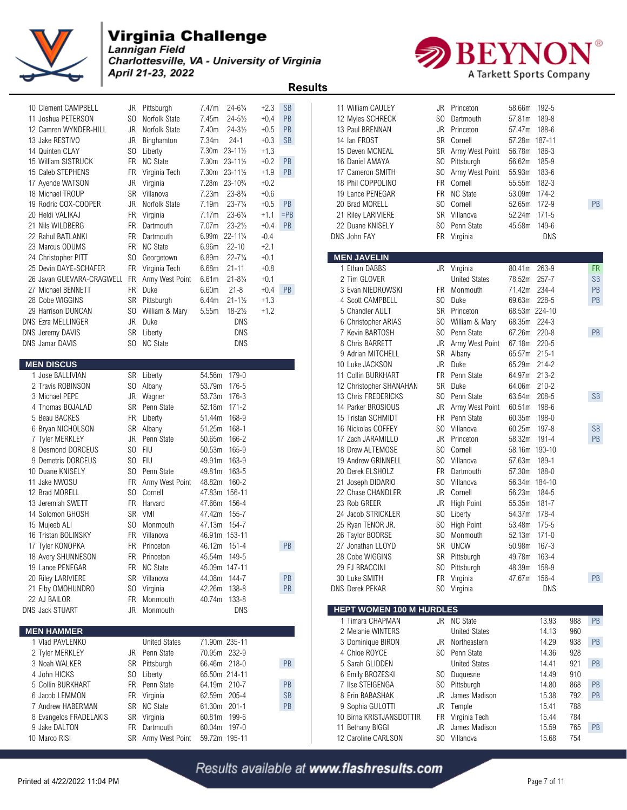

Charlottesville, VA - University of Virginia April 21-23, 2022



 **Results** 

| $+2.1$<br>23 Marcus ODUMS<br>FR NC State<br>6.96m<br>$22 - 10$<br><b>MEN JAVELIN</b><br>$22 - 7\frac{1}{4}$<br>$+0.1$<br>SO Georgetown<br>6.89m<br>24 Christopher PITT<br>$+0.8$<br>FR Virginia Tech<br>6.68m<br>$21 - 11$<br>1 Ethan DABBS<br>263-9<br><b>FR</b><br>25 Devin DAYE-SCHAFER<br>JR Virginia<br>80.41m<br>78.52m 257-7<br>26 Javan GUEVARA-CRAGWELI<br>6.61m<br>$21 - 8\frac{1}{4}$<br>$+0.1$<br>2 Tim GLOVER<br><b>United States</b><br><b>SB</b><br>FR<br>Army West Point<br>234-4<br>27 Michael BENNETT<br>FR Duke<br>6.60m<br>$21 - 8$<br>$+0.4$<br><b>PB</b><br>71.42m<br>PB<br>3 Evan NIEDROWSKI<br>FR Monmouth<br>$+1.3$<br>228-5<br>PB<br>28 Cobe WIGGINS<br>SR Pittsburgh<br>$21 - 1\frac{1}{2}$<br>4 Scott CAMPBELL<br>SO.<br>Duke<br>69.63m<br>6.44m<br>$18 - 2\frac{1}{2}$<br>68.53m 224-10<br>SO William & Mary<br>5.55m<br>$+1.2$<br>5 Chandler AULT<br>SR<br>Princeton<br>29 Harrison DUNCAN<br><b>DNS Ezra MELLINGER</b><br>JR<br>Duke<br>DNS<br>SO.<br>68.35m 224-3<br>6 Christopher ARIAS<br>William & Mary<br>PB<br>SR Liberty<br>DNS<br>SO.<br>Penn State<br>67.26m<br>$220 - 8$<br>DNS Jeremy DAVIS<br>7 Kevin BARTOSH<br>220-5<br><b>DNS Jamar DAVIS</b><br>SO NC State<br>DNS<br>8 Chris BARRETT<br>JR<br>Army West Point<br>67.18m<br>SR<br>Albany<br>65.57m 215-1<br>9 Adrian MITCHELL<br><b>MEN DISCUS</b><br>10 Luke JACKSON<br>JR<br>Duke<br>65.29m 214-2<br>54.56m 179-0<br>1 Jose BALLIVIAN<br>SR Liberty<br>11 Collin BURKHART<br>FR.<br>Penn State<br>64.97m 213-2<br>Duke<br>2 Travis ROBINSON<br>SO Albany<br>53.79m<br>176-5<br>SR<br>64.06m<br>210-2<br>12 Christopher SHANAHAN<br>3 Michael PEPE<br>JR<br>Wagner<br>53.73m<br>176-3<br>SO.<br>Penn State<br>63.54m<br>208-5<br><b>SB</b><br>13 Chris FREDERICKS<br>4 Thomas BOJALAD<br>SR<br>Penn State<br>171-2<br>14 Parker BROSIOUS<br>Army West Point<br>60.51m<br>198-6<br>52.18m<br>JR<br>5 Beau BACKES<br>FR<br>168-9<br>FR.<br>Penn State<br>60.35m<br>198-0<br>Liberty<br>51.44m<br>15 Tristan SCHMIDT<br>S <sub>0</sub><br><b>SB</b><br>SR<br>Albany<br>168-1<br>Villanova<br>60.25m<br>197-8<br>6 Bryan NICHOLSON<br>51.25m<br>16 Nickolas COFFEY<br>PB<br>JR<br>Penn State<br>166-2<br>JR<br>Princeton<br>58.32m<br>7 Tyler MERKLEY<br>50.65m<br>17 Zach JARAMILLO<br>191-4<br><b>FIU</b><br>SO.<br>SO.<br>165-9<br>Cornell<br>58.16m 190-10<br>8 Desmond DORCEUS<br>50.53m<br>18 Drew ALTEMOSE<br>SO FIU<br>S <sub>0</sub><br>9 Demetris DORCEUS<br>49.91m<br>163-9<br>Villanova<br>57.63m<br>189-1<br>19 Andrew GRINNELL<br>SO.<br>Penn State<br>49.81m<br>163-5<br>20 Derek ELSHOLZ<br>FR<br>Dartmouth<br>57.30m<br>188-0<br>10 Duane KNISELY<br>48.82m<br>160-2<br>SO.<br>Villanova<br>56.34m 184-10<br>11 Jake NWOSU<br>FR<br>Army West Point<br>21 Joseph DIDARIO<br>SO Cornell<br>47.83m 156-11<br>JR<br>56.23m<br>184-5<br>12 Brad MORELL<br>22 Chase CHANDLER<br>Cornell<br>13 Jeremiah SWETT<br>FR<br>Harvard<br>47.66m<br>156-4<br>23 Rob GREER<br>JR<br>High Point<br>55.35m<br>181-7<br><b>SR</b><br>VMI<br>47.42m<br>155-7<br>24 Jacob STRICKLER<br>S <sub>0</sub><br>54.37m<br>178-4<br>14 Solomon GHOSH<br>Liberty<br>47.13m<br>154-7<br>175-5<br>15 Mujeeb ALI<br>SO Monmouth<br>25 Ryan TENOR JR.<br>SO.<br><b>High Point</b><br>53.48m<br>FR Villanova<br>46.91m 153-11<br>SO.<br>$171-0$<br>16 Tristan BOLINSKY<br>26 Taylor BOORSE<br>Monmouth<br>52.13m<br>SR UNCW<br>50.98m 167-3<br>17 Tyler KONOPKA<br>FR<br>Princeton<br>46.12m 151-4<br><b>PB</b><br>27 Jonathan LLOYD<br>18 Avery SHUNNESON<br>FR Princeton<br>45.54m 149-5<br>28 Cobe WIGGINS<br>SR Pittsburgh<br>49.78m 163-4<br>19 Lance PENEGAR<br>FR NC State<br>29 FJ BRACCINI<br>SO Pittsburgh<br>48.39m 158-9<br>45.09m 147-11<br>$\mathsf{PB}$<br>FR Virginia<br>20 Riley LARIVIERE<br>SR Villanova<br>44.08m 144-7<br>30 Luke SMITH<br>47.67m 156-4<br>PB<br>21 Elby OMOHUNDRO<br>42.26m<br>138-8<br>PB<br><b>DNS Derek PEKAR</b><br>SO Virginia<br>DNS<br>SO Virginia<br>22 AJ BAILOR<br>40.74m<br>FR Monmouth<br>133-8<br><b>HEPT WOMEN 100 M HURDLES</b><br><b>DNS Jack STUART</b><br>DNS<br>JR Monmouth<br>1 Timara CHAPMAN<br>JR NC State<br>13.93<br>PB<br>988<br><b>MEN HAMMER</b><br>2 Melanie WINTERS<br><b>United States</b><br>14.13<br>960<br>71.90m 235-11<br>1 Vlad PAVLENKO<br><b>United States</b><br>JR Northeastern<br>14.29<br>938<br>PB<br>3 Dominique BIRON<br>2 Tyler MERKLEY<br>JR Penn State<br>70.95m 232-9<br>4 Chloe ROYCE<br>SO Penn State<br>14.36<br>928<br>PB<br>SR Pittsburgh<br>66.46m 218-0<br>5 Sarah GLIDDEN<br><b>United States</b><br>14.41<br>921<br>PB<br>3 Noah WALKER<br>4 John HICKS<br>SO Liberty<br>65.50m 214-11<br>SO Duquesne<br>14.49<br>910<br>6 Emily BROZESKI<br>$\mathsf{PB}$<br>5 Collin BURKHART<br>FR Penn State<br>64.19m 210-7<br>7 Ilse STEIGENGA<br>SO Pittsburgh<br>14.80<br>868<br><b>PB</b><br><b>SB</b><br>James Madison<br>792<br>PB<br>6 Jacob LEMMON<br>FR Virginia<br>62.59m 205-4<br>8 Erin BABASHAK<br>JR<br>15.38<br>SR NC State<br>61.30m<br>PB<br>JR<br>Temple<br>788<br>7 Andrew HABERMAN<br>$201 - 1$<br>9 Sophia GULOTTI<br>15.41<br>SR Virginia<br>Virginia Tech<br>15.44<br>784<br>8 Evangelos FRADELAKIS<br>60.81m<br>199-6<br>10 Birna KRISTJANSDOTTIR<br>FR<br>60.04m 197-0<br>11 Bethany BIGGI<br>James Madison<br>15.59<br>765<br>PB<br>9 Jake DALTON<br>FR Dartmouth<br>JR<br>10 Marco RISI<br>59.72m 195-11<br>SO Villanova<br>15.68<br>754<br>SR Army West Point<br>12 Caroline CARLSON | 10 Clement CAMPBELL<br>11 Joshua PETERSON<br>12 Camren WYNDER-HILL<br>13 Jake RESTIVO<br>14 Quinten CLAY<br>15 William SISTRUCK<br>15 Caleb STEPHENS<br>17 Ayende WATSON<br>18 Michael TROUP<br>19 Rodric COX-COOPER<br>20 Heldi VALIKAJ<br>21 Nils WILDBERG<br>22 Rahul BATLANKI | JR<br>FR<br>JR<br>JR<br>FR<br>FR | JR Pittsburgh<br>SO Norfolk State<br>JR Norfolk State<br>Binghamton<br>SO Liberty<br>FR NC State<br>Virginia Tech<br>Virginia<br>SR Villanova<br>Norfolk State<br>Virginia<br>Dartmouth<br>FR Dartmouth | 7.47m<br>7.45m<br>7.40m<br>7.34m<br>7.30m 23-111/2<br>7.30m 23-111/2<br>7.30m 23-111/2<br>7.28m<br>7.23m<br>7.19m<br>7.17m<br>7.07m<br>6.99m 22-111/4 | $24 - 6\frac{1}{4}$<br>$24 - 5\frac{1}{2}$<br>$24 - 3\frac{1}{2}$<br>$24-1$<br>$23 - 10^{3}/4$<br>$23 - 8\frac{3}{4}$<br>$23 - 7\frac{1}{4}$<br>$23 - 6\frac{1}{4}$<br>$23 - 2\frac{1}{2}$ | $+2.3$<br>$+0.4$<br>$+0.5$<br>$+0.3$<br>$+1.3$<br>$+0.2$<br>$+1.9$<br>$+0.2$<br>$+0.6$<br>$+0.5$<br>$+1.1$<br>$+0.4$<br>$-0.4$ | <b>SB</b><br><b>PB</b><br>PB<br><b>SB</b><br><b>PB</b><br><b>PB</b><br><b>PB</b><br>$=$ PB<br><b>PB</b> | 11 William CAULEY<br>12 Myles SCHRECK<br>13 Paul BRENNAN<br>14 Ian FROST<br>15 Deven MCNEAL<br>16 Daniel AMAYA<br>17 Cameron SMITH<br>18 Phil COPPOLINO<br>19 Lance PENEGAR<br>20 Brad MORELL<br>21 Riley LARIVIERE<br>22 Duane KNISELY<br>DNS John FAY | SO.<br>JR<br>SR<br>SR<br>SO.<br>SO.<br><b>FR</b><br>FR.<br>SO.<br>SO. | JR Princeton<br>Dartmouth<br>Princeton<br>Cornell<br>Army West Point<br>Pittsburgh<br>Army West Point<br>Cornell<br><b>NC State</b><br>Cornell<br>SR Villanova<br>Penn State<br>FR Virginia | 58.66m 192-5<br>57.81m<br>57.47m<br>57.28m 187-11<br>56.78m<br>56.62m<br>55.93m<br>55.55m<br>53.09m<br>52.65m<br>52.24m<br>45.58m | 189-8<br>188-6<br>186-3<br>185-9<br>183-6<br>182-3<br>174-2<br>172-9<br>$171 - 5$<br>149-6<br>DNS | PB |
|-----------------------------------------------------------------------------------------------------------------------------------------------------------------------------------------------------------------------------------------------------------------------------------------------------------------------------------------------------------------------------------------------------------------------------------------------------------------------------------------------------------------------------------------------------------------------------------------------------------------------------------------------------------------------------------------------------------------------------------------------------------------------------------------------------------------------------------------------------------------------------------------------------------------------------------------------------------------------------------------------------------------------------------------------------------------------------------------------------------------------------------------------------------------------------------------------------------------------------------------------------------------------------------------------------------------------------------------------------------------------------------------------------------------------------------------------------------------------------------------------------------------------------------------------------------------------------------------------------------------------------------------------------------------------------------------------------------------------------------------------------------------------------------------------------------------------------------------------------------------------------------------------------------------------------------------------------------------------------------------------------------------------------------------------------------------------------------------------------------------------------------------------------------------------------------------------------------------------------------------------------------------------------------------------------------------------------------------------------------------------------------------------------------------------------------------------------------------------------------------------------------------------------------------------------------------------------------------------------------------------------------------------------------------------------------------------------------------------------------------------------------------------------------------------------------------------------------------------------------------------------------------------------------------------------------------------------------------------------------------------------------------------------------------------------------------------------------------------------------------------------------------------------------------------------------------------------------------------------------------------------------------------------------------------------------------------------------------------------------------------------------------------------------------------------------------------------------------------------------------------------------------------------------------------------------------------------------------------------------------------------------------------------------------------------------------------------------------------------------------------------------------------------------------------------------------------------------------------------------------------------------------------------------------------------------------------------------------------------------------------------------------------------------------------------------------------------------------------------------------------------------------------------------------------------------------------------------------------------------------------------------------------------------------------------------------------------------------------------------------------------------------------------------------------------------------------------------------------------------------------------------------------------------------------------------------------------------------------------------------------------------------------------------------------------------------------------------------------------------------------------------------------------------------------------------------------------------------------------------------------------------------------------------------------------------------------------------------------------------------------------------------------------------------------------------------------------------------------------------------------------------------------------------------------------------------------------------------------------------------------------------------------------------------------------------------------------------------------------------------------------------------------------------------------------------------------------------------------------------|-----------------------------------------------------------------------------------------------------------------------------------------------------------------------------------------------------------------------------------------------------------------------------------|----------------------------------|---------------------------------------------------------------------------------------------------------------------------------------------------------------------------------------------------------|-------------------------------------------------------------------------------------------------------------------------------------------------------|--------------------------------------------------------------------------------------------------------------------------------------------------------------------------------------------|--------------------------------------------------------------------------------------------------------------------------------|---------------------------------------------------------------------------------------------------------|---------------------------------------------------------------------------------------------------------------------------------------------------------------------------------------------------------------------------------------------------------|-----------------------------------------------------------------------|---------------------------------------------------------------------------------------------------------------------------------------------------------------------------------------------|-----------------------------------------------------------------------------------------------------------------------------------|---------------------------------------------------------------------------------------------------|----|
|                                                                                                                                                                                                                                                                                                                                                                                                                                                                                                                                                                                                                                                                                                                                                                                                                                                                                                                                                                                                                                                                                                                                                                                                                                                                                                                                                                                                                                                                                                                                                                                                                                                                                                                                                                                                                                                                                                                                                                                                                                                                                                                                                                                                                                                                                                                                                                                                                                                                                                                                                                                                                                                                                                                                                                                                                                                                                                                                                                                                                                                                                                                                                                                                                                                                                                                                                                                                                                                                                                                                                                                                                                                                                                                                                                                                                                                                                                                                                                                                                                                                                                                                                                                                                                                                                                                                                                                                                                                                                                                                                                                                                                                                                                                                                                                                                                                                                                                                                                                                                                                                                                                                                                                                                                                                                                                                                                                                                                                                                   |                                                                                                                                                                                                                                                                                   |                                  |                                                                                                                                                                                                         |                                                                                                                                                       |                                                                                                                                                                                            |                                                                                                                                |                                                                                                         |                                                                                                                                                                                                                                                         |                                                                       |                                                                                                                                                                                             |                                                                                                                                   |                                                                                                   |    |
|                                                                                                                                                                                                                                                                                                                                                                                                                                                                                                                                                                                                                                                                                                                                                                                                                                                                                                                                                                                                                                                                                                                                                                                                                                                                                                                                                                                                                                                                                                                                                                                                                                                                                                                                                                                                                                                                                                                                                                                                                                                                                                                                                                                                                                                                                                                                                                                                                                                                                                                                                                                                                                                                                                                                                                                                                                                                                                                                                                                                                                                                                                                                                                                                                                                                                                                                                                                                                                                                                                                                                                                                                                                                                                                                                                                                                                                                                                                                                                                                                                                                                                                                                                                                                                                                                                                                                                                                                                                                                                                                                                                                                                                                                                                                                                                                                                                                                                                                                                                                                                                                                                                                                                                                                                                                                                                                                                                                                                                                                   |                                                                                                                                                                                                                                                                                   |                                  |                                                                                                                                                                                                         |                                                                                                                                                       |                                                                                                                                                                                            |                                                                                                                                |                                                                                                         |                                                                                                                                                                                                                                                         |                                                                       |                                                                                                                                                                                             |                                                                                                                                   |                                                                                                   |    |
|                                                                                                                                                                                                                                                                                                                                                                                                                                                                                                                                                                                                                                                                                                                                                                                                                                                                                                                                                                                                                                                                                                                                                                                                                                                                                                                                                                                                                                                                                                                                                                                                                                                                                                                                                                                                                                                                                                                                                                                                                                                                                                                                                                                                                                                                                                                                                                                                                                                                                                                                                                                                                                                                                                                                                                                                                                                                                                                                                                                                                                                                                                                                                                                                                                                                                                                                                                                                                                                                                                                                                                                                                                                                                                                                                                                                                                                                                                                                                                                                                                                                                                                                                                                                                                                                                                                                                                                                                                                                                                                                                                                                                                                                                                                                                                                                                                                                                                                                                                                                                                                                                                                                                                                                                                                                                                                                                                                                                                                                                   |                                                                                                                                                                                                                                                                                   |                                  |                                                                                                                                                                                                         |                                                                                                                                                       |                                                                                                                                                                                            |                                                                                                                                |                                                                                                         |                                                                                                                                                                                                                                                         |                                                                       |                                                                                                                                                                                             |                                                                                                                                   |                                                                                                   |    |
|                                                                                                                                                                                                                                                                                                                                                                                                                                                                                                                                                                                                                                                                                                                                                                                                                                                                                                                                                                                                                                                                                                                                                                                                                                                                                                                                                                                                                                                                                                                                                                                                                                                                                                                                                                                                                                                                                                                                                                                                                                                                                                                                                                                                                                                                                                                                                                                                                                                                                                                                                                                                                                                                                                                                                                                                                                                                                                                                                                                                                                                                                                                                                                                                                                                                                                                                                                                                                                                                                                                                                                                                                                                                                                                                                                                                                                                                                                                                                                                                                                                                                                                                                                                                                                                                                                                                                                                                                                                                                                                                                                                                                                                                                                                                                                                                                                                                                                                                                                                                                                                                                                                                                                                                                                                                                                                                                                                                                                                                                   |                                                                                                                                                                                                                                                                                   |                                  |                                                                                                                                                                                                         |                                                                                                                                                       |                                                                                                                                                                                            |                                                                                                                                |                                                                                                         |                                                                                                                                                                                                                                                         |                                                                       |                                                                                                                                                                                             |                                                                                                                                   |                                                                                                   |    |
|                                                                                                                                                                                                                                                                                                                                                                                                                                                                                                                                                                                                                                                                                                                                                                                                                                                                                                                                                                                                                                                                                                                                                                                                                                                                                                                                                                                                                                                                                                                                                                                                                                                                                                                                                                                                                                                                                                                                                                                                                                                                                                                                                                                                                                                                                                                                                                                                                                                                                                                                                                                                                                                                                                                                                                                                                                                                                                                                                                                                                                                                                                                                                                                                                                                                                                                                                                                                                                                                                                                                                                                                                                                                                                                                                                                                                                                                                                                                                                                                                                                                                                                                                                                                                                                                                                                                                                                                                                                                                                                                                                                                                                                                                                                                                                                                                                                                                                                                                                                                                                                                                                                                                                                                                                                                                                                                                                                                                                                                                   |                                                                                                                                                                                                                                                                                   |                                  |                                                                                                                                                                                                         |                                                                                                                                                       |                                                                                                                                                                                            |                                                                                                                                |                                                                                                         |                                                                                                                                                                                                                                                         |                                                                       |                                                                                                                                                                                             |                                                                                                                                   |                                                                                                   |    |
|                                                                                                                                                                                                                                                                                                                                                                                                                                                                                                                                                                                                                                                                                                                                                                                                                                                                                                                                                                                                                                                                                                                                                                                                                                                                                                                                                                                                                                                                                                                                                                                                                                                                                                                                                                                                                                                                                                                                                                                                                                                                                                                                                                                                                                                                                                                                                                                                                                                                                                                                                                                                                                                                                                                                                                                                                                                                                                                                                                                                                                                                                                                                                                                                                                                                                                                                                                                                                                                                                                                                                                                                                                                                                                                                                                                                                                                                                                                                                                                                                                                                                                                                                                                                                                                                                                                                                                                                                                                                                                                                                                                                                                                                                                                                                                                                                                                                                                                                                                                                                                                                                                                                                                                                                                                                                                                                                                                                                                                                                   |                                                                                                                                                                                                                                                                                   |                                  |                                                                                                                                                                                                         |                                                                                                                                                       |                                                                                                                                                                                            |                                                                                                                                |                                                                                                         |                                                                                                                                                                                                                                                         |                                                                       |                                                                                                                                                                                             |                                                                                                                                   |                                                                                                   |    |
|                                                                                                                                                                                                                                                                                                                                                                                                                                                                                                                                                                                                                                                                                                                                                                                                                                                                                                                                                                                                                                                                                                                                                                                                                                                                                                                                                                                                                                                                                                                                                                                                                                                                                                                                                                                                                                                                                                                                                                                                                                                                                                                                                                                                                                                                                                                                                                                                                                                                                                                                                                                                                                                                                                                                                                                                                                                                                                                                                                                                                                                                                                                                                                                                                                                                                                                                                                                                                                                                                                                                                                                                                                                                                                                                                                                                                                                                                                                                                                                                                                                                                                                                                                                                                                                                                                                                                                                                                                                                                                                                                                                                                                                                                                                                                                                                                                                                                                                                                                                                                                                                                                                                                                                                                                                                                                                                                                                                                                                                                   |                                                                                                                                                                                                                                                                                   |                                  |                                                                                                                                                                                                         |                                                                                                                                                       |                                                                                                                                                                                            |                                                                                                                                |                                                                                                         |                                                                                                                                                                                                                                                         |                                                                       |                                                                                                                                                                                             |                                                                                                                                   |                                                                                                   |    |
|                                                                                                                                                                                                                                                                                                                                                                                                                                                                                                                                                                                                                                                                                                                                                                                                                                                                                                                                                                                                                                                                                                                                                                                                                                                                                                                                                                                                                                                                                                                                                                                                                                                                                                                                                                                                                                                                                                                                                                                                                                                                                                                                                                                                                                                                                                                                                                                                                                                                                                                                                                                                                                                                                                                                                                                                                                                                                                                                                                                                                                                                                                                                                                                                                                                                                                                                                                                                                                                                                                                                                                                                                                                                                                                                                                                                                                                                                                                                                                                                                                                                                                                                                                                                                                                                                                                                                                                                                                                                                                                                                                                                                                                                                                                                                                                                                                                                                                                                                                                                                                                                                                                                                                                                                                                                                                                                                                                                                                                                                   |                                                                                                                                                                                                                                                                                   |                                  |                                                                                                                                                                                                         |                                                                                                                                                       |                                                                                                                                                                                            |                                                                                                                                |                                                                                                         |                                                                                                                                                                                                                                                         |                                                                       |                                                                                                                                                                                             |                                                                                                                                   |                                                                                                   |    |
|                                                                                                                                                                                                                                                                                                                                                                                                                                                                                                                                                                                                                                                                                                                                                                                                                                                                                                                                                                                                                                                                                                                                                                                                                                                                                                                                                                                                                                                                                                                                                                                                                                                                                                                                                                                                                                                                                                                                                                                                                                                                                                                                                                                                                                                                                                                                                                                                                                                                                                                                                                                                                                                                                                                                                                                                                                                                                                                                                                                                                                                                                                                                                                                                                                                                                                                                                                                                                                                                                                                                                                                                                                                                                                                                                                                                                                                                                                                                                                                                                                                                                                                                                                                                                                                                                                                                                                                                                                                                                                                                                                                                                                                                                                                                                                                                                                                                                                                                                                                                                                                                                                                                                                                                                                                                                                                                                                                                                                                                                   |                                                                                                                                                                                                                                                                                   |                                  |                                                                                                                                                                                                         |                                                                                                                                                       |                                                                                                                                                                                            |                                                                                                                                |                                                                                                         |                                                                                                                                                                                                                                                         |                                                                       |                                                                                                                                                                                             |                                                                                                                                   |                                                                                                   |    |
|                                                                                                                                                                                                                                                                                                                                                                                                                                                                                                                                                                                                                                                                                                                                                                                                                                                                                                                                                                                                                                                                                                                                                                                                                                                                                                                                                                                                                                                                                                                                                                                                                                                                                                                                                                                                                                                                                                                                                                                                                                                                                                                                                                                                                                                                                                                                                                                                                                                                                                                                                                                                                                                                                                                                                                                                                                                                                                                                                                                                                                                                                                                                                                                                                                                                                                                                                                                                                                                                                                                                                                                                                                                                                                                                                                                                                                                                                                                                                                                                                                                                                                                                                                                                                                                                                                                                                                                                                                                                                                                                                                                                                                                                                                                                                                                                                                                                                                                                                                                                                                                                                                                                                                                                                                                                                                                                                                                                                                                                                   |                                                                                                                                                                                                                                                                                   |                                  |                                                                                                                                                                                                         |                                                                                                                                                       |                                                                                                                                                                                            |                                                                                                                                |                                                                                                         |                                                                                                                                                                                                                                                         |                                                                       |                                                                                                                                                                                             |                                                                                                                                   |                                                                                                   |    |
|                                                                                                                                                                                                                                                                                                                                                                                                                                                                                                                                                                                                                                                                                                                                                                                                                                                                                                                                                                                                                                                                                                                                                                                                                                                                                                                                                                                                                                                                                                                                                                                                                                                                                                                                                                                                                                                                                                                                                                                                                                                                                                                                                                                                                                                                                                                                                                                                                                                                                                                                                                                                                                                                                                                                                                                                                                                                                                                                                                                                                                                                                                                                                                                                                                                                                                                                                                                                                                                                                                                                                                                                                                                                                                                                                                                                                                                                                                                                                                                                                                                                                                                                                                                                                                                                                                                                                                                                                                                                                                                                                                                                                                                                                                                                                                                                                                                                                                                                                                                                                                                                                                                                                                                                                                                                                                                                                                                                                                                                                   |                                                                                                                                                                                                                                                                                   |                                  |                                                                                                                                                                                                         |                                                                                                                                                       |                                                                                                                                                                                            |                                                                                                                                |                                                                                                         |                                                                                                                                                                                                                                                         |                                                                       |                                                                                                                                                                                             |                                                                                                                                   |                                                                                                   |    |
|                                                                                                                                                                                                                                                                                                                                                                                                                                                                                                                                                                                                                                                                                                                                                                                                                                                                                                                                                                                                                                                                                                                                                                                                                                                                                                                                                                                                                                                                                                                                                                                                                                                                                                                                                                                                                                                                                                                                                                                                                                                                                                                                                                                                                                                                                                                                                                                                                                                                                                                                                                                                                                                                                                                                                                                                                                                                                                                                                                                                                                                                                                                                                                                                                                                                                                                                                                                                                                                                                                                                                                                                                                                                                                                                                                                                                                                                                                                                                                                                                                                                                                                                                                                                                                                                                                                                                                                                                                                                                                                                                                                                                                                                                                                                                                                                                                                                                                                                                                                                                                                                                                                                                                                                                                                                                                                                                                                                                                                                                   |                                                                                                                                                                                                                                                                                   |                                  |                                                                                                                                                                                                         |                                                                                                                                                       |                                                                                                                                                                                            |                                                                                                                                |                                                                                                         |                                                                                                                                                                                                                                                         |                                                                       |                                                                                                                                                                                             |                                                                                                                                   |                                                                                                   |    |
|                                                                                                                                                                                                                                                                                                                                                                                                                                                                                                                                                                                                                                                                                                                                                                                                                                                                                                                                                                                                                                                                                                                                                                                                                                                                                                                                                                                                                                                                                                                                                                                                                                                                                                                                                                                                                                                                                                                                                                                                                                                                                                                                                                                                                                                                                                                                                                                                                                                                                                                                                                                                                                                                                                                                                                                                                                                                                                                                                                                                                                                                                                                                                                                                                                                                                                                                                                                                                                                                                                                                                                                                                                                                                                                                                                                                                                                                                                                                                                                                                                                                                                                                                                                                                                                                                                                                                                                                                                                                                                                                                                                                                                                                                                                                                                                                                                                                                                                                                                                                                                                                                                                                                                                                                                                                                                                                                                                                                                                                                   |                                                                                                                                                                                                                                                                                   |                                  |                                                                                                                                                                                                         |                                                                                                                                                       |                                                                                                                                                                                            |                                                                                                                                |                                                                                                         |                                                                                                                                                                                                                                                         |                                                                       |                                                                                                                                                                                             |                                                                                                                                   |                                                                                                   |    |
|                                                                                                                                                                                                                                                                                                                                                                                                                                                                                                                                                                                                                                                                                                                                                                                                                                                                                                                                                                                                                                                                                                                                                                                                                                                                                                                                                                                                                                                                                                                                                                                                                                                                                                                                                                                                                                                                                                                                                                                                                                                                                                                                                                                                                                                                                                                                                                                                                                                                                                                                                                                                                                                                                                                                                                                                                                                                                                                                                                                                                                                                                                                                                                                                                                                                                                                                                                                                                                                                                                                                                                                                                                                                                                                                                                                                                                                                                                                                                                                                                                                                                                                                                                                                                                                                                                                                                                                                                                                                                                                                                                                                                                                                                                                                                                                                                                                                                                                                                                                                                                                                                                                                                                                                                                                                                                                                                                                                                                                                                   |                                                                                                                                                                                                                                                                                   |                                  |                                                                                                                                                                                                         |                                                                                                                                                       |                                                                                                                                                                                            |                                                                                                                                |                                                                                                         |                                                                                                                                                                                                                                                         |                                                                       |                                                                                                                                                                                             |                                                                                                                                   |                                                                                                   |    |
|                                                                                                                                                                                                                                                                                                                                                                                                                                                                                                                                                                                                                                                                                                                                                                                                                                                                                                                                                                                                                                                                                                                                                                                                                                                                                                                                                                                                                                                                                                                                                                                                                                                                                                                                                                                                                                                                                                                                                                                                                                                                                                                                                                                                                                                                                                                                                                                                                                                                                                                                                                                                                                                                                                                                                                                                                                                                                                                                                                                                                                                                                                                                                                                                                                                                                                                                                                                                                                                                                                                                                                                                                                                                                                                                                                                                                                                                                                                                                                                                                                                                                                                                                                                                                                                                                                                                                                                                                                                                                                                                                                                                                                                                                                                                                                                                                                                                                                                                                                                                                                                                                                                                                                                                                                                                                                                                                                                                                                                                                   |                                                                                                                                                                                                                                                                                   |                                  |                                                                                                                                                                                                         |                                                                                                                                                       |                                                                                                                                                                                            |                                                                                                                                |                                                                                                         |                                                                                                                                                                                                                                                         |                                                                       |                                                                                                                                                                                             |                                                                                                                                   |                                                                                                   |    |
|                                                                                                                                                                                                                                                                                                                                                                                                                                                                                                                                                                                                                                                                                                                                                                                                                                                                                                                                                                                                                                                                                                                                                                                                                                                                                                                                                                                                                                                                                                                                                                                                                                                                                                                                                                                                                                                                                                                                                                                                                                                                                                                                                                                                                                                                                                                                                                                                                                                                                                                                                                                                                                                                                                                                                                                                                                                                                                                                                                                                                                                                                                                                                                                                                                                                                                                                                                                                                                                                                                                                                                                                                                                                                                                                                                                                                                                                                                                                                                                                                                                                                                                                                                                                                                                                                                                                                                                                                                                                                                                                                                                                                                                                                                                                                                                                                                                                                                                                                                                                                                                                                                                                                                                                                                                                                                                                                                                                                                                                                   |                                                                                                                                                                                                                                                                                   |                                  |                                                                                                                                                                                                         |                                                                                                                                                       |                                                                                                                                                                                            |                                                                                                                                |                                                                                                         |                                                                                                                                                                                                                                                         |                                                                       |                                                                                                                                                                                             |                                                                                                                                   |                                                                                                   |    |
|                                                                                                                                                                                                                                                                                                                                                                                                                                                                                                                                                                                                                                                                                                                                                                                                                                                                                                                                                                                                                                                                                                                                                                                                                                                                                                                                                                                                                                                                                                                                                                                                                                                                                                                                                                                                                                                                                                                                                                                                                                                                                                                                                                                                                                                                                                                                                                                                                                                                                                                                                                                                                                                                                                                                                                                                                                                                                                                                                                                                                                                                                                                                                                                                                                                                                                                                                                                                                                                                                                                                                                                                                                                                                                                                                                                                                                                                                                                                                                                                                                                                                                                                                                                                                                                                                                                                                                                                                                                                                                                                                                                                                                                                                                                                                                                                                                                                                                                                                                                                                                                                                                                                                                                                                                                                                                                                                                                                                                                                                   |                                                                                                                                                                                                                                                                                   |                                  |                                                                                                                                                                                                         |                                                                                                                                                       |                                                                                                                                                                                            |                                                                                                                                |                                                                                                         |                                                                                                                                                                                                                                                         |                                                                       |                                                                                                                                                                                             |                                                                                                                                   |                                                                                                   |    |
|                                                                                                                                                                                                                                                                                                                                                                                                                                                                                                                                                                                                                                                                                                                                                                                                                                                                                                                                                                                                                                                                                                                                                                                                                                                                                                                                                                                                                                                                                                                                                                                                                                                                                                                                                                                                                                                                                                                                                                                                                                                                                                                                                                                                                                                                                                                                                                                                                                                                                                                                                                                                                                                                                                                                                                                                                                                                                                                                                                                                                                                                                                                                                                                                                                                                                                                                                                                                                                                                                                                                                                                                                                                                                                                                                                                                                                                                                                                                                                                                                                                                                                                                                                                                                                                                                                                                                                                                                                                                                                                                                                                                                                                                                                                                                                                                                                                                                                                                                                                                                                                                                                                                                                                                                                                                                                                                                                                                                                                                                   |                                                                                                                                                                                                                                                                                   |                                  |                                                                                                                                                                                                         |                                                                                                                                                       |                                                                                                                                                                                            |                                                                                                                                |                                                                                                         |                                                                                                                                                                                                                                                         |                                                                       |                                                                                                                                                                                             |                                                                                                                                   |                                                                                                   |    |
|                                                                                                                                                                                                                                                                                                                                                                                                                                                                                                                                                                                                                                                                                                                                                                                                                                                                                                                                                                                                                                                                                                                                                                                                                                                                                                                                                                                                                                                                                                                                                                                                                                                                                                                                                                                                                                                                                                                                                                                                                                                                                                                                                                                                                                                                                                                                                                                                                                                                                                                                                                                                                                                                                                                                                                                                                                                                                                                                                                                                                                                                                                                                                                                                                                                                                                                                                                                                                                                                                                                                                                                                                                                                                                                                                                                                                                                                                                                                                                                                                                                                                                                                                                                                                                                                                                                                                                                                                                                                                                                                                                                                                                                                                                                                                                                                                                                                                                                                                                                                                                                                                                                                                                                                                                                                                                                                                                                                                                                                                   |                                                                                                                                                                                                                                                                                   |                                  |                                                                                                                                                                                                         |                                                                                                                                                       |                                                                                                                                                                                            |                                                                                                                                |                                                                                                         |                                                                                                                                                                                                                                                         |                                                                       |                                                                                                                                                                                             |                                                                                                                                   |                                                                                                   |    |
|                                                                                                                                                                                                                                                                                                                                                                                                                                                                                                                                                                                                                                                                                                                                                                                                                                                                                                                                                                                                                                                                                                                                                                                                                                                                                                                                                                                                                                                                                                                                                                                                                                                                                                                                                                                                                                                                                                                                                                                                                                                                                                                                                                                                                                                                                                                                                                                                                                                                                                                                                                                                                                                                                                                                                                                                                                                                                                                                                                                                                                                                                                                                                                                                                                                                                                                                                                                                                                                                                                                                                                                                                                                                                                                                                                                                                                                                                                                                                                                                                                                                                                                                                                                                                                                                                                                                                                                                                                                                                                                                                                                                                                                                                                                                                                                                                                                                                                                                                                                                                                                                                                                                                                                                                                                                                                                                                                                                                                                                                   |                                                                                                                                                                                                                                                                                   |                                  |                                                                                                                                                                                                         |                                                                                                                                                       |                                                                                                                                                                                            |                                                                                                                                |                                                                                                         |                                                                                                                                                                                                                                                         |                                                                       |                                                                                                                                                                                             |                                                                                                                                   |                                                                                                   |    |
|                                                                                                                                                                                                                                                                                                                                                                                                                                                                                                                                                                                                                                                                                                                                                                                                                                                                                                                                                                                                                                                                                                                                                                                                                                                                                                                                                                                                                                                                                                                                                                                                                                                                                                                                                                                                                                                                                                                                                                                                                                                                                                                                                                                                                                                                                                                                                                                                                                                                                                                                                                                                                                                                                                                                                                                                                                                                                                                                                                                                                                                                                                                                                                                                                                                                                                                                                                                                                                                                                                                                                                                                                                                                                                                                                                                                                                                                                                                                                                                                                                                                                                                                                                                                                                                                                                                                                                                                                                                                                                                                                                                                                                                                                                                                                                                                                                                                                                                                                                                                                                                                                                                                                                                                                                                                                                                                                                                                                                                                                   |                                                                                                                                                                                                                                                                                   |                                  |                                                                                                                                                                                                         |                                                                                                                                                       |                                                                                                                                                                                            |                                                                                                                                |                                                                                                         |                                                                                                                                                                                                                                                         |                                                                       |                                                                                                                                                                                             |                                                                                                                                   |                                                                                                   |    |
|                                                                                                                                                                                                                                                                                                                                                                                                                                                                                                                                                                                                                                                                                                                                                                                                                                                                                                                                                                                                                                                                                                                                                                                                                                                                                                                                                                                                                                                                                                                                                                                                                                                                                                                                                                                                                                                                                                                                                                                                                                                                                                                                                                                                                                                                                                                                                                                                                                                                                                                                                                                                                                                                                                                                                                                                                                                                                                                                                                                                                                                                                                                                                                                                                                                                                                                                                                                                                                                                                                                                                                                                                                                                                                                                                                                                                                                                                                                                                                                                                                                                                                                                                                                                                                                                                                                                                                                                                                                                                                                                                                                                                                                                                                                                                                                                                                                                                                                                                                                                                                                                                                                                                                                                                                                                                                                                                                                                                                                                                   |                                                                                                                                                                                                                                                                                   |                                  |                                                                                                                                                                                                         |                                                                                                                                                       |                                                                                                                                                                                            |                                                                                                                                |                                                                                                         |                                                                                                                                                                                                                                                         |                                                                       |                                                                                                                                                                                             |                                                                                                                                   |                                                                                                   |    |
|                                                                                                                                                                                                                                                                                                                                                                                                                                                                                                                                                                                                                                                                                                                                                                                                                                                                                                                                                                                                                                                                                                                                                                                                                                                                                                                                                                                                                                                                                                                                                                                                                                                                                                                                                                                                                                                                                                                                                                                                                                                                                                                                                                                                                                                                                                                                                                                                                                                                                                                                                                                                                                                                                                                                                                                                                                                                                                                                                                                                                                                                                                                                                                                                                                                                                                                                                                                                                                                                                                                                                                                                                                                                                                                                                                                                                                                                                                                                                                                                                                                                                                                                                                                                                                                                                                                                                                                                                                                                                                                                                                                                                                                                                                                                                                                                                                                                                                                                                                                                                                                                                                                                                                                                                                                                                                                                                                                                                                                                                   |                                                                                                                                                                                                                                                                                   |                                  |                                                                                                                                                                                                         |                                                                                                                                                       |                                                                                                                                                                                            |                                                                                                                                |                                                                                                         |                                                                                                                                                                                                                                                         |                                                                       |                                                                                                                                                                                             |                                                                                                                                   |                                                                                                   |    |
|                                                                                                                                                                                                                                                                                                                                                                                                                                                                                                                                                                                                                                                                                                                                                                                                                                                                                                                                                                                                                                                                                                                                                                                                                                                                                                                                                                                                                                                                                                                                                                                                                                                                                                                                                                                                                                                                                                                                                                                                                                                                                                                                                                                                                                                                                                                                                                                                                                                                                                                                                                                                                                                                                                                                                                                                                                                                                                                                                                                                                                                                                                                                                                                                                                                                                                                                                                                                                                                                                                                                                                                                                                                                                                                                                                                                                                                                                                                                                                                                                                                                                                                                                                                                                                                                                                                                                                                                                                                                                                                                                                                                                                                                                                                                                                                                                                                                                                                                                                                                                                                                                                                                                                                                                                                                                                                                                                                                                                                                                   |                                                                                                                                                                                                                                                                                   |                                  |                                                                                                                                                                                                         |                                                                                                                                                       |                                                                                                                                                                                            |                                                                                                                                |                                                                                                         |                                                                                                                                                                                                                                                         |                                                                       |                                                                                                                                                                                             |                                                                                                                                   |                                                                                                   |    |
|                                                                                                                                                                                                                                                                                                                                                                                                                                                                                                                                                                                                                                                                                                                                                                                                                                                                                                                                                                                                                                                                                                                                                                                                                                                                                                                                                                                                                                                                                                                                                                                                                                                                                                                                                                                                                                                                                                                                                                                                                                                                                                                                                                                                                                                                                                                                                                                                                                                                                                                                                                                                                                                                                                                                                                                                                                                                                                                                                                                                                                                                                                                                                                                                                                                                                                                                                                                                                                                                                                                                                                                                                                                                                                                                                                                                                                                                                                                                                                                                                                                                                                                                                                                                                                                                                                                                                                                                                                                                                                                                                                                                                                                                                                                                                                                                                                                                                                                                                                                                                                                                                                                                                                                                                                                                                                                                                                                                                                                                                   |                                                                                                                                                                                                                                                                                   |                                  |                                                                                                                                                                                                         |                                                                                                                                                       |                                                                                                                                                                                            |                                                                                                                                |                                                                                                         |                                                                                                                                                                                                                                                         |                                                                       |                                                                                                                                                                                             |                                                                                                                                   |                                                                                                   |    |
|                                                                                                                                                                                                                                                                                                                                                                                                                                                                                                                                                                                                                                                                                                                                                                                                                                                                                                                                                                                                                                                                                                                                                                                                                                                                                                                                                                                                                                                                                                                                                                                                                                                                                                                                                                                                                                                                                                                                                                                                                                                                                                                                                                                                                                                                                                                                                                                                                                                                                                                                                                                                                                                                                                                                                                                                                                                                                                                                                                                                                                                                                                                                                                                                                                                                                                                                                                                                                                                                                                                                                                                                                                                                                                                                                                                                                                                                                                                                                                                                                                                                                                                                                                                                                                                                                                                                                                                                                                                                                                                                                                                                                                                                                                                                                                                                                                                                                                                                                                                                                                                                                                                                                                                                                                                                                                                                                                                                                                                                                   |                                                                                                                                                                                                                                                                                   |                                  |                                                                                                                                                                                                         |                                                                                                                                                       |                                                                                                                                                                                            |                                                                                                                                |                                                                                                         |                                                                                                                                                                                                                                                         |                                                                       |                                                                                                                                                                                             |                                                                                                                                   |                                                                                                   |    |
|                                                                                                                                                                                                                                                                                                                                                                                                                                                                                                                                                                                                                                                                                                                                                                                                                                                                                                                                                                                                                                                                                                                                                                                                                                                                                                                                                                                                                                                                                                                                                                                                                                                                                                                                                                                                                                                                                                                                                                                                                                                                                                                                                                                                                                                                                                                                                                                                                                                                                                                                                                                                                                                                                                                                                                                                                                                                                                                                                                                                                                                                                                                                                                                                                                                                                                                                                                                                                                                                                                                                                                                                                                                                                                                                                                                                                                                                                                                                                                                                                                                                                                                                                                                                                                                                                                                                                                                                                                                                                                                                                                                                                                                                                                                                                                                                                                                                                                                                                                                                                                                                                                                                                                                                                                                                                                                                                                                                                                                                                   |                                                                                                                                                                                                                                                                                   |                                  |                                                                                                                                                                                                         |                                                                                                                                                       |                                                                                                                                                                                            |                                                                                                                                |                                                                                                         |                                                                                                                                                                                                                                                         |                                                                       |                                                                                                                                                                                             |                                                                                                                                   |                                                                                                   |    |
|                                                                                                                                                                                                                                                                                                                                                                                                                                                                                                                                                                                                                                                                                                                                                                                                                                                                                                                                                                                                                                                                                                                                                                                                                                                                                                                                                                                                                                                                                                                                                                                                                                                                                                                                                                                                                                                                                                                                                                                                                                                                                                                                                                                                                                                                                                                                                                                                                                                                                                                                                                                                                                                                                                                                                                                                                                                                                                                                                                                                                                                                                                                                                                                                                                                                                                                                                                                                                                                                                                                                                                                                                                                                                                                                                                                                                                                                                                                                                                                                                                                                                                                                                                                                                                                                                                                                                                                                                                                                                                                                                                                                                                                                                                                                                                                                                                                                                                                                                                                                                                                                                                                                                                                                                                                                                                                                                                                                                                                                                   |                                                                                                                                                                                                                                                                                   |                                  |                                                                                                                                                                                                         |                                                                                                                                                       |                                                                                                                                                                                            |                                                                                                                                |                                                                                                         |                                                                                                                                                                                                                                                         |                                                                       |                                                                                                                                                                                             |                                                                                                                                   |                                                                                                   |    |
|                                                                                                                                                                                                                                                                                                                                                                                                                                                                                                                                                                                                                                                                                                                                                                                                                                                                                                                                                                                                                                                                                                                                                                                                                                                                                                                                                                                                                                                                                                                                                                                                                                                                                                                                                                                                                                                                                                                                                                                                                                                                                                                                                                                                                                                                                                                                                                                                                                                                                                                                                                                                                                                                                                                                                                                                                                                                                                                                                                                                                                                                                                                                                                                                                                                                                                                                                                                                                                                                                                                                                                                                                                                                                                                                                                                                                                                                                                                                                                                                                                                                                                                                                                                                                                                                                                                                                                                                                                                                                                                                                                                                                                                                                                                                                                                                                                                                                                                                                                                                                                                                                                                                                                                                                                                                                                                                                                                                                                                                                   |                                                                                                                                                                                                                                                                                   |                                  |                                                                                                                                                                                                         |                                                                                                                                                       |                                                                                                                                                                                            |                                                                                                                                |                                                                                                         |                                                                                                                                                                                                                                                         |                                                                       |                                                                                                                                                                                             |                                                                                                                                   |                                                                                                   |    |
|                                                                                                                                                                                                                                                                                                                                                                                                                                                                                                                                                                                                                                                                                                                                                                                                                                                                                                                                                                                                                                                                                                                                                                                                                                                                                                                                                                                                                                                                                                                                                                                                                                                                                                                                                                                                                                                                                                                                                                                                                                                                                                                                                                                                                                                                                                                                                                                                                                                                                                                                                                                                                                                                                                                                                                                                                                                                                                                                                                                                                                                                                                                                                                                                                                                                                                                                                                                                                                                                                                                                                                                                                                                                                                                                                                                                                                                                                                                                                                                                                                                                                                                                                                                                                                                                                                                                                                                                                                                                                                                                                                                                                                                                                                                                                                                                                                                                                                                                                                                                                                                                                                                                                                                                                                                                                                                                                                                                                                                                                   |                                                                                                                                                                                                                                                                                   |                                  |                                                                                                                                                                                                         |                                                                                                                                                       |                                                                                                                                                                                            |                                                                                                                                |                                                                                                         |                                                                                                                                                                                                                                                         |                                                                       |                                                                                                                                                                                             |                                                                                                                                   |                                                                                                   |    |
|                                                                                                                                                                                                                                                                                                                                                                                                                                                                                                                                                                                                                                                                                                                                                                                                                                                                                                                                                                                                                                                                                                                                                                                                                                                                                                                                                                                                                                                                                                                                                                                                                                                                                                                                                                                                                                                                                                                                                                                                                                                                                                                                                                                                                                                                                                                                                                                                                                                                                                                                                                                                                                                                                                                                                                                                                                                                                                                                                                                                                                                                                                                                                                                                                                                                                                                                                                                                                                                                                                                                                                                                                                                                                                                                                                                                                                                                                                                                                                                                                                                                                                                                                                                                                                                                                                                                                                                                                                                                                                                                                                                                                                                                                                                                                                                                                                                                                                                                                                                                                                                                                                                                                                                                                                                                                                                                                                                                                                                                                   |                                                                                                                                                                                                                                                                                   |                                  |                                                                                                                                                                                                         |                                                                                                                                                       |                                                                                                                                                                                            |                                                                                                                                |                                                                                                         |                                                                                                                                                                                                                                                         |                                                                       |                                                                                                                                                                                             |                                                                                                                                   |                                                                                                   |    |
|                                                                                                                                                                                                                                                                                                                                                                                                                                                                                                                                                                                                                                                                                                                                                                                                                                                                                                                                                                                                                                                                                                                                                                                                                                                                                                                                                                                                                                                                                                                                                                                                                                                                                                                                                                                                                                                                                                                                                                                                                                                                                                                                                                                                                                                                                                                                                                                                                                                                                                                                                                                                                                                                                                                                                                                                                                                                                                                                                                                                                                                                                                                                                                                                                                                                                                                                                                                                                                                                                                                                                                                                                                                                                                                                                                                                                                                                                                                                                                                                                                                                                                                                                                                                                                                                                                                                                                                                                                                                                                                                                                                                                                                                                                                                                                                                                                                                                                                                                                                                                                                                                                                                                                                                                                                                                                                                                                                                                                                                                   |                                                                                                                                                                                                                                                                                   |                                  |                                                                                                                                                                                                         |                                                                                                                                                       |                                                                                                                                                                                            |                                                                                                                                |                                                                                                         |                                                                                                                                                                                                                                                         |                                                                       |                                                                                                                                                                                             |                                                                                                                                   |                                                                                                   |    |
|                                                                                                                                                                                                                                                                                                                                                                                                                                                                                                                                                                                                                                                                                                                                                                                                                                                                                                                                                                                                                                                                                                                                                                                                                                                                                                                                                                                                                                                                                                                                                                                                                                                                                                                                                                                                                                                                                                                                                                                                                                                                                                                                                                                                                                                                                                                                                                                                                                                                                                                                                                                                                                                                                                                                                                                                                                                                                                                                                                                                                                                                                                                                                                                                                                                                                                                                                                                                                                                                                                                                                                                                                                                                                                                                                                                                                                                                                                                                                                                                                                                                                                                                                                                                                                                                                                                                                                                                                                                                                                                                                                                                                                                                                                                                                                                                                                                                                                                                                                                                                                                                                                                                                                                                                                                                                                                                                                                                                                                                                   |                                                                                                                                                                                                                                                                                   |                                  |                                                                                                                                                                                                         |                                                                                                                                                       |                                                                                                                                                                                            |                                                                                                                                |                                                                                                         |                                                                                                                                                                                                                                                         |                                                                       |                                                                                                                                                                                             |                                                                                                                                   |                                                                                                   |    |
|                                                                                                                                                                                                                                                                                                                                                                                                                                                                                                                                                                                                                                                                                                                                                                                                                                                                                                                                                                                                                                                                                                                                                                                                                                                                                                                                                                                                                                                                                                                                                                                                                                                                                                                                                                                                                                                                                                                                                                                                                                                                                                                                                                                                                                                                                                                                                                                                                                                                                                                                                                                                                                                                                                                                                                                                                                                                                                                                                                                                                                                                                                                                                                                                                                                                                                                                                                                                                                                                                                                                                                                                                                                                                                                                                                                                                                                                                                                                                                                                                                                                                                                                                                                                                                                                                                                                                                                                                                                                                                                                                                                                                                                                                                                                                                                                                                                                                                                                                                                                                                                                                                                                                                                                                                                                                                                                                                                                                                                                                   |                                                                                                                                                                                                                                                                                   |                                  |                                                                                                                                                                                                         |                                                                                                                                                       |                                                                                                                                                                                            |                                                                                                                                |                                                                                                         |                                                                                                                                                                                                                                                         |                                                                       |                                                                                                                                                                                             |                                                                                                                                   |                                                                                                   |    |
|                                                                                                                                                                                                                                                                                                                                                                                                                                                                                                                                                                                                                                                                                                                                                                                                                                                                                                                                                                                                                                                                                                                                                                                                                                                                                                                                                                                                                                                                                                                                                                                                                                                                                                                                                                                                                                                                                                                                                                                                                                                                                                                                                                                                                                                                                                                                                                                                                                                                                                                                                                                                                                                                                                                                                                                                                                                                                                                                                                                                                                                                                                                                                                                                                                                                                                                                                                                                                                                                                                                                                                                                                                                                                                                                                                                                                                                                                                                                                                                                                                                                                                                                                                                                                                                                                                                                                                                                                                                                                                                                                                                                                                                                                                                                                                                                                                                                                                                                                                                                                                                                                                                                                                                                                                                                                                                                                                                                                                                                                   |                                                                                                                                                                                                                                                                                   |                                  |                                                                                                                                                                                                         |                                                                                                                                                       |                                                                                                                                                                                            |                                                                                                                                |                                                                                                         |                                                                                                                                                                                                                                                         |                                                                       |                                                                                                                                                                                             |                                                                                                                                   |                                                                                                   |    |
|                                                                                                                                                                                                                                                                                                                                                                                                                                                                                                                                                                                                                                                                                                                                                                                                                                                                                                                                                                                                                                                                                                                                                                                                                                                                                                                                                                                                                                                                                                                                                                                                                                                                                                                                                                                                                                                                                                                                                                                                                                                                                                                                                                                                                                                                                                                                                                                                                                                                                                                                                                                                                                                                                                                                                                                                                                                                                                                                                                                                                                                                                                                                                                                                                                                                                                                                                                                                                                                                                                                                                                                                                                                                                                                                                                                                                                                                                                                                                                                                                                                                                                                                                                                                                                                                                                                                                                                                                                                                                                                                                                                                                                                                                                                                                                                                                                                                                                                                                                                                                                                                                                                                                                                                                                                                                                                                                                                                                                                                                   |                                                                                                                                                                                                                                                                                   |                                  |                                                                                                                                                                                                         |                                                                                                                                                       |                                                                                                                                                                                            |                                                                                                                                |                                                                                                         |                                                                                                                                                                                                                                                         |                                                                       |                                                                                                                                                                                             |                                                                                                                                   |                                                                                                   |    |
|                                                                                                                                                                                                                                                                                                                                                                                                                                                                                                                                                                                                                                                                                                                                                                                                                                                                                                                                                                                                                                                                                                                                                                                                                                                                                                                                                                                                                                                                                                                                                                                                                                                                                                                                                                                                                                                                                                                                                                                                                                                                                                                                                                                                                                                                                                                                                                                                                                                                                                                                                                                                                                                                                                                                                                                                                                                                                                                                                                                                                                                                                                                                                                                                                                                                                                                                                                                                                                                                                                                                                                                                                                                                                                                                                                                                                                                                                                                                                                                                                                                                                                                                                                                                                                                                                                                                                                                                                                                                                                                                                                                                                                                                                                                                                                                                                                                                                                                                                                                                                                                                                                                                                                                                                                                                                                                                                                                                                                                                                   |                                                                                                                                                                                                                                                                                   |                                  |                                                                                                                                                                                                         |                                                                                                                                                       |                                                                                                                                                                                            |                                                                                                                                |                                                                                                         |                                                                                                                                                                                                                                                         |                                                                       |                                                                                                                                                                                             |                                                                                                                                   |                                                                                                   |    |
|                                                                                                                                                                                                                                                                                                                                                                                                                                                                                                                                                                                                                                                                                                                                                                                                                                                                                                                                                                                                                                                                                                                                                                                                                                                                                                                                                                                                                                                                                                                                                                                                                                                                                                                                                                                                                                                                                                                                                                                                                                                                                                                                                                                                                                                                                                                                                                                                                                                                                                                                                                                                                                                                                                                                                                                                                                                                                                                                                                                                                                                                                                                                                                                                                                                                                                                                                                                                                                                                                                                                                                                                                                                                                                                                                                                                                                                                                                                                                                                                                                                                                                                                                                                                                                                                                                                                                                                                                                                                                                                                                                                                                                                                                                                                                                                                                                                                                                                                                                                                                                                                                                                                                                                                                                                                                                                                                                                                                                                                                   |                                                                                                                                                                                                                                                                                   |                                  |                                                                                                                                                                                                         |                                                                                                                                                       |                                                                                                                                                                                            |                                                                                                                                |                                                                                                         |                                                                                                                                                                                                                                                         |                                                                       |                                                                                                                                                                                             |                                                                                                                                   |                                                                                                   |    |
|                                                                                                                                                                                                                                                                                                                                                                                                                                                                                                                                                                                                                                                                                                                                                                                                                                                                                                                                                                                                                                                                                                                                                                                                                                                                                                                                                                                                                                                                                                                                                                                                                                                                                                                                                                                                                                                                                                                                                                                                                                                                                                                                                                                                                                                                                                                                                                                                                                                                                                                                                                                                                                                                                                                                                                                                                                                                                                                                                                                                                                                                                                                                                                                                                                                                                                                                                                                                                                                                                                                                                                                                                                                                                                                                                                                                                                                                                                                                                                                                                                                                                                                                                                                                                                                                                                                                                                                                                                                                                                                                                                                                                                                                                                                                                                                                                                                                                                                                                                                                                                                                                                                                                                                                                                                                                                                                                                                                                                                                                   |                                                                                                                                                                                                                                                                                   |                                  |                                                                                                                                                                                                         |                                                                                                                                                       |                                                                                                                                                                                            |                                                                                                                                |                                                                                                         |                                                                                                                                                                                                                                                         |                                                                       |                                                                                                                                                                                             |                                                                                                                                   |                                                                                                   |    |
|                                                                                                                                                                                                                                                                                                                                                                                                                                                                                                                                                                                                                                                                                                                                                                                                                                                                                                                                                                                                                                                                                                                                                                                                                                                                                                                                                                                                                                                                                                                                                                                                                                                                                                                                                                                                                                                                                                                                                                                                                                                                                                                                                                                                                                                                                                                                                                                                                                                                                                                                                                                                                                                                                                                                                                                                                                                                                                                                                                                                                                                                                                                                                                                                                                                                                                                                                                                                                                                                                                                                                                                                                                                                                                                                                                                                                                                                                                                                                                                                                                                                                                                                                                                                                                                                                                                                                                                                                                                                                                                                                                                                                                                                                                                                                                                                                                                                                                                                                                                                                                                                                                                                                                                                                                                                                                                                                                                                                                                                                   |                                                                                                                                                                                                                                                                                   |                                  |                                                                                                                                                                                                         |                                                                                                                                                       |                                                                                                                                                                                            |                                                                                                                                |                                                                                                         |                                                                                                                                                                                                                                                         |                                                                       |                                                                                                                                                                                             |                                                                                                                                   |                                                                                                   |    |
|                                                                                                                                                                                                                                                                                                                                                                                                                                                                                                                                                                                                                                                                                                                                                                                                                                                                                                                                                                                                                                                                                                                                                                                                                                                                                                                                                                                                                                                                                                                                                                                                                                                                                                                                                                                                                                                                                                                                                                                                                                                                                                                                                                                                                                                                                                                                                                                                                                                                                                                                                                                                                                                                                                                                                                                                                                                                                                                                                                                                                                                                                                                                                                                                                                                                                                                                                                                                                                                                                                                                                                                                                                                                                                                                                                                                                                                                                                                                                                                                                                                                                                                                                                                                                                                                                                                                                                                                                                                                                                                                                                                                                                                                                                                                                                                                                                                                                                                                                                                                                                                                                                                                                                                                                                                                                                                                                                                                                                                                                   |                                                                                                                                                                                                                                                                                   |                                  |                                                                                                                                                                                                         |                                                                                                                                                       |                                                                                                                                                                                            |                                                                                                                                |                                                                                                         |                                                                                                                                                                                                                                                         |                                                                       |                                                                                                                                                                                             |                                                                                                                                   |                                                                                                   |    |
|                                                                                                                                                                                                                                                                                                                                                                                                                                                                                                                                                                                                                                                                                                                                                                                                                                                                                                                                                                                                                                                                                                                                                                                                                                                                                                                                                                                                                                                                                                                                                                                                                                                                                                                                                                                                                                                                                                                                                                                                                                                                                                                                                                                                                                                                                                                                                                                                                                                                                                                                                                                                                                                                                                                                                                                                                                                                                                                                                                                                                                                                                                                                                                                                                                                                                                                                                                                                                                                                                                                                                                                                                                                                                                                                                                                                                                                                                                                                                                                                                                                                                                                                                                                                                                                                                                                                                                                                                                                                                                                                                                                                                                                                                                                                                                                                                                                                                                                                                                                                                                                                                                                                                                                                                                                                                                                                                                                                                                                                                   |                                                                                                                                                                                                                                                                                   |                                  |                                                                                                                                                                                                         |                                                                                                                                                       |                                                                                                                                                                                            |                                                                                                                                |                                                                                                         |                                                                                                                                                                                                                                                         |                                                                       |                                                                                                                                                                                             |                                                                                                                                   |                                                                                                   |    |
|                                                                                                                                                                                                                                                                                                                                                                                                                                                                                                                                                                                                                                                                                                                                                                                                                                                                                                                                                                                                                                                                                                                                                                                                                                                                                                                                                                                                                                                                                                                                                                                                                                                                                                                                                                                                                                                                                                                                                                                                                                                                                                                                                                                                                                                                                                                                                                                                                                                                                                                                                                                                                                                                                                                                                                                                                                                                                                                                                                                                                                                                                                                                                                                                                                                                                                                                                                                                                                                                                                                                                                                                                                                                                                                                                                                                                                                                                                                                                                                                                                                                                                                                                                                                                                                                                                                                                                                                                                                                                                                                                                                                                                                                                                                                                                                                                                                                                                                                                                                                                                                                                                                                                                                                                                                                                                                                                                                                                                                                                   |                                                                                                                                                                                                                                                                                   |                                  |                                                                                                                                                                                                         |                                                                                                                                                       |                                                                                                                                                                                            |                                                                                                                                |                                                                                                         |                                                                                                                                                                                                                                                         |                                                                       |                                                                                                                                                                                             |                                                                                                                                   |                                                                                                   |    |
|                                                                                                                                                                                                                                                                                                                                                                                                                                                                                                                                                                                                                                                                                                                                                                                                                                                                                                                                                                                                                                                                                                                                                                                                                                                                                                                                                                                                                                                                                                                                                                                                                                                                                                                                                                                                                                                                                                                                                                                                                                                                                                                                                                                                                                                                                                                                                                                                                                                                                                                                                                                                                                                                                                                                                                                                                                                                                                                                                                                                                                                                                                                                                                                                                                                                                                                                                                                                                                                                                                                                                                                                                                                                                                                                                                                                                                                                                                                                                                                                                                                                                                                                                                                                                                                                                                                                                                                                                                                                                                                                                                                                                                                                                                                                                                                                                                                                                                                                                                                                                                                                                                                                                                                                                                                                                                                                                                                                                                                                                   |                                                                                                                                                                                                                                                                                   |                                  |                                                                                                                                                                                                         |                                                                                                                                                       |                                                                                                                                                                                            |                                                                                                                                |                                                                                                         |                                                                                                                                                                                                                                                         |                                                                       |                                                                                                                                                                                             |                                                                                                                                   |                                                                                                   |    |

|                                             |                |                      |                                         |                      |        |               | ngauna                          |                |                      |               |            |     |           |
|---------------------------------------------|----------------|----------------------|-----------------------------------------|----------------------|--------|---------------|---------------------------------|----------------|----------------------|---------------|------------|-----|-----------|
| 0 Clement CAMPBELL                          | JR             | Pittsburgh           | 7.47m                                   | $24 - 6\frac{1}{4}$  | $+2.3$ | <b>SB</b>     | 11 William CAULEY               | JR             | Princeton            | 58.66m 192-5  |            |     |           |
| 1 Joshua PETERSON                           | SO.            | Norfolk State        | 7.45m                                   | $24 - 5\frac{1}{2}$  | $+0.4$ | PB            | 12 Myles SCHRECK                | SO.            | Dartmouth            | 57.81m 189-8  |            |     |           |
| 2 Camren WYNDER-HILL                        | JR             | Norfolk State        | 7.40m                                   | $24 - 3\frac{1}{2}$  | $+0.5$ | <b>PB</b>     | 13 Paul BRENNAN                 | JR             | Princeton            | 57.47m 188-6  |            |     |           |
| 3 Jake RESTIVO                              | JR             | Binghamton           | 7.34m                                   | $24-1$               | $+0.3$ | <b>SB</b>     | 14 Ian FROST                    |                | SR Cornell           | 57.28m 187-11 |            |     |           |
| 4 Quinten CLAY                              | S <sub>0</sub> | Liberty              | 7.30m 23-111/2                          |                      | $+1.3$ |               | 15 Deven MCNEAL                 |                | SR Army West Point   | 56.78m        | 186-3      |     |           |
| 5 William SISTRUCK                          |                | FR NC State          | 7.30m                                   | $23 - 11\frac{1}{2}$ | $+0.2$ | <b>PB</b>     | 16 Daniel AMAYA                 |                | SO Pittsburgh        | 56.62m        | 185-9      |     |           |
| 5 Caleb STEPHENS                            | FR             | Virginia Tech        | 7.30m 23-111/2                          |                      | $+1.9$ | <b>PB</b>     | 17 Cameron SMITH                |                | SO Army West Point   | 55.93m        | 183-6      |     |           |
| 7 Ayende WATSON                             | JR             | Virginia             | 7.28m 23-10 <sup>3</sup> / <sub>4</sub> |                      | $+0.2$ |               | 18 Phil COPPOLINO               |                | FR Cornell           | 55.55m        | 182-3      |     |           |
| 8 Michael TROUP                             | SR             | Villanova            | 7.23m                                   | $23 - 8\frac{3}{4}$  | $+0.6$ |               | 19 Lance PENEGAR                |                | FR NC State          | 53.09m        | 174-2      |     |           |
| 9 Rodric COX-COOPER                         | JR             | Norfolk State        | 7.19m                                   | $23 - 7\frac{1}{4}$  | $+0.5$ | <b>PB</b>     | 20 Brad MORELL                  | S <sub>0</sub> | Cornell              | 52.65m        | 172-9      |     | PB        |
| 0 Heldi VALIKAJ                             |                | FR Virginia          | 7.17m                                   | $23 - 6\frac{1}{4}$  | $+1.1$ | $=$ PB        | 21 Riley LARIVIERE              |                | SR Villanova         | 52.24m        | $171 - 5$  |     |           |
| 1 Nils WILDBERG                             | FR.            | Dartmouth            | 7.07 <sub>m</sub>                       | $23 - 2\frac{1}{2}$  | $+0.4$ | <b>PB</b>     | 22 Duane KNISELY                | SO.            | Penn State           | 45.58m 149-6  |            |     |           |
| 2 Rahul BATLANKI                            | FR.            | Dartmouth            | 6.99m 22-111/4                          |                      | $-0.4$ |               | DNS John FAY                    |                | FR Virginia          |               | <b>DNS</b> |     |           |
| 3 Marcus ODUMS                              | FR.            | <b>NC State</b>      | 6.96m                                   | $22 - 10$            | $+2.1$ |               |                                 |                |                      |               |            |     |           |
| 4 Christopher PITT                          | S <sub>0</sub> | Georgetown           | 6.89m                                   | $22 - 7\frac{1}{4}$  | $+0.1$ |               | <b>MEN JAVELIN</b>              |                |                      |               |            |     |           |
| 5 Devin DAYE-SCHAFER                        |                | FR Virginia Tech     | 6.68m                                   | $21 - 11$            | $+0.8$ |               | 1 Ethan DABBS                   |                | JR Virginia          | 80.41m        | 263-9      |     | <b>FR</b> |
| 6 Javan GUEVARA-CRAGWELI FR Army West Point |                |                      | 6.61m                                   | $21 - 8\frac{1}{4}$  | $+0.1$ |               | 2 Tim GLOVER                    |                | <b>United States</b> | 78.52m        | $257 - 7$  |     | <b>SB</b> |
| 7 Michael BENNETT                           |                | FR Duke              | 6.60m                                   | $21 - 8$             | $+0.4$ | <b>PB</b>     | 3 Evan NIEDROWSKI               |                | FR Monmouth          | 71.42m 234-4  |            |     | PB        |
| 8 Cobe WIGGINS                              |                | SR Pittsburgh        | 6.44m                                   | $21 - 1\frac{1}{2}$  | $+1.3$ |               | 4 Scott CAMPBELL                |                | SO Duke              | 69.63m 228-5  |            |     | PB        |
| 9 Harrison DUNCAN                           | S <sub>0</sub> | William & Mary       | 5.55m                                   | $18 - 2\frac{1}{2}$  | $+1.2$ |               | 5 Chandler AULT                 |                | SR Princeton         | 68.53m 224-10 |            |     |           |
| S Ezra MELLINGER                            | JR             | Duke                 |                                         | DNS                  |        |               | 6 Christopher ARIAS             | SO.            | William & Mary       | 68.35m 224-3  |            |     |           |
| S Jeremy DAVIS                              | <b>SR</b>      | Liberty              |                                         | DNS                  |        |               | 7 Kevin BARTOSH                 | SO.            | Penn State           | 67.26m        | $220 - 8$  |     | PB        |
| S Jamar DAVIS                               |                | SO NC State          |                                         | DNS                  |        |               | 8 Chris BARRETT                 |                | JR Army West Point   | 67.18m 220-5  |            |     |           |
|                                             |                |                      |                                         |                      |        |               | 9 Adrian MITCHELL               |                | SR Albany            | 65.57m 215-1  |            |     |           |
| <b>EN DISCUS</b>                            |                |                      |                                         |                      |        |               | 10 Luke JACKSON                 |                | JR Duke              | 65.29m 214-2  |            |     |           |
| 1 Jose BALLIVIAN                            |                | SR Liberty           | 54.56m 179-0                            |                      |        |               | 11 Collin BURKHART              | FR             | Penn State           | 64.97m 213-2  |            |     |           |
| 2 Travis ROBINSON                           |                | SO Albany            | 53.79m 176-5                            |                      |        |               | 12 Christopher SHANAHAN         |                | SR Duke              | 64.06m 210-2  |            |     |           |
| 3 Michael PEPE                              | JR             | Wagner               | 53.73m 176-3                            |                      |        |               | 13 Chris FREDERICKS             | SO.            | Penn State           | 63.54m        | 208-5      |     | <b>SB</b> |
| 4 Thomas BOJALAD                            |                | SR Penn State        | 52.18m                                  | 171-2                |        |               | 14 Parker BROSIOUS              | JR             | Army West Point      | 60.51m        | 198-6      |     |           |
| 5 Beau BACKES                               |                | FR Liberty           | 51.44m 168-9                            |                      |        |               | 15 Tristan SCHMIDT              | FR             | Penn State           | 60.35m        | 198-0      |     |           |
| 6 Bryan NICHOLSON                           |                | SR Albany            | 51.25m 168-1                            |                      |        |               | 16 Nickolas COFFEY              |                | SO Villanova         | 60.25m        | 197-8      |     | <b>SB</b> |
| 7 Tyler MERKLEY                             | JR             | Penn State           | 50.65m                                  | 166-2                |        |               | 17 Zach JARAMILLO               | JR             | Princeton            | 58.32m        | 191-4      |     | PB        |
| 8 Desmond DORCEUS                           |                | SO FIU               | 50.53m 165-9                            |                      |        |               | 18 Drew ALTEMOSE                | S <sub>0</sub> | Cornell              | 58.16m 190-10 |            |     |           |
| 9 Demetris DORCEUS                          |                | SO FIU               | 49.91m 163-9                            |                      |        |               | 19 Andrew GRINNELL              |                | SO Villanova         | 57.63m 189-1  |            |     |           |
| 0 Duane KNISELY                             | SO.            | Penn State           | 49.81m 163-5                            |                      |        |               | 20 Derek ELSHOLZ                | FR             | Dartmouth            | 57.30m 188-0  |            |     |           |
| 1 Jake NWOSU                                | FR.            | Army West Point      | 48.82m                                  | 160-2                |        |               | 21 Joseph DIDARIO               | SO.            | Villanova            | 56.34m 184-10 |            |     |           |
| 2 Brad MORELL                               | SO.            | Cornell              | 47.83m 156-11                           |                      |        |               | 22 Chase CHANDLER               | JR             | Cornell              | 56.23m 184-5  |            |     |           |
| 3 Jeremiah SWETT                            |                | FR Harvard           | 47.66m 156-4                            |                      |        |               | 23 Rob GREER                    |                | JR High Point        | 55.35m 181-7  |            |     |           |
| 4 Solomon GHOSH                             |                | SR VMI               | 47.42m 155-7                            |                      |        |               | 24 Jacob STRICKLER              |                | SO Liberty           | 54.37m 178-4  |            |     |           |
| 5 Mujeeb ALI                                | SO.            | Monmouth             | 47.13m 154-7                            |                      |        |               | 25 Ryan TENOR JR.               |                | SO High Point        | 53.48m        | 175-5      |     |           |
| 6 Tristan BOLINSKY                          |                | FR Villanova         | 46.91m 153-11                           |                      |        |               | 26 Taylor BOORSE                |                | SO Monmouth          | 52.13m 171-0  |            |     |           |
| 7 Tvler KONOPKA                             | FR             | Princeton            | 46.12m 151-4                            |                      |        | PB            | 27 Jonathan LLOYD               |                | SR UNCW              | 50.98m 167-3  |            |     |           |
| 8 Avery SHUNNESON                           |                | FR Princeton         | 45.54m 149-5                            |                      |        |               | 28 Cobe WIGGINS                 |                | SR Pittsburgh        | 49.78m 163-4  |            |     |           |
| 9 Lance PENEGAR                             | FR.            | <b>NC State</b>      | 45.09m 147-11                           |                      |        |               | 29 FJ BRACCINI                  |                | SO Pittsburgh        | 48.39m        | 158-9      |     |           |
| 0 Riley LARIVIERE                           |                | SR Villanova         | 44.08m 144-7                            |                      |        | $\mathsf{PB}$ | 30 Luke SMITH                   |                | FR Virginia          | 47.67m        | 156-4      |     | PB        |
| 1 Elby OMOHUNDRO                            |                | SO Virginia          | 42.26m 138-8                            |                      |        | PB            | <b>DNS Derek PEKAR</b>          |                | SO Virginia          |               | <b>DNS</b> |     |           |
| 2 AJ BAILOR                                 | <b>FR</b>      | Monmouth             | 40.74m 133-8                            |                      |        |               |                                 |                |                      |               |            |     |           |
| S Jack STUART                               | JR             | Monmouth             |                                         | DNS                  |        |               | <b>HEPT WOMEN 100 M HURDLES</b> |                |                      |               |            |     |           |
|                                             |                |                      |                                         |                      |        |               | 1 Timara CHAPMAN                |                | JR NC State          |               | 13.93      | 988 | PB        |
| <b>EN HAMMER</b>                            |                |                      |                                         |                      |        |               | 2 Melanie WINTERS               |                | <b>United States</b> |               | 14.13      | 960 |           |
| 1 Vlad PAVLENKO                             |                | <b>United States</b> | 71.90m 235-11                           |                      |        |               | 3 Dominique BIRON               |                | JR Northeastern      |               | 14.29      | 938 | <b>PB</b> |
| 2 Tyler MERKLEY                             | JR             | Penn State           | 70.95m 232-9                            |                      |        |               | 4 Chloe ROYCE                   |                | SO Penn State        |               | 14.36      | 928 |           |
| 3 Noah WALKER                               |                | SR Pittsburgh        | 66.46m 218-0                            |                      |        | PB            | 5 Sarah GLIDDEN                 |                | <b>United States</b> |               | 14.41      | 921 | PB        |
| 4 John HICKS                                |                | SO Liberty           | 65.50m 214-11                           |                      |        |               | 6 Emily BROZESKI                |                | SO Duquesne          |               | 14.49      | 910 |           |
| 5 Collin BURKHART                           | <b>FR</b>      | Penn State           | 64.19m 210-7                            |                      |        | $\mathsf{PB}$ | 7 Ilse STEIGENGA                |                | SO Pittsburgh        |               | 14.80      | 868 | <b>PB</b> |
| 6 Jacob LEMMON                              | <b>FR</b>      | Virginia             | 62.59m                                  | 205-4                |        | <b>SB</b>     | 8 Erin BABASHAK                 | JR             | James Madison        |               | 15.38      | 792 | PB        |
| 7 Andrew HABERMAN                           |                | SR NC State          | 61.30m 201-1                            |                      |        | PB            | 9 Sophia GULOTTI                | JR             | Temple               |               | 15.41      | 788 |           |
| 8 Evangelos FRADELAKIS                      |                | SR Virginia          | 60.81m 199-6                            |                      |        |               | 10 Birna KRISTJANSDOTTIR        |                | FR Virginia Tech     |               | 15.44      | 784 |           |
| 9 Jake DALTON                               |                | FR Dartmouth         | 60.04m 197-0                            |                      |        |               | 11 Bethany BIGGI                | JR             | James Madison        |               | 15.59      | 765 | PB        |
| 0 Marco RISI                                |                | SR Army West Point   | 59.72m 195-11                           |                      |        |               | 12 Caroline CARLSON             |                | SO Villanova         |               | 15.68      | 754 |           |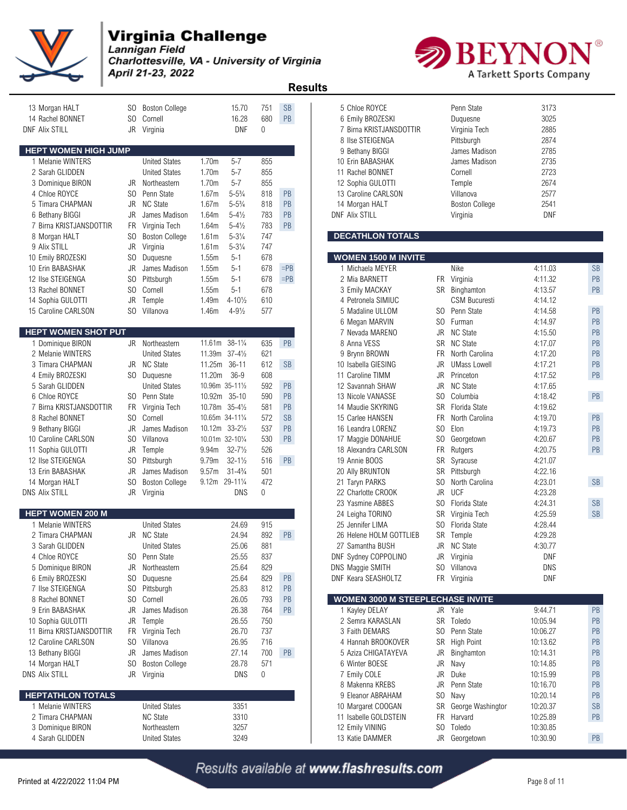

Lannigan Field Charlottesville, VA - University of Virginia April 21-23, 2022



 **Results** 

| 13 Morgan HALT                           | SO.            | <b>Boston College</b>                   | 15.70                                 | 751          | <b>SB</b> | 5 Chloe ROYCE                             |     | Penn State                            | 3173               |           |
|------------------------------------------|----------------|-----------------------------------------|---------------------------------------|--------------|-----------|-------------------------------------------|-----|---------------------------------------|--------------------|-----------|
| 14 Rachel BONNET                         | SO.            | Cornell                                 | 16.28                                 | 680          | PB        | 6 Emily BROZESKI                          |     | Duquesne                              | 3025               |           |
| <b>DNF Alix STILL</b>                    |                | JR Virginia                             | DNF                                   | $\mathbf{0}$ |           | 7 Birna KRISTJANSDOTTIR                   |     | Virginia Tech                         | 2885               |           |
|                                          |                |                                         |                                       |              |           | 8 Ilse STEIGENGA                          |     | Pittsburgh                            | 2874               |           |
| <b>HEPT WOMEN HIGH JUMP</b>              |                |                                         |                                       |              |           | 9 Bethany BIGGI                           |     | James Madison                         | 2785               |           |
| 1 Melanie WINTERS                        |                | <b>United States</b>                    | 1.70m<br>$5 - 7$                      | 855          |           | 10 Erin BABASHAK                          |     | James Madison                         | 2735               |           |
| 2 Sarah GLIDDEN                          |                | <b>United States</b>                    | 1.70m<br>$5 - 7$                      | 855          |           | 11 Rachel BONNET                          |     | Cornell                               | 2723               |           |
| 3 Dominique BIRON                        | JR             | Northeastern                            | 1.70m<br>$5 - 7$                      | 855          |           | 12 Sophia GULOTTI                         |     | Temple                                | 2674               |           |
| 4 Chloe ROYCE                            | SO.            | Penn State                              | $5 - 5\frac{3}{4}$<br>1.67m           | 818          | PB        | 13 Caroline CARLSON                       |     | Villanova                             | 2577               |           |
| 5 Timara CHAPMAN                         | JR             | <b>NC State</b>                         | 1.67m<br>$5 - 5\frac{3}{4}$           | 818          | PB        | 14 Morgan HALT                            |     | <b>Boston College</b>                 | 2541               |           |
| 6 Bethany BIGGI                          | JR             | James Madison                           | 1.64m<br>$5 - 4\frac{1}{2}$           | 783          | PB        | <b>DNF Alix STILL</b>                     |     | Virginia                              | DNF                |           |
| 7 Birna KRISTJANSDOTTIR                  | FR             | Virginia Tech                           | $5 - 4\frac{1}{2}$<br>1.64m           | 783          | PB        |                                           |     |                                       |                    |           |
| 8 Morgan HALT                            | SO.            | <b>Boston College</b>                   | $5 - 3\frac{1}{4}$<br>1.61m           | 747          |           | <b>DECATHLON TOTALS</b>                   |     |                                       |                    |           |
| 9 Alix STILL                             | JR             | Virginia                                | $5 - 3\frac{1}{4}$<br>1.61m           | 747          |           |                                           |     |                                       |                    |           |
| 10 Emily BROZESKI                        | S <sub>0</sub> | Duquesne                                | 1.55m<br>$5 - 1$                      | 678          |           | <b>WOMEN 1500 M INVITE</b>                |     |                                       |                    |           |
| 10 Erin BABASHAK                         | JR             | James Madison                           | 1.55m<br>$5 - 1$                      | 678          | $=$ PB    | 1 Michaela MEYER                          |     | Nike                                  | 4:11.03            | <b>SB</b> |
| 12 Ilse STEIGENGA                        | S <sub>0</sub> | Pittsburgh                              | 1.55m<br>$5 - 1$                      | 678          | $=$ PB    | 2 Mia BARNETT                             |     | FR Virginia                           | 4:11.32            | PB        |
| 13 Rachel BONNET                         | SO.            | Cornell                                 | 1.55m<br>$5 - 1$                      | 678          |           | 3 Emily MACKAY                            |     | SR Binghamton<br><b>CSM Bucuresti</b> | 4:13.57            | PB        |
| 14 Sophia GULOTTI                        | JR             | Temple                                  | $4 - 10\frac{1}{2}$<br>1.49m          | 610          |           | 4 Petronela SIMIUC                        |     |                                       | 4:14.12            |           |
| 15 Caroline CARLSON                      | SO.            | Villanova                               | 1.46m<br>$4 - 9\frac{1}{2}$           | 577          |           | 5 Madaline ULLOM                          | SO. | Penn State                            | 4:14.58            | PB        |
| <b>HEPT WOMEN SHOT PUT</b>               |                |                                         |                                       |              |           | 6 Megan MARVIN                            |     | SO Furman                             | 4:14.97            | PB        |
|                                          |                |                                         | 11.61m 38-11/4                        |              | PB        | 7 Nevada MARENO                           |     | JR NC State                           | 4:15.50            | PB        |
| 1 Dominique BIRON                        |                | JR Northeastern                         | 11.39m 37-41/2                        | 635<br>621   |           | 8 Anna VESS                               |     | SR NC State<br>North Carolina         | 4:17.07            | PB<br>PB  |
| 2 Melanie WINTERS                        |                | <b>United States</b><br><b>NC State</b> |                                       | 612          |           | 9 Brynn BROWN                             | FR  |                                       | 4:17.20            | PB        |
| 3 Timara CHAPMAN                         | JR             |                                         | 11.25m 36-11                          | 608          | <b>SB</b> | 10 Isabella GIESING                       | JR  | <b>UMass Lowell</b>                   | 4:17.21            | PB        |
| 4 Emily BROZESKI<br>5 Sarah GLIDDEN      | SO.            | Duquesne<br><b>United States</b>        | 11.20m<br>$36-9$<br>10.96m 35-111/2   | 592          | PB        | 11 Caroline TIMM                          |     | JR Princeton<br>JR NC State           | 4:17.52            |           |
|                                          |                | Penn State                              |                                       | 590          | PB        | 12 Savannah SHAW                          | SO. | Columbia                              | 4:17.65            | PB        |
| 6 Chloe ROYCE<br>7 Birna KRISTJANSDOTTIR | SO.            |                                         | 10.92m<br>$35 - 10$<br>10.78m 35-41/2 |              | PB        | 13 Nicole VANASSE                         |     | SR Florida State                      | 4:18.42            |           |
| 8 Rachel BONNET                          | FR.<br>SO.     | Virginia Tech<br>Cornell                |                                       | 581<br>572   | <b>SB</b> | 14 Maudie SKYRING                         | FR. | North Carolina                        | 4:19.62<br>4:19.70 | PB        |
|                                          | JR             |                                         | 10.65m 34-111/4                       |              | PB        | 15 Carlee HANSEN                          | SO  | Elon                                  |                    | PB        |
| 9 Bethany BIGGI                          | S <sub>0</sub> | James Madison<br>Villanova              | 10.12m 33-21/2<br>10.01m 32-101/4     | 537          | PB        | 16 Leandra LORENZ                         | SO  |                                       | 4:19.73            | PB        |
| 10 Caroline CARLSON                      | JR             |                                         | $32 - 7\frac{1}{2}$<br>9.94m          | 530<br>526   |           | 17 Maggie DONAHUE<br>18 Alexandra CARLSON |     | Georgetown<br>FR Rutgers              | 4:20.67<br>4:20.75 | PB        |
| 11 Sophia GULOTTI<br>12 Ilse STEIGENGA   | SO.            | Temple<br>Pittsburgh                    | $32 - 1\frac{1}{2}$<br>9.79m          | 516          | PB        | 19 Annie BOOS                             |     | SR Syracuse                           | 4.21.07            |           |
|                                          | JR             |                                         | 9.57m<br>$31 - 4\frac{3}{4}$          | 501          |           |                                           | SR  |                                       | 4:22.16            |           |
| 13 Erin BABASHAK                         | S <sub>0</sub> | James Madison                           | 9.12m 29-111/4                        | 472          |           | 20 Ally BRUNTON                           | SO  | Pittsburgh                            | 4:23.01            | <b>SB</b> |
| 14 Morgan HALT<br><b>DNS Alix STILL</b>  |                | <b>Boston College</b><br>JR Virginia    | DNS                                   | $\Omega$     |           | 21 Taryn PARKS<br>22 Charlotte CROOK      |     | North Carolina<br>JR UCF              | 4:23.28            |           |
|                                          |                |                                         |                                       |              |           | 23 Yasmine ABBES                          |     | SO Florida State                      | 4:24.31            | <b>SB</b> |
| <b>HEPT WOMEN 200 M</b>                  |                |                                         |                                       |              |           | 24 Leigha TORINO                          |     | SR Virginia Tech                      | 4:25.59            | <b>SB</b> |
| 1 Melanie WINTERS                        |                | <b>United States</b>                    | 24.69                                 | 915          |           | 25 Jennifer LIMA                          |     | SO Florida State                      | 4:28.44            |           |
| 2 Timara CHAPMAN                         | JR             | <b>NC State</b>                         | 24.94                                 | 892          | PB        | 26 Helene HOLM GOTTLIEB                   |     | SR Temple                             | 4:29.28            |           |
| 3 Sarah GLIDDEN                          |                | <b>United States</b>                    | 25.06                                 | 881          |           | 27 Samantha BUSH                          |     | JR NC State                           | 4:30.77            |           |
| 4 Chloe ROYCE                            |                | SO Penn State                           | 25.55                                 | 837          |           | DNF Sydney COPPOLINO                      |     | JR Virginia                           | <b>DNF</b>         |           |
| 5 Dominique BIRON                        |                | JR Northeastern                         | 25.64                                 | 829          |           | DNS Maggie SMITH                          |     | SO Villanova                          | DNS                |           |
| 6 Emily BROZESKI                         | SO.            | Duquesne                                | 25.64                                 | 829          | <b>PB</b> | DNF Keara SEASHOLTZ                       |     | FR Virginia                           | DNF                |           |
| 7 Ilse STEIGENGA                         | S <sub>0</sub> | Pittsburgh                              | 25.83                                 | 812          | PB        |                                           |     |                                       |                    |           |
| 8 Rachel BONNET                          | SO.            | Cornell                                 | 26.05                                 | 793          | <b>PB</b> | WOMEN 3000 M STEEPLECHASE INVITE          |     |                                       |                    |           |
| 9 Erin BABASHAK                          | JR             | James Madison                           | 26.38                                 | 764          | <b>PB</b> | 1 Kayley DELAY                            |     | JR Yale                               | 9:44.71            | PB        |
| 10 Sophia GULOTTI                        |                | JR Temple                               | 26.55                                 | 750          |           | 2 Semra KARASLAN                          |     | SR Toledo                             | 10:05.94           | PB        |
| 11 Birna KRISTJANSDOTTIR                 | <b>FR</b>      | Virginia Tech                           | 26.70                                 | 737          |           | 3 Faith DEMARS                            |     | SO Penn State                         | 10:06.27           | PB        |
| 12 Caroline CARLSON                      | SO.            | Villanova                               | 26.95                                 | 716          |           | 4 Hannah BROOKOVER                        |     | SR High Point                         | 10:13.62           | PB        |
| 13 Bethany BIGGI                         | JR             | James Madison                           | 27.14                                 | 700          | <b>PB</b> | 5 Aziza CHIGATAYEVA                       |     | JR Binghamton                         | 10:14.31           | PB        |
| 14 Morgan HALT                           | SO.            | <b>Boston College</b>                   | 28.78                                 | 571          |           | 6 Winter BOESE                            |     | JR Navy                               | 10:14.85           | PB        |
| <b>DNS Alix STILL</b>                    |                | JR Virginia                             | DNS                                   | 0            |           | 7 Emily COLE                              |     | JR Duke                               | 10:15.99           | PB        |
|                                          |                |                                         |                                       |              |           | 8 Makenna KREBS                           | JR  | Penn State                            | 10:16.70           | PB        |
| <b>HEPTATHLON TOTALS</b>                 |                |                                         |                                       |              |           | 9 Eleanor ABRAHAM                         |     | SO Navy                               | 10:20.14           | PB        |
| 1 Melanie WINTERS                        |                | <b>United States</b>                    | 3351                                  |              |           | 10 Margaret COOGAN                        |     | SR George Washington                  | 10:20.37           | <b>SB</b> |
| 2 Timara CHAPMAN                         |                | <b>NC State</b>                         | 3310                                  |              |           | 11 Isabelle GOLDSTEIN                     |     | FR Harvard                            | 10:25.89           | PB        |
| 3 Dominique BIRON                        |                | Northeastern                            | 3257                                  |              |           | 12 Emily VINING                           |     | SO Toledo                             | 10:30.85           |           |
| 4 Sarah GLIDDEN                          |                | <b>United States</b>                    | 3249                                  |              |           | 13 Katie DAMMER                           |     | JR Georgetown                         | 10:30.90           | PB        |
|                                          |                |                                         |                                       |              |           |                                           |     |                                       |                    |           |

| 5 Chloe ROYCE           | Penn State            | 3173       |
|-------------------------|-----------------------|------------|
| 6 Emily BROZESKI        | Duguesne              | 3025       |
| 7 Birna KRISTJANSDOTTIR | Virginia Tech         | 2885       |
| 8 Ilse STEIGENGA        | Pittsburgh            | 2874       |
| 9 Bethany BIGGI         | James Madison         | 2785       |
| 10 Erin BABASHAK        | James Madison         | 2735       |
| 11 Rachel BONNET        | Cornell               | 2723       |
| 12 Sophia GULOTTI       | Temple                | 2674       |
| 13 Caroline CARLSON     | Villanova             | 2577       |
| 14 Morgan HALT          | <b>Boston College</b> | 2541       |
| <b>NF Alix STILL</b>    | Virginia              | <b>DNF</b> |

#### **BECATHLON TOTALS**

| <b>WOMEN 1500 M INVITE</b>              |                |                      |          |           |
|-----------------------------------------|----------------|----------------------|----------|-----------|
| 1 Michaela MEYER                        |                | Nike                 | 4:11.03  | <b>SB</b> |
| 2 Mia BARNETT                           | FR.            | Virginia             | 4:11.32  | <b>PB</b> |
| 3 Emily MACKAY                          | <b>SR</b>      | Binghamton           | 4:13.57  | PB        |
| 4 Petronela SIMIUC                      |                | <b>CSM Bucuresti</b> | 4:14.12  |           |
| 5 Madaline ULLOM                        | SO.            | Penn State           | 4:14.58  | PB        |
| 6 Megan MARVIN                          | SO.            | Furman               | 4:14.97  | PB        |
| 7 Nevada MARENO                         | <b>JR</b>      | <b>NC State</b>      | 4:15.50  | PB        |
| 8 Anna VESS                             | SR             | <b>NC State</b>      | 4:17.07  | PB        |
| 9 Brynn BROWN                           | FR I           | North Carolina       | 4:17.20  | PB        |
| 10 Isabella GIESING                     | JR.            | <b>UMass Lowell</b>  | 4:17.21  | PB        |
| 11 Caroline TIMM                        | JR.            | Princeton            | 4:17.52  | PB        |
| 12 Savannah SHAW                        | JR.            | <b>NC State</b>      | 4:17.65  |           |
| 13 Nicole VANASSE                       |                | SO Columbia          | 4:18.42  | PB        |
| 14 Maudie SKYRING                       |                | SR Florida State     | 4:19.62  |           |
| 15 Carlee HANSEN                        | <b>FR</b>      | North Carolina       | 4:19.70  | <b>PB</b> |
| 16 Leandra LORENZ                       | SO.            | Elon                 | 4:19.73  | PB        |
| 17 Maggie DONAHUE                       |                | SO Georgetown        | 4:20.67  | PB        |
| 18 Alexandra CARLSON                    | <b>FR</b>      | Rutgers              | 4:20.75  | PB        |
| 19 Annie BOOS                           | SR             | Syracuse             | 4:21.07  |           |
| 20 Ally BRUNTON                         | SR             | Pittsburgh           | 4:22.16  |           |
| 21 Taryn PARKS                          | SO.            | North Carolina       | 4:23.01  | <b>SB</b> |
| 22 Charlotte CROOK                      | <b>JR</b>      | <b>UCF</b>           | 4:23.28  |           |
| 23 Yasmine ABBES                        | SO.            | Florida State        | 4:24.31  | <b>SB</b> |
| 24 Leigha TORINO                        | SR             | Virginia Tech        | 4:25.59  | <b>SB</b> |
| 25 Jennifer LIMA                        |                | SO Florida State     | 4:28.44  |           |
| 26 Helene HOLM GOTTLIEB                 |                | SR Temple            | 4:29.28  |           |
| 27 Samantha BUSH                        | JR.            | <b>NC State</b>      | 4:30.77  |           |
| DNF Sydney COPPOLINO                    | JR             | Virginia             | DNF      |           |
| DNS Maggie SMITH                        | SO             | Villanova            | DNS      |           |
| DNF Keara SEASHOLTZ                     | FR.            | Virginia             | DNF      |           |
|                                         |                |                      |          |           |
| <b>WOMEN 3000 M STEEPLECHASE INVITE</b> |                |                      |          |           |
| 1 Kayley DELAY                          | JR.            | Yale                 | 9:44.71  | PB        |
| 2 Semra KARASLAN                        | <b>SR</b>      | Toledo               | 10:05.94 | PB        |
| 3 Faith DEMARS                          | SO.            | Penn State           | 10:06.27 | <b>PB</b> |
| 4 Hannah BROOKOVER                      | SR             | <b>High Point</b>    | 10:13.62 | PB        |
| 5 Aziza CHIGATAYEVA                     | JR             | Binghamton           | 10:14.31 | PB        |
| 6 Winter BOESE                          | JR             | Navy                 | 10:14.85 | <b>PB</b> |
| 7 Emily COLE                            | JR.            | Duke                 | 10:15.99 | PB        |
| 8 Makenna KREBS                         | JR.            | Penn State           | 10:16.70 | PB        |
| 9 Eleanor ABRAHAM                       | S <sub>O</sub> | Navy                 | 10:20.14 | PB        |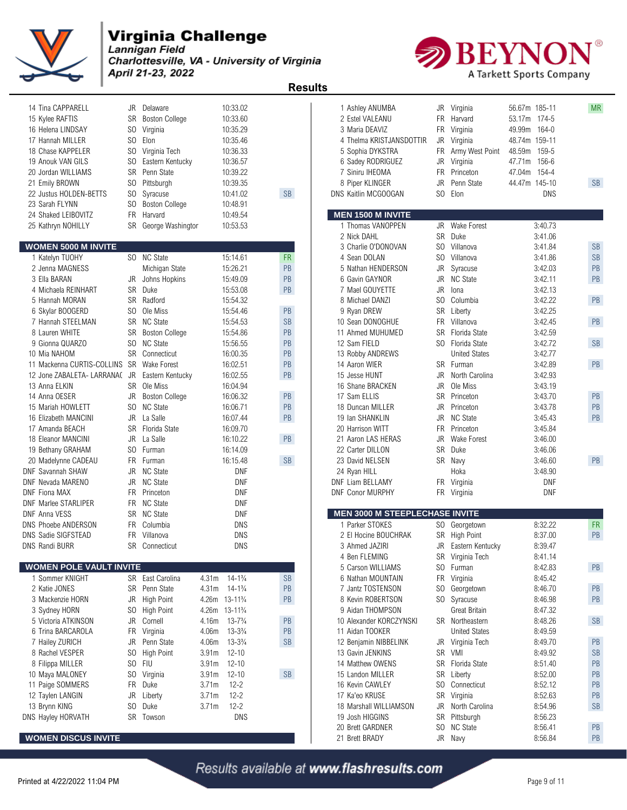

Lannigan Field Charlottesville, VA - University of Virginia April 21-23, 2022

 **Results** 

| 14 Tina CAPPARELL                                           | JR                               | Delaware                         | 10:33.02                                 |                      | 1 Ashley ANUMBA                        | JR             | Virginia                              | 56.67m 185-11      | <b>MR</b> |
|-------------------------------------------------------------|----------------------------------|----------------------------------|------------------------------------------|----------------------|----------------------------------------|----------------|---------------------------------------|--------------------|-----------|
| 15 Kylee RAFTIS                                             | <b>SR</b>                        | <b>Boston College</b>            | 10:33.60                                 |                      | 2 Estel VALEANU                        | <b>FR</b>      | Harvard                               | 174-5<br>53.17m    |           |
| 16 Helena LINDSAY                                           | SO.                              | Virginia                         | 10:35.29                                 |                      | 3 Maria DEAVIZ                         | <b>FR</b>      | Virginia                              | 164-0<br>49.99m    |           |
| 17 Hannah MILLER                                            | S <sub>0</sub>                   | Elon                             | 10:35.46                                 |                      | 4 Thelma KRISTJANSDOTTIR               | JR             | Virginia                              | 48.74m 159-11      |           |
| 18 Chase KAPPELER                                           | SO.                              | Virginia Tech                    | 10:36.33                                 |                      | 5 Sophia DYKSTRA                       | FR             | Army West Point                       | 159-5<br>48.59m    |           |
| 19 Anouk VAN GILS                                           | S <sub>0</sub>                   | Eastern Kentucky                 | 10:36.57                                 |                      | 6 Sadey RODRIGUEZ                      | JR             | Virginia                              | 47.71m<br>156-6    |           |
| 20 Jordan WILLIAMS                                          | <b>SR</b>                        | Penn State                       | 10:39.22                                 |                      | 7 Siniru IHEOMA                        | <b>FR</b>      | Princeton                             | 47.04m<br>154-4    |           |
| 21 Emily BROWN                                              | SO.                              | Pittsburgh                       | 10:39.35                                 |                      | 8 Piper KLINGER                        | JR.            | Penn State                            | 44.47m 145-10      | SB        |
| 22 Justus HOLDEN-BETTS                                      | S <sub>0</sub><br>S <sub>0</sub> | Syracuse                         | 10:41.02<br>10:48.91                     | <b>SB</b>            | DNS Kaitlin MCGOOGAN                   | SO             | Elon                                  | <b>DNS</b>         |           |
| 23 Sarah FLYNN<br>24 Shaked LEIBOVITZ                       | <b>FR</b>                        | <b>Boston College</b><br>Harvard | 10:49.54                                 |                      | <b>MEN 1500 M INVITE</b>               |                |                                       |                    |           |
| 25 Kathryn NOHILLY                                          |                                  | SR George Washingtor             | 10:53.53                                 |                      | 1 Thomas VANOPPEN                      |                | JR Wake Forest                        | 3:40.73            |           |
|                                                             |                                  |                                  |                                          |                      | 2 Nick DAHL                            | <b>SR</b>      | Duke                                  | 3:41.06            |           |
| <b>WOMEN 5000 M INVITE</b>                                  |                                  |                                  |                                          |                      | 3 Charlie O'DONOVAN                    | SO.            | Villanova                             | 3:41.84            | <b>SB</b> |
| 1 Katelyn TUOHY                                             |                                  | SO NC State                      | 15:14.61                                 | <b>FR</b>            | 4 Sean DOLAN                           | S <sub>0</sub> | Villanova                             | 3:41.86            | <b>SB</b> |
| 2 Jenna MAGNESS                                             |                                  | Michigan State                   | 15:26.21                                 | PB                   | 5 Nathan HENDERSON                     | JR             | Syracuse                              | 3:42.03            | PB        |
| 3 Ella BARAN                                                | JR                               | Johns Hopkins                    | 15:49.09                                 | PB                   | 6 Gavin GAYNOR                         | JR.            | <b>NC State</b>                       | 3:42.11            | PB        |
| 4 Michaela REINHART                                         | SR                               | Duke                             | 15:53.08                                 | PB                   | 7 Mael GOUYETTE                        | JR.            | lona                                  | 3:42.13            |           |
| 5 Hannah MORAN                                              | <b>SR</b>                        | Radford                          | 15:54.32                                 |                      | 8 Michael DANZI                        | SO.            | Columbia                              | 3:42.22            | PB        |
| 6 Skylar BOOGERD                                            | SO.                              | Ole Miss                         | 15:54.46                                 | PB                   | 9 Ryan DREW                            | SR             | Liberty                               | 3:42.25            |           |
| 7 Hannah STEELMAN                                           | SR                               | <b>NC State</b>                  | 15:54.53                                 | <b>SB</b>            | 10 Sean DONOGHUE                       | FR.            | Villanova                             | 3:42.45            | PB        |
| 8 Lauren WHITE                                              | SR                               | <b>Boston College</b>            | 15:54.86                                 | PB                   | 11 Ahmed MUHUMED                       | <b>SR</b>      | Florida State                         | 3:42.59            |           |
| 9 Gionna QUARZO                                             | SO.                              | <b>NC State</b>                  | 15:56.55                                 | PB                   | 12 Sam FIELD                           | SO.            | Florida State                         | 3:42.72            | SB        |
| 10 Mia NAHOM                                                |                                  | SR Connecticut                   | 16:00.35                                 | PB                   | 13 Robby ANDREWS                       |                | <b>United States</b>                  | 3:42.77            |           |
| 11 Mackenna CURTIS-COLLINS SR<br>12 Jone ZABALETA- LARRANA( | <b>JR</b>                        | <b>Wake Forest</b>               | 16:02.51                                 | PB<br>PB             | 14 Aaron WIER                          | JR.            | SR Furman<br>North Carolina           | 3:42.89<br>3:42.93 | PB        |
| 13 Anna ELKIN                                               |                                  | Eastern Kentucky<br>SR Ole Miss  | 16:02.55<br>16:04.94                     |                      | 15 Jesse HUNT<br>16 Shane BRACKEN      | JR.            | Ole Miss                              | 3:43.19            |           |
| 14 Anna OESER                                               | JR                               | <b>Boston College</b>            | 16:06.32                                 | PB                   | 17 Sam ELLIS                           |                | SR Princeton                          | 3:43.70            | PB        |
| 15 Mariah HOWLETT                                           | S <sub>0</sub>                   | <b>NC State</b>                  | 16:06.71                                 | PB                   | 18 Duncan MILLER                       | JR.            | Princeton                             | 3:43.78            | PB        |
| 16 Elizabeth MANCINI                                        | JR                               | La Salle                         | 16:07.44                                 | PB                   | 19 Ian SHANKLIN                        | JR             | <b>NC State</b>                       | 3:45.43            | PB        |
| 17 Amanda BEACH                                             |                                  | SR Florida State                 | 16:09.70                                 |                      | 20 Harrison WITT                       | <b>FR</b>      | Princeton                             | 3:45.84            |           |
| 18 Eleanor MANCINI                                          | JR                               | La Salle                         | 16:10.22                                 | PB                   | 21 Aaron LAS HERAS                     | JR.            | <b>Wake Forest</b>                    | 3:46.00            |           |
| 19 Bethany GRAHAM                                           | SO.                              | Furman                           | 16:14.09                                 |                      | 22 Carter DILLON                       | <b>SR</b>      | Duke                                  | 3:46.06            |           |
| 20 Madelynne CADEAU                                         | <b>FR</b>                        | Furman                           | 16:15.48                                 | SB                   | 23 David NELSEN                        |                | SR Navy                               | 3:46.60            | PB        |
| <b>DNF Savannah SHAW</b>                                    | JR                               | <b>NC State</b>                  | DNF                                      |                      | 24 Ryan HILL                           |                | Hoka                                  | 3:48.90            |           |
| DNF Nevada MARENO                                           | JR                               | <b>NC State</b>                  | <b>DNF</b>                               |                      | <b>DNF Liam BELLAMY</b>                |                | FR Virginia                           | <b>DNF</b>         |           |
| <b>DNF Fiona MAX</b>                                        | FR                               | Princeton                        | DNF                                      |                      | <b>DNF Conor MURPHY</b>                |                | FR Virginia                           | <b>DNF</b>         |           |
| <b>DNF Marlee STARLIPER</b>                                 | <b>FR</b>                        | <b>NC State</b>                  | <b>DNF</b>                               |                      |                                        |                |                                       |                    |           |
| <b>DNF Anna VESS</b>                                        |                                  | SR NC State                      | DNF                                      |                      | <b>MEN 3000 M STEEPLECHASE INVITE</b>  |                |                                       |                    |           |
| <b>DNS Phoebe ANDERSON</b>                                  | FR                               | Columbia<br>Villanova            | <b>DNS</b>                               |                      | 1 Parker STOKES                        |                | SO Georgetown                         | 8:32.22            | <b>FR</b> |
| DNS Sadie SIGFSTEAD<br><b>DNS Randi BURR</b>                | FR.                              | SR Connecticut                   | <b>DNS</b><br><b>DNS</b>                 |                      | 2 El Hocine BOUCHRAK<br>3 Ahmed JAZIRI | SR<br>JR       | <b>High Point</b><br>Eastern Kentucky | 8:37.00<br>8:39.47 | PB        |
|                                                             |                                  |                                  |                                          |                      | 4 Ben FLEMING                          |                | SR Virginia Tech                      | 8:41.14            |           |
| <b>WOMEN POLE VAULT INVITE</b>                              |                                  |                                  |                                          |                      | 5 Carson WILLIAMS                      |                | SO Furman                             | 8:42.83            | PB        |
| 1 Sommer KNIGHT                                             |                                  | SR East Carolina                 | $14 - 1\frac{3}{4}$<br>4.31 <sub>m</sub> | <b>SB</b>            | 6 Nathan MOUNTAIN                      | <b>FR</b>      | Virginia                              | 8:45.42            |           |
| 2 Katie JONES                                               |                                  | SR Penn State                    | $14 - 1\frac{3}{4}$<br>4.31 <sub>m</sub> | PB                   | 7 Jantz TOSTENSON                      |                | SO Georgetown                         | 8:46.70            | PB        |
| 3 Mackenzie HORN                                            | JR                               | <b>High Point</b>                | 4.26m 13-11 <sup>3</sup> / <sub>4</sub>  | PB                   | 8 Kevin ROBERTSON                      |                | SO Syracuse                           | 8:46.98            | PB        |
| 3 Sydney HORN                                               | SO.                              | <b>High Point</b>                | 4.26m 13-11 <sup>3</sup> / <sub>4</sub>  |                      | 9 Aidan THOMPSON                       |                | <b>Great Britain</b>                  | 8:47.32            |           |
| 5 Victoria ATKINSON                                         | JR                               | Cornell                          | $13 - 7\frac{3}{4}$<br>4.16m             | PB                   | 10 Alexander KORCZYNSKI                |                | SR Northeastern                       | 8:48.26            | SB        |
| 6 Trina BARCAROLA                                           |                                  | FR Virginia                      | 4.06m<br>$13 - 3\frac{3}{4}$             | PB                   | 11 Aidan TOOKER                        |                | <b>United States</b>                  | 8:49.59            |           |
| 7 Hailey ZURICH                                             | JR                               | Penn State                       | $13 - 3\frac{3}{4}$<br>4.06m             | $\mathsf{SB}\xspace$ | 12 Benjamin NIBBELINK                  | JR             | Virginia Tech                         | 8:49.70            | PB        |
| 8 Rachel VESPER                                             | S <sub>0</sub>                   | High Point                       | $12 - 10$<br>3.91 <sub>m</sub>           |                      | 13 Gavin JENKINS                       |                | SR VMI                                | 8:49.92            | <b>SB</b> |
| 8 Filippa MILLER                                            | SO.                              | <b>FIU</b>                       | 3.91m<br>$12 - 10$                       |                      | 14 Matthew OWENS                       |                | SR Florida State                      | 8.51.40            | PB        |
| 10 Maya MALONEY                                             | SO.                              | Virginia                         | 3.91 <sub>m</sub><br>$12 - 10$           | SB                   | 15 Landon MILLER                       |                | SR Liberty                            | 8.52.00            | PB        |
| 11 Paige SOMMERS                                            | <b>FR</b>                        | Duke                             | 3.71m<br>$12 - 2$                        |                      | 16 Kevin CAWLEY                        |                | SO Connecticut                        | 8.52.12            | PB        |
| 12 Taylen LANGIN                                            | JR                               | Liberty                          | $12 - 2$<br>3.71m                        |                      | 17 Ka'eo KRUSE                         |                | SR Virginia                           | 8.52.63            | PB        |
| 13 Brynn KING                                               | SO                               | Duke                             | $12 - 2$<br>3.71m                        |                      | 18 Marshall WILLIAMSON                 | JR             | North Carolina                        | 8.54.96            | <b>SB</b> |
| DNS Hayley HORVATH                                          |                                  | SR Towson                        | DNS                                      |                      | 19 Josh HIGGINS                        |                | SR Pittsburgh                         | 8:56.23            | PB        |
| <b>WOMEN DISCUS INVITE</b>                                  |                                  |                                  |                                          |                      | 20 Brett GARDNER<br>21 Rrett RRADY     |                | SO NC State<br>IR Navy                | 8:56.41<br>8.5684  | <b>PR</b> |
|                                                             |                                  |                                  |                                          |                      |                                        |                |                                       |                    |           |



| <b>DIVO I HUGUG ANDLI WUN</b>  | <b>UUILIINI</b>       | טווע                                     |           | ט ונוועו שוטוגב         |           | <b>OU UUUIYUUWII</b> | U.J <i>L.LL</i> | .         |
|--------------------------------|-----------------------|------------------------------------------|-----------|-------------------------|-----------|----------------------|-----------------|-----------|
| <b>DNS Sadie SIGFSTEAD</b>     | Villanova<br>FR.      | <b>DNS</b>                               |           | 2 El Hocine BOUCHRAK    |           | SR High Point        | 8:37.00         | PB        |
| <b>DNS Randi BURR</b>          | <b>SR</b> Connecticut | <b>DNS</b>                               |           | 3 Ahmed JAZIRI          | JR        | Eastern Kentucky     | 8:39.47         |           |
|                                |                       |                                          |           | 4 Ben FLEMING           | <b>SR</b> | Virginia Tech        | 8:41.14         |           |
| <b>WOMEN POLE VAULT INVITE</b> |                       |                                          |           | 5 Carson WILLIAMS       |           | SO Furman            | 8:42.83         | PB        |
| Sommer KNIGHT                  | SR East Carolina      | $14 - 1\frac{3}{4}$<br>4.31 <sub>m</sub> | <b>SB</b> | 6 Nathan MOUNTAIN       |           | FR Virginia          | 8:45.42         |           |
| 2 Katie JONES                  | SR Penn State         | $14 - 1\frac{3}{4}$<br>4.31 <sub>m</sub> | <b>PB</b> | 7 Jantz TOSTENSON       |           | SO Georgetown        | 8:46.70         | PB        |
| 3 Mackenzie HORN               | JR High Point         | 4.26m<br>$13 - 11\frac{3}{4}$            | PB        | 8 Kevin ROBERTSON       |           | SO Syracuse          | 8:46.98         | PB        |
| 3 Sydney HORN                  | SO.<br>High Point     | 4.26m<br>$13 - 11\frac{3}{4}$            |           | 9 Aidan THOMPSON        |           | Great Britain        | 8:47.32         |           |
| 5 Victoria ATKINSON            | JR Cornell            | 4.16m<br>$13 - 7\frac{3}{4}$             | PB        | 10 Alexander KORCZYNSKI | SR.       | Northeastern         | 8:48.26         | <b>SB</b> |
| 6 Trina BARCAROLA              | FR Virginia           | 4.06m<br>$13 - 3\frac{3}{4}$             | PB        | 11 Aidan TOOKER         |           | <b>United States</b> | 8:49.59         |           |
| 7 Hailey ZURICH                | JR Penn State         | 4.06m<br>$13 - 3\frac{3}{4}$             | <b>SB</b> | 12 Benjamin NIBBELINK   |           | JR Virginia Tech     | 8:49.70         | PB        |
| 8 Rachel VESPER                | SO High Point         | 3.91 <sub>m</sub><br>$12 - 10$           |           | 13 Gavin JENKINS        | <b>SR</b> | VMI                  | 8:49.92         | <b>SB</b> |
| 8 Filippa MILLER               | SO.<br>FIU            | 3.91 <sub>m</sub><br>$12 - 10$           |           | 14 Matthew OWENS        | SR.       | Florida State        | 8:51.40         | PB        |
| 10 Maya MALONEY                | SO.<br>Virginia       | 3.91 <sub>m</sub><br>$12 - 10$           | <b>SB</b> | 15 Landon MILLER        | <b>SR</b> | Liberty              | 8:52.00         | PB        |
| 11 Paige SOMMERS               | FR<br>Duke            | 3.71m<br>$12 - 2$                        |           | 16 Kevin CAWLEY         | SO.       | Connecticut          | 8:52.12         | PB        |
| 12 Taylen LANGIN               | JR<br>Liberty         | 3.71 <sub>m</sub><br>$12 - 2$            |           | 17 Ka'eo KRUSE          | <b>SR</b> | Virginia             | 8:52.63         | PB        |
| 13 Brynn KING                  | SO.<br>Duke           | 3.71 <sub>m</sub><br>$12 - 2$            |           | 18 Marshall WILLIAMSON  | JR        | North Carolina       | 8:54.96         | <b>SB</b> |
| DNS Hayley HORVATH             | SR<br>Towson          | <b>DNS</b>                               |           | 19 Josh HIGGINS         |           | SR Pittsburgh        | 8:56.23         |           |
|                                |                       |                                          |           | 20 Brett GARDNER        | SO.       | NC State             | 8:56.41         | PB        |
| <b>WOMEN DISCUS INVITE</b>     |                       |                                          |           | 21 Brett BRADY          | JR.       | Navy                 | 8:56.84         | PB        |
|                                |                       |                                          |           |                         |           |                      |                 |           |

Printed at 4/22/2022 11:04 PM Page 9 of 11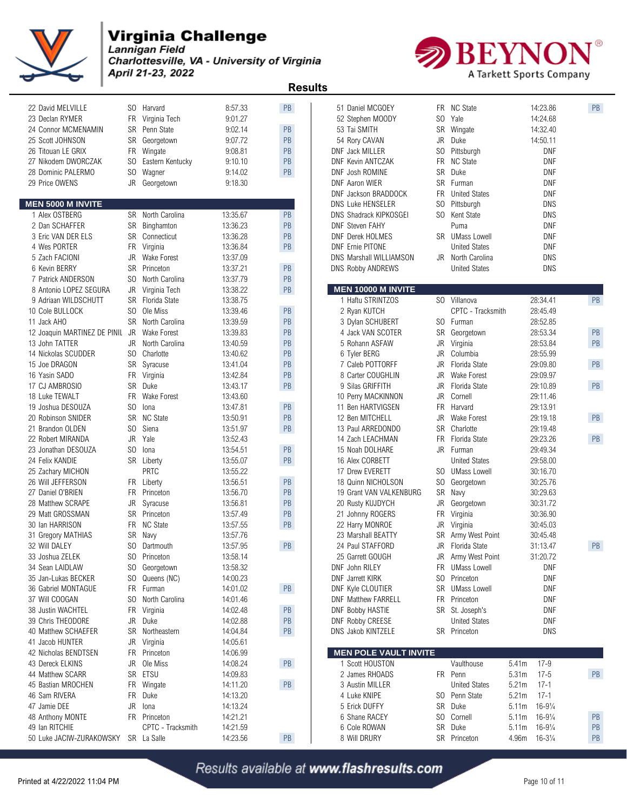

Lannigan Field Charlottesville, VA - University of Virginia April 21-23, 2022



 **Results**  22 David MELVILLE SO Harvard 8:57.33 PB 51 Daniel MCGOEY FR NC State 14:23.86 PB 23 Declan RYMER FR Virginia Tech 9:01.27 52 Stephen MOODY SO Yale 14:24.68 24 Connor MCMENAMIN SR Penn State 9:02.14 PB 25 Scott JOHNSON SR Georgetown 9:07.72 PB 54 Rory CAVAN JR Duke 14:50.11 26 Titouan LE GRIX FR Wingate 9:08.81 PB DNF Jack MILLER SO Pittsburgh DNF 27 Nikodem DWORCZAK SO Eastern Kentucky 9:10.10 PB 28 Dominic PALERMO SO Wagner 9:14.02 PB 29 Price OWENS JR Georgetown 9:18.30 DNF Aaron WIER SR Furman DNF **MEN 5000 M INVITE** 1 Alex OSTBERG SR North Carolina 13:35.67 PB NS Shadrack KIPKOSGEI SO Kent State DNS 2 Dan SCHAFFER SR Binghamton 13:36.23 PB | DNF Steven FAHY Puma Puma DNF 3 Eric VAN DER ELS SR Connecticut 13:36.28 PB | DNF Derek HOLMES SR UMass Lowell DNF 4 Wes PORTER FR Virginia 13:36.84 PB DNF Ernie PITONE United States DNF Ernie PITONE 5 Zach FACIONI JR Wake Forest 13:37.09 DNS Marshall WILLIAMSON JR North Carolina DNS 6 Kevin BERRY SR Princeton 13:37.21 PB DNS Robby ANDREWS United States DNS 7 Patrick ANDERSON SO North Carolina 13:37.79 PB 8 Antonio LOPEZ SEGURA JR Virginia Tech 13:38.22 PB | | 9 Adriaan WILDSCHUTT SR Florida State 13:38.75 10 Cole BULLOCK SO Ole Miss 13:39.46 PB 2 Ryan KUTCH CPTC - Tracksmith 28:45.49 11 Jack AHO SR North Carolina 13:39.59 PB 3 Dylan SCHUBERT SO Furman 28:52.85 12 Joaquin MARTINEZ DE PINIL JR Wake Forest 13:39.83 PB 13 John TATTER JR North Carolina 13:40.59 PB 5 Rohann ASFAW JR Virginia 28:53.84 PB 14 Nickolas SCUDDER SO Charlotte 13:40.62 PB 15 Joe DRAGON SR Syracuse 13:41.04 PB 7 Caleb POTTORFF JR Florida State 29:09.80 PB 16 Yasin SADO 6 FR Virginia 13:42.84 PB 8 Carter COUGHLIN JR Wake Forest 29:09.97 17 CJ AMBROSIO SR Duke 13:43.17 PB 9 Silas GRIFFITH JR Florida State 29:10.89 PB 18 Luke TEWALT FR Wake Forest 13:43.60 10 Perry MACKINNON JR Cornell 29:11.46 19 Joshua DESOUZA SO Iona 13:47.81 PB 20 Robinson SNIDER SR NC State 13:50.91 PB 12 Ben MITCHELL JR Wake Forest 29:19.18 PB 21 Brandon OLDEN SO Siena 13:51.97 PB 22 Robert MIRANDA JR Yale 13:52.43<br>23 Jonathan DESOUZA SO Iona 13:54.51 PB 23 Jonathan DESOUZA SO Iona 13:54.51 24 Felix KANDIE SR Liberty 13:55.07 PB 16 Alex CORBETT United States 29:58.00 25 Zachary MICHON PRTC 13:55.22 26 Will JEFFERSON FR Liberty 13:56.51 PB 18 Quinn NICHOLSON SO Georgetown 30:25.76 27 Daniel O'BRIEN FR Princeton 13:56.70 PB 19 Grant VAN VALKENBURG SR Navy 30:29.63 28 Matthew SCRAPE JR Syracuse 13:56.81 PB 20 Rusty KUJDYCH JR Georgetown 30:31.72 29 Matt GROSSMAN SR Princeton 13:57.49 PB 21 Johnny ROGERS FR Virginia 30:36.90 30 Ian HARRISON FR NC State 13:57.55 PB 22 Harry MONROE JR Virginia 30:45.03 31 Gregory MATHIAS SR Navy 13:57.76 32 Will DALEY SO Dartmouth 13:57.95 PB 24 Paul STAFFORD JR Florida State 31:13.47 PB 33 Joshua ZELEK SO Princeton 13:58.14 25 Garrett GOUGH JR Army West Point 31:20.72 34 Sean LAIDLAW SO Georgetown 13:58.32 DNF John RILEY FR UMass Lowell DNF 35 Jan-Lukas BECKER SO Queens (NC) 14:00.23 36 Gabriel MONTAGUE FR Furman 14:01.02 PB 37 Will COOGAN SO North Carolina 14:01.46 DNF Matthew FARRELL FR Princeton DNF 38 Justin WACHTEL FR Virginia 14:02.48 PB DNF Bobby HASTIE SR St. Joseph's DNF 39 Chris THEODORE JR Duke 14:02.88 PB 40 Matthew SCHAEFER SR Northeastern 14:04.84 PB 41 Jacob HUNTER JR Virginia 14:05.61 42 Nicholas BENDTSEN FR Princeton 14:06.99 43 Dereck ELKINS JR Ole Miss 14:08.24 PB 1 Scott HOUSTON Vaulthouse 5.41m 17-9 44 Matthew SCARR SR ETSU 14:09.83 2 James RHOADS FR Penn 5.31m 17-5 PB 45 Bastian MROCHEN FR Wingate 14:11.20 PB 46 Sam RIVERA FR Duke 14:13.20 4 Luke KNIPE SO Penn State 5.21m 17-1 47 Jamie DEE JR Iona 14:13.24 5 Erick DUFFY SR Duke 5.11m 16-9¼ 48 Anthony MONTE FR Princeton 14:21.21 6 Shane RACEY SO Cornell 5.11m 16-9¼ PB 49 Ian RITCHIE CPTC - Tracksmith 14:21.59 6 Cole ROWAN SR Duke 5.11m 16-9¼ PB 50 Luke JACIW-ZURAKOWSKY SR La Salle 14:23.56 PB

| 51 Daniel MCGOEY             | FR.       | <b>NC State</b>      | 14:23.86                     | PB        |
|------------------------------|-----------|----------------------|------------------------------|-----------|
| 52 Stephen MOODY             | SO        | Yale                 | 14:24.68                     |           |
| 53 Tai SMITH                 | SR        | Wingate              | 14:32.40                     |           |
| 54 Rory CAVAN                | JR        | Duke                 | 14:50.11                     |           |
| DNF Jack MILLER              | SO        | Pittsburgh           | DNF                          |           |
| <b>DNF Kevin ANTCZAK</b>     | FR        | <b>NC State</b>      | DNF                          |           |
| DNF Josh ROMINE              | <b>SR</b> | Duke                 | DNF                          |           |
| DNF Aaron WIER               | SR        | Furman               | DNF                          |           |
| DNF Jackson BRADDOCK         | FR.       | <b>United States</b> | DNF                          |           |
| <b>DNS Luke HENSELER</b>     | SO.       | Pittsburgh           | DNS                          |           |
| DNS Shadrack KIPKOSGEI       | SO -      | Kent State           | DNS                          |           |
| <b>DNF Steven FAHY</b>       |           | Puma                 | DNF                          |           |
| DNF Derek HOLMES             | SR        | <b>UMass Lowell</b>  | DNF                          |           |
| <b>DNF Ernie PITONE</b>      |           | <b>United States</b> | DNF                          |           |
| DNS Marshall WILLIAMSON      | JR        | North Carolina       | DNS                          |           |
| <b>DNS Robby ANDREWS</b>     |           | <b>United States</b> | DNS                          |           |
|                              |           |                      |                              |           |
| <b>MEN 10000 M INVITE</b>    |           |                      |                              |           |
| 1 Haftu STRINTZOS            | SO.       | Villanova            | 28:34.41                     | <b>PB</b> |
| 2 Ryan KUTCH                 |           | CPTC - Tracksmith    | 28:45.49                     |           |
| 3 Dylan SCHUBERT             | SO.       | Furman               | 28:52.85                     |           |
| 4 Jack VAN SCOTER            | SR        | Georgetown           | 28:53.34                     | PB        |
| 5 Rohann ASFAW               | JR        | Virginia             | 28:53.84                     | PB        |
| 6 Tyler BERG                 | JR        | Columbia             | 28:55.99                     |           |
| 7 Caleb POTTORFF             | JR        | Florida State        | 29:09.80                     | PB        |
| 8 Carter COUGHLIN            | JR        | Wake Forest          | 29:09.97                     |           |
| 9 Silas GRIFFITH             | JR        | Florida State        | 29:10.89                     | PB        |
| 10 Perry MACKINNON           | JR        | Cornell              | 29:11.46                     |           |
| 11 Ben HARTVIGSEN            | FR.       | Harvard              | 29:13.91                     |           |
| 12 Ben MITCHELL              | JR        | Wake Forest          | 29:19.18                     | PB        |
| 13 Paul ARREDONDO            |           | SR Charlotte         | 29:19.48                     |           |
| 14 Zach LEACHMAN             | FR.       | Florida State        | 29:23.26                     | PB        |
| 15 Noah DOLHARE              | JR        | Furman               | 29:49.34                     |           |
| 16 Alex CORBETT              |           | <b>United States</b> | 29:58.00                     |           |
| 17 Drew EVERETT              | SO.       | <b>UMass Lowell</b>  | 30:16.70                     |           |
| 18 Quinn NICHOLSON           | SO.       | Georgetown           | 30:25.76                     |           |
| 19 Grant VAN VALKENBURG      | SR        | Navy                 | 30.29.63                     |           |
| 20 Rusty KUJDYCH             | JR        | Georgetown           | 30:31.72                     |           |
| 21 Johnny ROGERS             | FR        | Virginia             | 30:36.90                     |           |
| 22 Harry MONROE              | JR        | Virginia             | 30:45.03                     |           |
| 23 Marshall BEATTY           | SR        | Army West Point      | 30:45.48                     |           |
| 24 Paul STAFFORD             | JR        | Florida State        | 31:13.47                     | PB        |
| 25 Garrett GOUGH             | JR        | Army West Point      | 31:20.72                     |           |
| DNF John RILEY               | FR        | <b>UMass Lowell</b>  | DNF                          |           |
| <b>DNF</b> Jarrett KIRK      | SO.       | Princeton            | DNF                          |           |
| DNF Kyle CLOUTIER            | SR        | <b>UMass Lowell</b>  | DNF                          |           |
| <b>DNF Matthew FARRELL</b>   | FR        | Princeton            | DNF                          |           |
| <b>DNF Bobby HASTIE</b>      | SR        | St. Joseph's         | DNF                          |           |
| <b>DNF Robby CREESE</b>      |           | <b>United States</b> | DNF                          |           |
| DNS Jakob KINTZELE           |           | SR Princeton         | DNS                          |           |
|                              |           |                      |                              |           |
| <b>MEN POLE VAULT INVITE</b> |           |                      |                              |           |
| 1 Scott HOUSTON              |           | Vaulthouse           | 5.41m<br>$17-9$              |           |
| 2 James RHOADS               | FR.       | Penn                 | 5.31m<br>$17 - 5$            | PB        |
| 3 Austin MILLER              |           | <b>United States</b> | $17 - 1$<br>5.21m            |           |
| 4 Luke KNIPE                 | SO        | Penn State           | 5.21m<br>17-1                |           |
| 5 Erick DUFFY                | SR        | Duke                 | $16 - 9\frac{1}{4}$<br>5.11m |           |
| 6 Shane RACEY                | SO.       | Cornell              | 5.11m<br>$16 - 9\frac{1}{4}$ | PB        |
| 6 Cole ROWAN                 | SR        | Duke                 | 5.11m<br>$16 - 9\frac{1}{4}$ | PB        |
| 8 Will DRURY                 | SR        | Princeton            | 4.96m<br>$16 - 3\frac{1}{4}$ | PB        |